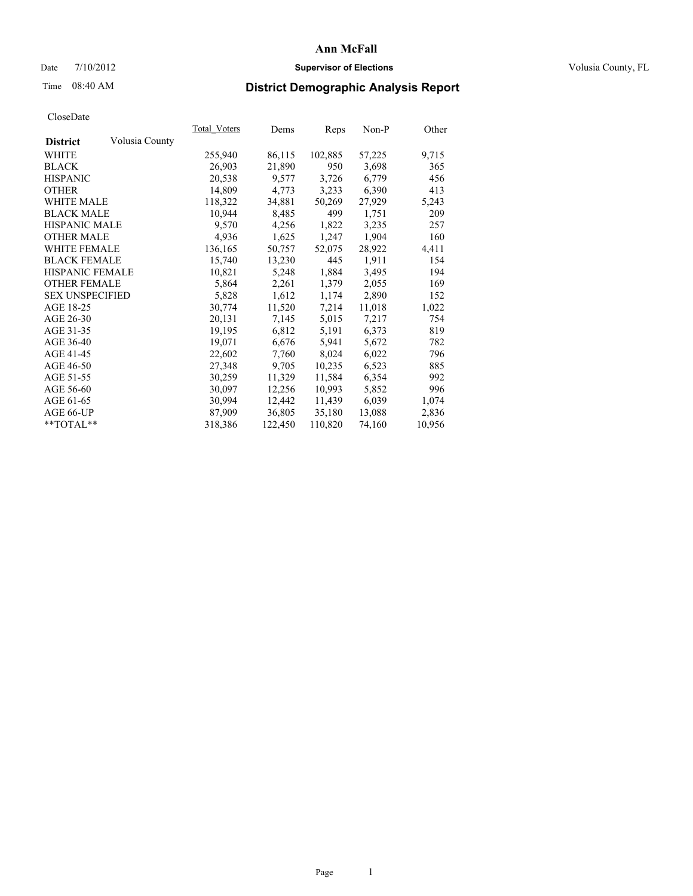## Date  $7/10/2012$  **Supervisor of Elections** Volusia County, FL

# Time 08:40 AM **District Demographic Analysis Report**

|                        |                | Total Voters | Dems    | <b>Reps</b> | Non-P  | Other  |
|------------------------|----------------|--------------|---------|-------------|--------|--------|
| <b>District</b>        | Volusia County |              |         |             |        |        |
| WHITE                  |                | 255,940      | 86,115  | 102,885     | 57,225 | 9,715  |
| <b>BLACK</b>           |                | 26,903       | 21,890  | 950         | 3,698  | 365    |
| <b>HISPANIC</b>        |                | 20,538       | 9,577   | 3,726       | 6,779  | 456    |
| <b>OTHER</b>           |                | 14,809       | 4,773   | 3,233       | 6,390  | 413    |
| <b>WHITE MALE</b>      |                | 118,322      | 34,881  | 50,269      | 27,929 | 5,243  |
| <b>BLACK MALE</b>      |                | 10,944       | 8,485   | 499         | 1,751  | 209    |
| <b>HISPANIC MALE</b>   |                | 9,570        | 4,256   | 1,822       | 3,235  | 257    |
| <b>OTHER MALE</b>      |                | 4,936        | 1,625   | 1,247       | 1,904  | 160    |
| <b>WHITE FEMALE</b>    |                | 136,165      | 50,757  | 52,075      | 28,922 | 4,411  |
| <b>BLACK FEMALE</b>    |                | 15,740       | 13,230  | 445         | 1,911  | 154    |
| HISPANIC FEMALE        |                | 10,821       | 5,248   | 1,884       | 3,495  | 194    |
| <b>OTHER FEMALE</b>    |                | 5,864        | 2,261   | 1,379       | 2,055  | 169    |
| <b>SEX UNSPECIFIED</b> |                | 5,828        | 1,612   | 1,174       | 2,890  | 152    |
| AGE 18-25              |                | 30,774       | 11,520  | 7,214       | 11,018 | 1,022  |
| AGE 26-30              |                | 20,131       | 7,145   | 5,015       | 7,217  | 754    |
| AGE 31-35              |                | 19,195       | 6,812   | 5,191       | 6,373  | 819    |
| AGE 36-40              |                | 19,071       | 6,676   | 5,941       | 5,672  | 782    |
| AGE 41-45              |                | 22,602       | 7,760   | 8,024       | 6,022  | 796    |
| AGE 46-50              |                | 27,348       | 9,705   | 10,235      | 6,523  | 885    |
| AGE 51-55              |                | 30,259       | 11,329  | 11,584      | 6,354  | 992    |
| AGE 56-60              |                | 30,097       | 12,256  | 10,993      | 5,852  | 996    |
| AGE 61-65              |                | 30,994       | 12,442  | 11,439      | 6,039  | 1,074  |
| AGE 66-UP              |                | 87,909       | 36,805  | 35,180      | 13,088 | 2,836  |
| $*$ TOTAL $*$          |                | 318,386      | 122,450 | 110,820     | 74,160 | 10,956 |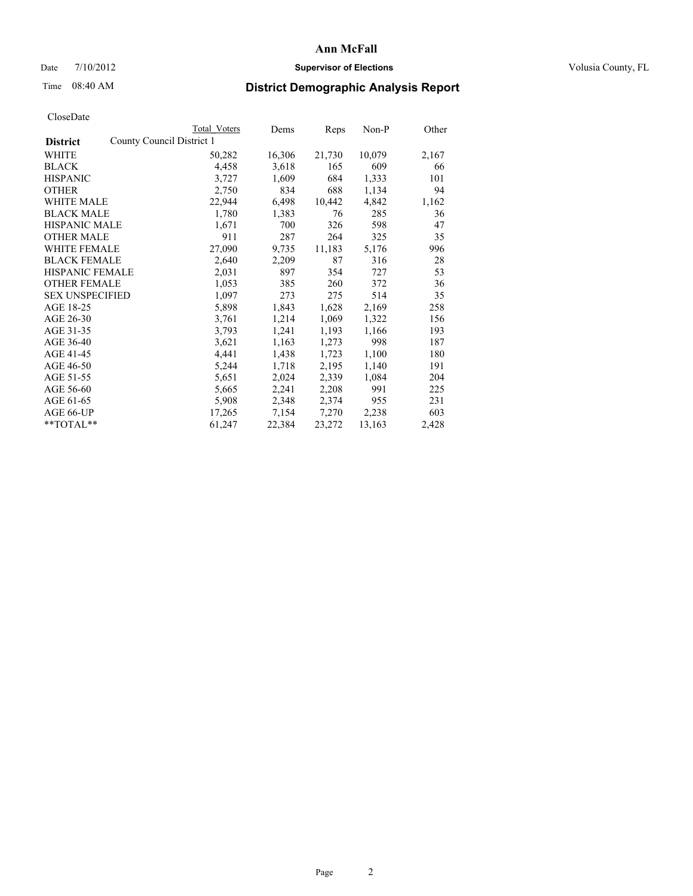## Date  $7/10/2012$  **Supervisor of Elections** Volusia County, FL

# Time 08:40 AM **District Demographic Analysis Report**

|                        |                           | Total Voters | Dems   | <b>Reps</b> | Non-P  | Other |
|------------------------|---------------------------|--------------|--------|-------------|--------|-------|
| <b>District</b>        | County Council District 1 |              |        |             |        |       |
| WHITE                  |                           | 50,282       | 16,306 | 21,730      | 10,079 | 2,167 |
| <b>BLACK</b>           |                           | 4,458        | 3,618  | 165         | 609    | 66    |
| <b>HISPANIC</b>        |                           | 3,727        | 1,609  | 684         | 1,333  | 101   |
| <b>OTHER</b>           |                           | 2,750        | 834    | 688         | 1,134  | 94    |
| WHITE MALE             |                           | 22,944       | 6,498  | 10,442      | 4,842  | 1,162 |
| <b>BLACK MALE</b>      |                           | 1,780        | 1,383  | 76          | 285    | 36    |
| <b>HISPANIC MALE</b>   |                           | 1,671        | 700    | 326         | 598    | 47    |
| <b>OTHER MALE</b>      |                           | 911          | 287    | 264         | 325    | 35    |
| <b>WHITE FEMALE</b>    |                           | 27,090       | 9,735  | 11,183      | 5,176  | 996   |
| <b>BLACK FEMALE</b>    |                           | 2,640        | 2,209  | 87          | 316    | 28    |
| HISPANIC FEMALE        |                           | 2,031        | 897    | 354         | 727    | 53    |
| <b>OTHER FEMALE</b>    |                           | 1,053        | 385    | 260         | 372    | 36    |
| <b>SEX UNSPECIFIED</b> |                           | 1,097        | 273    | 275         | 514    | 35    |
| AGE 18-25              |                           | 5,898        | 1,843  | 1,628       | 2,169  | 258   |
| AGE 26-30              |                           | 3,761        | 1,214  | 1,069       | 1,322  | 156   |
| AGE 31-35              |                           | 3,793        | 1,241  | 1,193       | 1,166  | 193   |
| AGE 36-40              |                           | 3,621        | 1,163  | 1,273       | 998    | 187   |
| AGE 41-45              |                           | 4,441        | 1,438  | 1,723       | 1,100  | 180   |
| AGE 46-50              |                           | 5,244        | 1,718  | 2,195       | 1,140  | 191   |
| AGE 51-55              |                           | 5,651        | 2,024  | 2,339       | 1,084  | 204   |
| AGE 56-60              |                           | 5,665        | 2,241  | 2,208       | 991    | 225   |
| AGE 61-65              |                           | 5,908        | 2,348  | 2,374       | 955    | 231   |
| AGE 66-UP              |                           | 17,265       | 7,154  | 7,270       | 2,238  | 603   |
| **TOTAL**              |                           | 61,247       | 22,384 | 23,272      | 13,163 | 2,428 |
|                        |                           |              |        |             |        |       |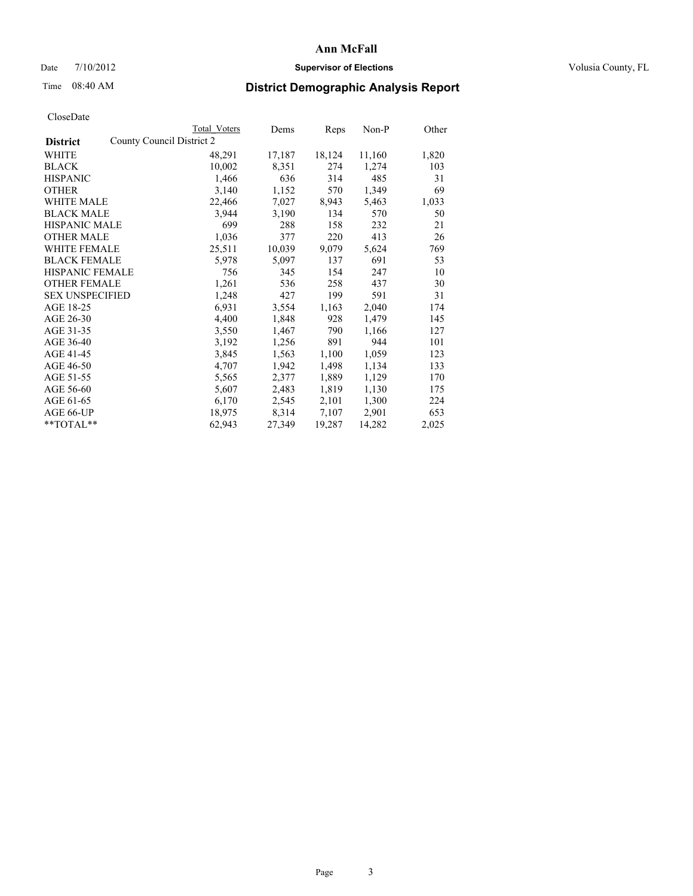## Date  $7/10/2012$  **Supervisor of Elections** Volusia County, FL

## Time 08:40 AM **District Demographic Analysis Report**

|                                              | Total Voters | Dems   | <b>Reps</b> | Non-P  | Other |
|----------------------------------------------|--------------|--------|-------------|--------|-------|
| County Council District 2<br><b>District</b> |              |        |             |        |       |
| WHITE                                        | 48,291       | 17,187 | 18,124      | 11,160 | 1,820 |
| <b>BLACK</b>                                 | 10,002       | 8,351  | 274         | 1,274  | 103   |
| <b>HISPANIC</b>                              | 1,466        | 636    | 314         | 485    | 31    |
| <b>OTHER</b>                                 | 3,140        | 1,152  | 570         | 1,349  | 69    |
| WHITE MALE                                   | 22,466       | 7,027  | 8,943       | 5,463  | 1,033 |
| <b>BLACK MALE</b>                            | 3,944        | 3,190  | 134         | 570    | 50    |
| <b>HISPANIC MALE</b>                         | 699          | 288    | 158         | 232    | 21    |
| <b>OTHER MALE</b>                            | 1,036        | 377    | 220         | 413    | 26    |
| <b>WHITE FEMALE</b>                          | 25,511       | 10,039 | 9,079       | 5,624  | 769   |
| <b>BLACK FEMALE</b>                          | 5,978        | 5,097  | 137         | 691    | 53    |
| <b>HISPANIC FEMALE</b>                       | 756          | 345    | 154         | 247    | 10    |
| <b>OTHER FEMALE</b>                          | 1,261        | 536    | 258         | 437    | 30    |
| <b>SEX UNSPECIFIED</b>                       | 1,248        | 427    | 199         | 591    | 31    |
| AGE 18-25                                    | 6,931        | 3,554  | 1,163       | 2,040  | 174   |
| AGE 26-30                                    | 4,400        | 1,848  | 928         | 1,479  | 145   |
| AGE 31-35                                    | 3,550        | 1,467  | 790         | 1,166  | 127   |
| AGE 36-40                                    | 3,192        | 1,256  | 891         | 944    | 101   |
| AGE 41-45                                    | 3,845        | 1,563  | 1,100       | 1,059  | 123   |
| AGE 46-50                                    | 4,707        | 1,942  | 1,498       | 1,134  | 133   |
| AGE 51-55                                    | 5,565        | 2,377  | 1,889       | 1,129  | 170   |
| AGE 56-60                                    | 5,607        | 2,483  | 1,819       | 1,130  | 175   |
| AGE 61-65                                    | 6,170        | 2,545  | 2,101       | 1,300  | 224   |
| AGE 66-UP                                    | 18,975       | 8,314  | 7,107       | 2,901  | 653   |
| $*$ TOTAL $*$                                | 62,943       | 27,349 | 19,287      | 14,282 | 2,025 |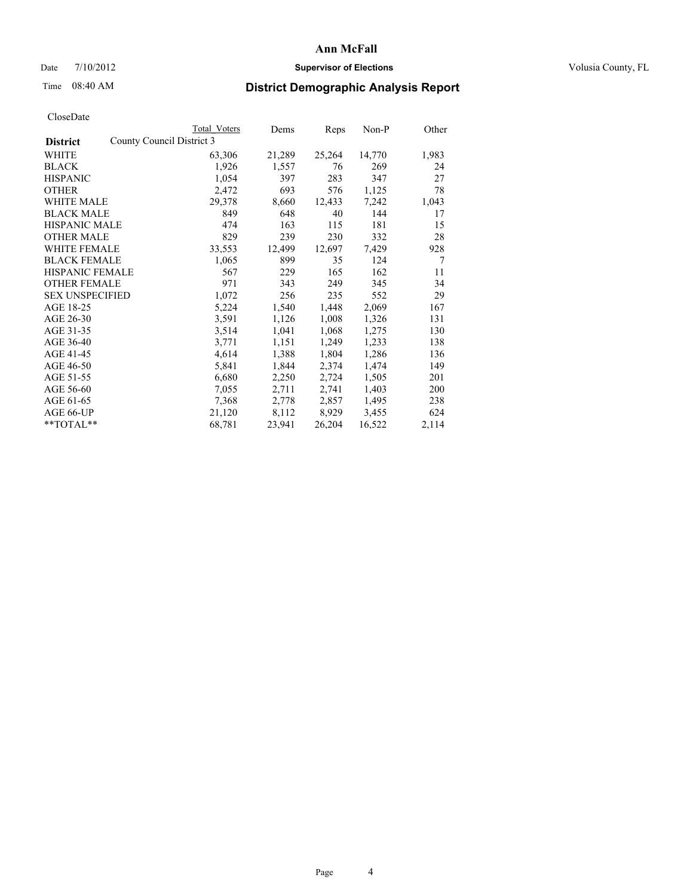## Date  $7/10/2012$  **Supervisor of Elections** Volusia County, FL

# Time 08:40 AM **District Demographic Analysis Report**

| County Council District 3<br><b>District</b><br><b>WHITE</b><br>63,306<br><b>BLACK</b><br>1,926<br>1,054<br><b>HISPANIC</b> | 21,289<br>25,264<br>14,770<br>1,983<br>269<br>1,557<br>76<br>24<br>283<br>397<br>347<br>27<br>693<br>576<br>1,125<br>78<br>7,242<br>8,660<br>12,433<br>1,043<br>648<br>40<br>144<br>17 |
|-----------------------------------------------------------------------------------------------------------------------------|----------------------------------------------------------------------------------------------------------------------------------------------------------------------------------------|
|                                                                                                                             |                                                                                                                                                                                        |
|                                                                                                                             |                                                                                                                                                                                        |
|                                                                                                                             |                                                                                                                                                                                        |
|                                                                                                                             |                                                                                                                                                                                        |
| 2,472<br><b>OTHER</b>                                                                                                       |                                                                                                                                                                                        |
| <b>WHITE MALE</b><br>29,378                                                                                                 |                                                                                                                                                                                        |
| <b>BLACK MALE</b><br>849                                                                                                    |                                                                                                                                                                                        |
| <b>HISPANIC MALE</b><br>474                                                                                                 | 181<br>163<br>115<br>15                                                                                                                                                                |
| 829<br><b>OTHER MALE</b>                                                                                                    | 239<br>230<br>332<br>28                                                                                                                                                                |
| 33,553<br><b>WHITE FEMALE</b>                                                                                               | 12,499<br>12,697<br>7,429<br>928                                                                                                                                                       |
| <b>BLACK FEMALE</b><br>1,065                                                                                                | 899<br>35<br>$\tau$<br>124                                                                                                                                                             |
| <b>HISPANIC FEMALE</b><br>567                                                                                               | 229<br>165<br>162<br>11                                                                                                                                                                |
| <b>OTHER FEMALE</b><br>971                                                                                                  | 343<br>249<br>345<br>34                                                                                                                                                                |
| <b>SEX UNSPECIFIED</b><br>1,072                                                                                             | 256<br>235<br>552<br>29                                                                                                                                                                |
| AGE 18-25<br>5,224                                                                                                          | 1,540<br>1,448<br>2,069<br>167                                                                                                                                                         |
| AGE 26-30<br>3,591                                                                                                          | 1,126<br>1,008<br>1,326<br>131                                                                                                                                                         |
| AGE 31-35<br>3,514                                                                                                          | 1,041<br>1,068<br>1,275<br>130                                                                                                                                                         |
| AGE 36-40<br>3,771                                                                                                          | 1,151<br>1,249<br>1,233<br>138                                                                                                                                                         |
| AGE 41-45<br>4,614                                                                                                          | 1,388<br>1,804<br>1,286<br>136                                                                                                                                                         |
| AGE 46-50<br>5,841                                                                                                          | 2,374<br>1,474<br>149<br>1,844                                                                                                                                                         |
| AGE 51-55<br>6,680                                                                                                          | 2,250<br>2,724<br>1,505<br>201                                                                                                                                                         |
| AGE 56-60<br>7,055                                                                                                          | 2,711<br>2,741<br>1,403<br>200                                                                                                                                                         |
| AGE 61-65<br>7,368                                                                                                          | 2,778<br>2,857<br>1,495<br>238                                                                                                                                                         |
| AGE 66-UP<br>21,120                                                                                                         | 8,112<br>8,929<br>3,455<br>624                                                                                                                                                         |
| 68,781<br>23,941<br>$*$ $TOTAL**$                                                                                           | 26,204<br>2,114<br>16,522                                                                                                                                                              |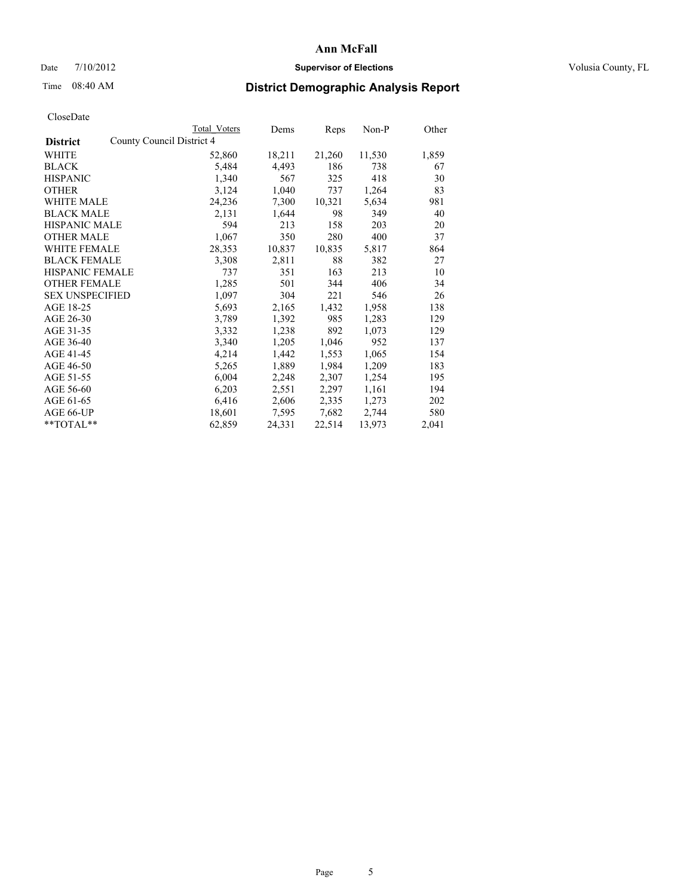## Date  $7/10/2012$  **Supervisor of Elections** Volusia County, FL

# Time 08:40 AM **District Demographic Analysis Report**

|                                              | Total Voters | Dems   | <b>Reps</b> | $Non-P$ | Other |
|----------------------------------------------|--------------|--------|-------------|---------|-------|
| County Council District 4<br><b>District</b> |              |        |             |         |       |
| WHITE                                        | 52,860       | 18,211 | 21,260      | 11,530  | 1,859 |
| <b>BLACK</b>                                 | 5,484        | 4,493  | 186         | 738     | 67    |
| <b>HISPANIC</b>                              | 1,340        | 567    | 325         | 418     | 30    |
| <b>OTHER</b>                                 | 3,124        | 1,040  | 737         | 1,264   | 83    |
| WHITE MALE                                   | 24,236       | 7,300  | 10,321      | 5,634   | 981   |
| <b>BLACK MALE</b>                            | 2,131        | 1,644  | 98          | 349     | 40    |
| <b>HISPANIC MALE</b>                         | 594          | 213    | 158         | 203     | 20    |
| <b>OTHER MALE</b>                            | 1,067        | 350    | 280         | 400     | 37    |
| <b>WHITE FEMALE</b>                          | 28,353       | 10,837 | 10,835      | 5,817   | 864   |
| <b>BLACK FEMALE</b>                          | 3,308        | 2,811  | 88          | 382     | 27    |
| <b>HISPANIC FEMALE</b>                       | 737          | 351    | 163         | 213     | 10    |
| <b>OTHER FEMALE</b>                          | 1,285        | 501    | 344         | 406     | 34    |
| <b>SEX UNSPECIFIED</b>                       | 1,097        | 304    | 221         | 546     | 26    |
| AGE 18-25                                    | 5,693        | 2,165  | 1,432       | 1,958   | 138   |
| AGE 26-30                                    | 3,789        | 1,392  | 985         | 1,283   | 129   |
| AGE 31-35                                    | 3,332        | 1,238  | 892         | 1,073   | 129   |
| AGE 36-40                                    | 3,340        | 1,205  | 1,046       | 952     | 137   |
| AGE 41-45                                    | 4,214        | 1,442  | 1,553       | 1,065   | 154   |
| AGE 46-50                                    | 5,265        | 1,889  | 1,984       | 1,209   | 183   |
| AGE 51-55                                    | 6,004        | 2,248  | 2,307       | 1,254   | 195   |
| AGE 56-60                                    | 6,203        | 2,551  | 2,297       | 1,161   | 194   |
| AGE 61-65                                    | 6,416        | 2,606  | 2,335       | 1,273   | 202   |
| AGE 66-UP                                    | 18,601       | 7,595  | 7,682       | 2,744   | 580   |
| $*$ $TOTAL**$                                | 62,859       | 24,331 | 22,514      | 13,973  | 2,041 |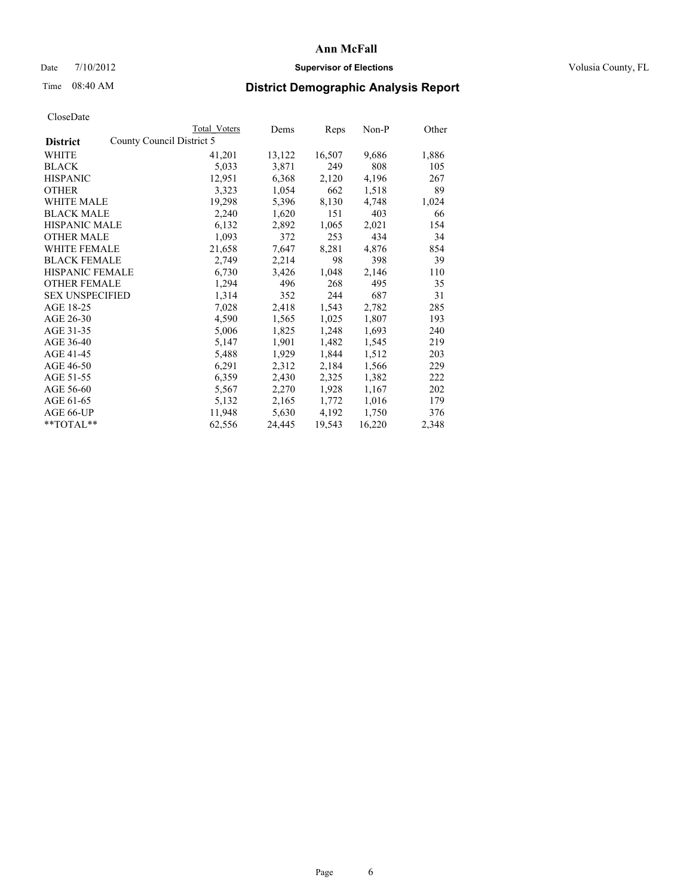## Date  $7/10/2012$  **Supervisor of Elections** Volusia County, FL

# Time 08:40 AM **District Demographic Analysis Report**

|                        |                           | Total Voters | Dems   | Reps   | Non-P  | Other |
|------------------------|---------------------------|--------------|--------|--------|--------|-------|
| <b>District</b>        | County Council District 5 |              |        |        |        |       |
| <b>WHITE</b>           |                           | 41,201       | 13,122 | 16,507 | 9,686  | 1,886 |
| <b>BLACK</b>           |                           | 5,033        | 3,871  | 249    | 808    | 105   |
| <b>HISPANIC</b>        |                           | 12,951       | 6,368  | 2,120  | 4,196  | 267   |
| <b>OTHER</b>           |                           | 3,323        | 1,054  | 662    | 1,518  | 89    |
| <b>WHITE MALE</b>      |                           | 19,298       | 5,396  | 8,130  | 4,748  | 1,024 |
| <b>BLACK MALE</b>      |                           | 2,240        | 1,620  | 151    | 403    | 66    |
| <b>HISPANIC MALE</b>   |                           | 6,132        | 2,892  | 1,065  | 2,021  | 154   |
| <b>OTHER MALE</b>      |                           | 1,093        | 372    | 253    | 434    | 34    |
| <b>WHITE FEMALE</b>    |                           | 21,658       | 7,647  | 8,281  | 4,876  | 854   |
| <b>BLACK FEMALE</b>    |                           | 2,749        | 2,214  | 98     | 398    | 39    |
| <b>HISPANIC FEMALE</b> |                           | 6,730        | 3,426  | 1,048  | 2,146  | 110   |
| <b>OTHER FEMALE</b>    |                           | 1,294        | 496    | 268    | 495    | 35    |
| <b>SEX UNSPECIFIED</b> |                           | 1,314        | 352    | 244    | 687    | 31    |
| AGE 18-25              |                           | 7,028        | 2,418  | 1,543  | 2,782  | 285   |
| AGE 26-30              |                           | 4,590        | 1,565  | 1,025  | 1,807  | 193   |
| AGE 31-35              |                           | 5,006        | 1,825  | 1,248  | 1,693  | 240   |
| AGE 36-40              |                           | 5,147        | 1,901  | 1,482  | 1,545  | 219   |
| AGE 41-45              |                           | 5,488        | 1,929  | 1,844  | 1,512  | 203   |
| AGE 46-50              |                           | 6,291        | 2,312  | 2,184  | 1,566  | 229   |
| AGE 51-55              |                           | 6,359        | 2,430  | 2,325  | 1,382  | 222   |
| AGE 56-60              |                           | 5,567        | 2,270  | 1,928  | 1,167  | 202   |
| AGE 61-65              |                           | 5,132        | 2,165  | 1,772  | 1,016  | 179   |
| AGE 66-UP              |                           | 11,948       | 5,630  | 4,192  | 1,750  | 376   |
| $*$ $TOTAL**$          |                           | 62,556       | 24,445 | 19,543 | 16,220 | 2,348 |
|                        |                           |              |        |        |        |       |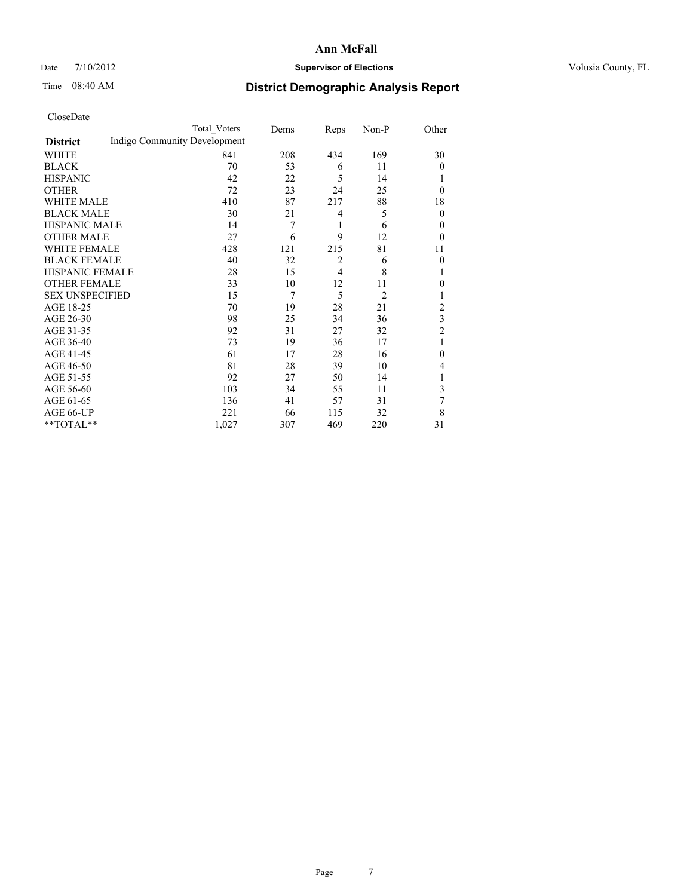## Date  $7/10/2012$  **Supervisor of Elections** Volusia County, FL

# Time 08:40 AM **District Demographic Analysis Report**

|                        |                              | <b>Total Voters</b> | Dems | Reps           | Non-P          | Other                   |
|------------------------|------------------------------|---------------------|------|----------------|----------------|-------------------------|
| <b>District</b>        | Indigo Community Development |                     |      |                |                |                         |
| WHITE                  |                              | 841                 | 208  | 434            | 169            | 30                      |
| <b>BLACK</b>           |                              | 70                  | 53   | 6              | 11             | $\overline{0}$          |
| <b>HISPANIC</b>        |                              | 42                  | 22   | 5              | 14             | 1                       |
| <b>OTHER</b>           |                              | 72                  | 23   | 24             | 25             | $\theta$                |
| WHITE MALE             |                              | 410                 | 87   | 217            | 88             | 18                      |
| <b>BLACK MALE</b>      |                              | 30                  | 21   | 4              | 5              | $\theta$                |
| <b>HISPANIC MALE</b>   |                              | 14                  | 7    | 1              | 6              | $\overline{0}$          |
| <b>OTHER MALE</b>      |                              | 27                  | 6    | 9              | 12             | $\theta$                |
| WHITE FEMALE           |                              | 428                 | 121  | 215            | 81             | 11                      |
| <b>BLACK FEMALE</b>    |                              | 40                  | 32   | $\overline{2}$ | 6              | $\overline{0}$          |
| <b>HISPANIC FEMALE</b> |                              | 28                  | 15   | $\overline{4}$ | 8              | 1                       |
| <b>OTHER FEMALE</b>    |                              | 33                  | 10   | 12             | 11             | $\theta$                |
| <b>SEX UNSPECIFIED</b> |                              | 15                  | 7    | 5              | $\overline{2}$ | 1                       |
| AGE 18-25              |                              | 70                  | 19   | 28             | 21             | $\overline{2}$          |
| AGE 26-30              |                              | 98                  | 25   | 34             | 36             | $\overline{\mathbf{3}}$ |
| AGE 31-35              |                              | 92                  | 31   | 27             | 32             | $\overline{2}$          |
| AGE 36-40              |                              | 73                  | 19   | 36             | 17             | 1                       |
| AGE 41-45              |                              | 61                  | 17   | 28             | 16             | $\theta$                |
| AGE 46-50              |                              | 81                  | 28   | 39             | 10             | 4                       |
| AGE 51-55              |                              | 92                  | 27   | 50             | 14             | 1                       |
| AGE 56-60              |                              | 103                 | 34   | 55             | 11             | 3                       |
| AGE 61-65              |                              | 136                 | 41   | 57             | 31             | 7                       |
| AGE 66-UP              |                              | 221                 | 66   | 115            | 32             | 8                       |
| **TOTAL**              |                              | 1,027               | 307  | 469            | 220            | 31                      |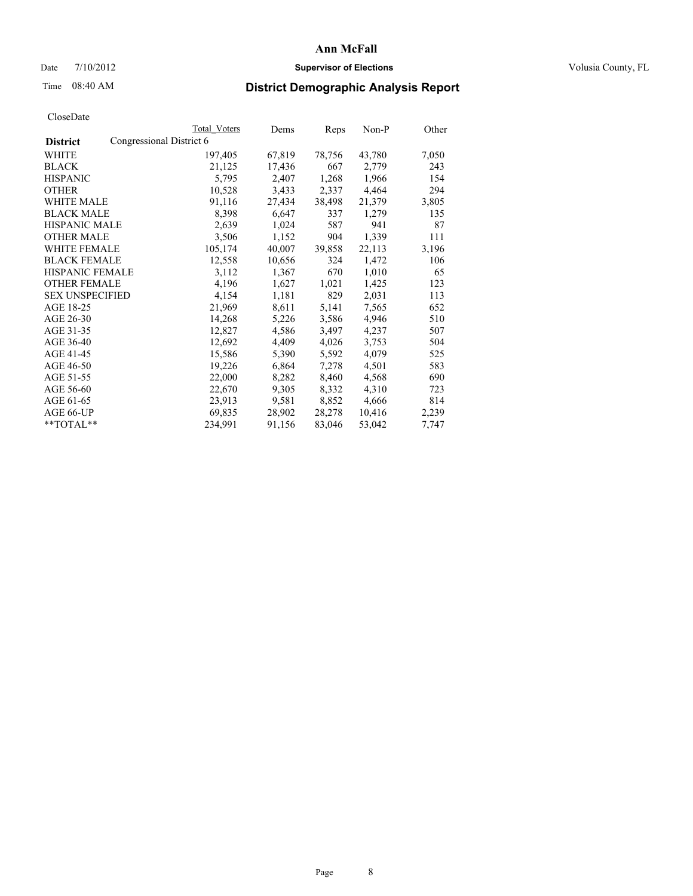#### Date  $7/10/2012$  **Supervisor of Elections** Volusia County, FL

## Time 08:40 AM **District Demographic Analysis Report**

|                                             | Total Voters | Dems   | <b>Reps</b> | Non-P  | Other |
|---------------------------------------------|--------------|--------|-------------|--------|-------|
| Congressional District 6<br><b>District</b> |              |        |             |        |       |
| WHITE                                       | 197,405      | 67,819 | 78,756      | 43,780 | 7,050 |
| <b>BLACK</b>                                | 21,125       | 17,436 | 667         | 2,779  | 243   |
| <b>HISPANIC</b>                             | 5,795        | 2,407  | 1,268       | 1,966  | 154   |
| <b>OTHER</b>                                | 10,528       | 3,433  | 2,337       | 4,464  | 294   |
| WHITE MALE                                  | 91,116       | 27,434 | 38,498      | 21,379 | 3,805 |
| <b>BLACK MALE</b>                           | 8,398        | 6,647  | 337         | 1,279  | 135   |
| <b>HISPANIC MALE</b>                        | 2,639        | 1,024  | 587         | 941    | 87    |
| <b>OTHER MALE</b>                           | 3,506        | 1,152  | 904         | 1,339  | 111   |
| WHITE FEMALE                                | 105,174      | 40,007 | 39,858      | 22,113 | 3,196 |
| <b>BLACK FEMALE</b>                         | 12,558       | 10,656 | 324         | 1,472  | 106   |
| <b>HISPANIC FEMALE</b>                      | 3,112        | 1,367  | 670         | 1,010  | 65    |
| <b>OTHER FEMALE</b>                         | 4,196        | 1,627  | 1,021       | 1,425  | 123   |
| <b>SEX UNSPECIFIED</b>                      | 4,154        | 1,181  | 829         | 2,031  | 113   |
| AGE 18-25                                   | 21,969       | 8,611  | 5,141       | 7,565  | 652   |
| AGE 26-30                                   | 14,268       | 5,226  | 3,586       | 4,946  | 510   |
| AGE 31-35                                   | 12,827       | 4,586  | 3,497       | 4,237  | 507   |
| AGE 36-40                                   | 12,692       | 4,409  | 4,026       | 3,753  | 504   |
| AGE 41-45                                   | 15,586       | 5,390  | 5,592       | 4,079  | 525   |
| AGE 46-50                                   | 19,226       | 6,864  | 7,278       | 4,501  | 583   |
| AGE 51-55                                   | 22,000       | 8,282  | 8,460       | 4,568  | 690   |
| AGE 56-60                                   | 22,670       | 9,305  | 8,332       | 4,310  | 723   |
| AGE 61-65                                   | 23,913       | 9,581  | 8,852       | 4,666  | 814   |
| AGE 66-UP                                   | 69,835       | 28,902 | 28,278      | 10,416 | 2,239 |
| $*$ TOTAL $*$                               | 234,991      | 91,156 | 83,046      | 53,042 | 7,747 |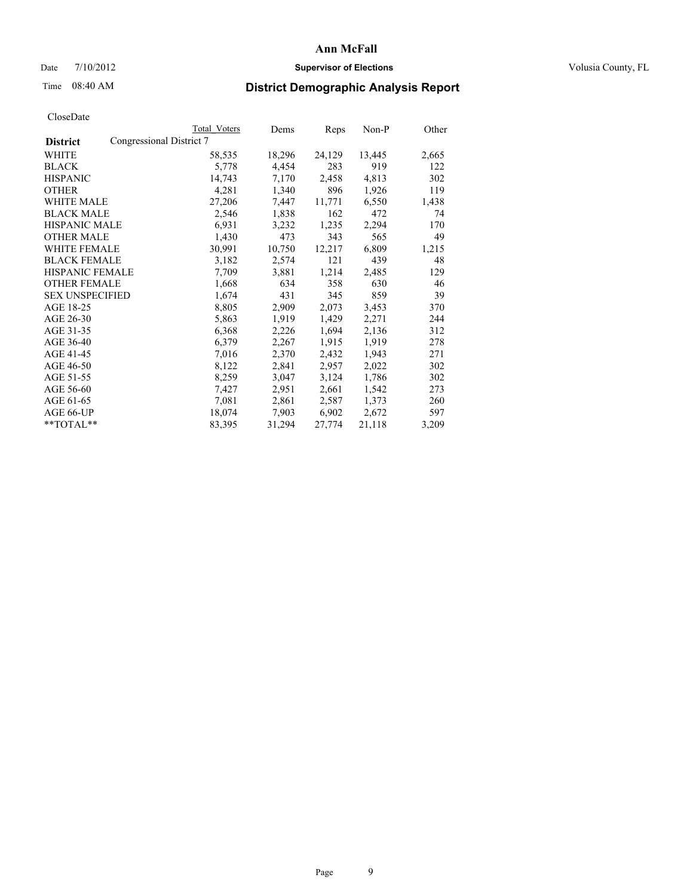## Date  $7/10/2012$  **Supervisor of Elections** Volusia County, FL

# Time 08:40 AM **District Demographic Analysis Report**

|                                             | Total Voters | Dems   | <b>Reps</b> | Non-P  | Other |
|---------------------------------------------|--------------|--------|-------------|--------|-------|
| Congressional District 7<br><b>District</b> |              |        |             |        |       |
| WHITE                                       | 58,535       | 18,296 | 24,129      | 13,445 | 2,665 |
| <b>BLACK</b>                                | 5,778        | 4,454  | 283         | 919    | 122   |
| <b>HISPANIC</b>                             | 14,743       | 7,170  | 2,458       | 4,813  | 302   |
| <b>OTHER</b>                                | 4,281        | 1,340  | 896         | 1,926  | 119   |
| WHITE MALE                                  | 27,206       | 7,447  | 11,771      | 6,550  | 1,438 |
| <b>BLACK MALE</b>                           | 2,546        | 1,838  | 162         | 472    | 74    |
| <b>HISPANIC MALE</b>                        | 6,931        | 3,232  | 1,235       | 2,294  | 170   |
| <b>OTHER MALE</b>                           | 1,430        | 473    | 343         | 565    | 49    |
| <b>WHITE FEMALE</b>                         | 30,991       | 10,750 | 12,217      | 6,809  | 1,215 |
| <b>BLACK FEMALE</b>                         | 3,182        | 2,574  | 121         | 439    | 48    |
| <b>HISPANIC FEMALE</b>                      | 7,709        | 3,881  | 1,214       | 2,485  | 129   |
| <b>OTHER FEMALE</b>                         | 1,668        | 634    | 358         | 630    | 46    |
| <b>SEX UNSPECIFIED</b>                      | 1,674        | 431    | 345         | 859    | 39    |
| AGE 18-25                                   | 8,805        | 2,909  | 2,073       | 3,453  | 370   |
| AGE 26-30                                   | 5,863        | 1,919  | 1,429       | 2,271  | 244   |
| AGE 31-35                                   | 6,368        | 2,226  | 1,694       | 2,136  | 312   |
| AGE 36-40                                   | 6,379        | 2,267  | 1,915       | 1,919  | 278   |
| AGE 41-45                                   | 7,016        | 2,370  | 2,432       | 1,943  | 271   |
| AGE 46-50                                   | 8,122        | 2,841  | 2,957       | 2,022  | 302   |
| AGE 51-55                                   | 8,259        | 3,047  | 3,124       | 1,786  | 302   |
| AGE 56-60                                   | 7,427        | 2,951  | 2,661       | 1,542  | 273   |
| AGE 61-65                                   | 7,081        | 2,861  | 2,587       | 1,373  | 260   |
| AGE 66-UP                                   | 18,074       | 7,903  | 6,902       | 2,672  | 597   |
| $*$ $TOTAL**$                               | 83,395       | 31,294 | 27,774      | 21,118 | 3,209 |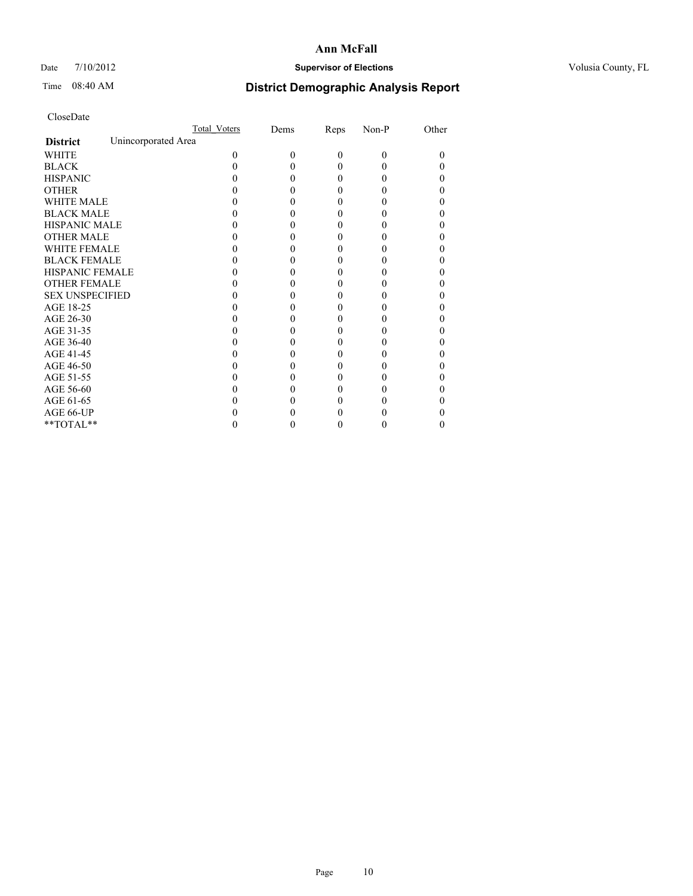## Date  $7/10/2012$  **Supervisor of Elections** Volusia County, FL

## Time 08:40 AM **District Demographic Analysis Report**

|                        | Total Voters        | Dems | Reps     | Non-P    | Other |
|------------------------|---------------------|------|----------|----------|-------|
| <b>District</b>        | Unincorporated Area |      |          |          |       |
| <b>WHITE</b>           | 0                   | 0    | $\theta$ | $\theta$ | 0     |
| <b>BLACK</b>           |                     |      | 0        | 0        |       |
| <b>HISPANIC</b>        |                     |      | 0        | 0        |       |
| <b>OTHER</b>           |                     |      |          |          |       |
| WHITE MALE             |                     |      |          |          |       |
| <b>BLACK MALE</b>      |                     |      | 0        |          |       |
| <b>HISPANIC MALE</b>   |                     |      |          |          |       |
| <b>OTHER MALE</b>      |                     |      | 0        |          |       |
| <b>WHITE FEMALE</b>    |                     |      |          |          |       |
| <b>BLACK FEMALE</b>    |                     |      | 0        |          |       |
| <b>HISPANIC FEMALE</b> |                     |      |          |          |       |
| <b>OTHER FEMALE</b>    |                     |      |          |          |       |
| <b>SEX UNSPECIFIED</b> |                     |      |          |          |       |
| AGE 18-25              |                     |      |          |          |       |
| AGE 26-30              |                     |      | 0        |          |       |
| AGE 31-35              |                     |      |          |          |       |
| AGE 36-40              |                     |      | 0        |          |       |
| AGE 41-45              |                     |      |          |          |       |
| AGE 46-50              |                     |      | 0        |          |       |
| AGE 51-55              |                     |      |          |          |       |
| AGE 56-60              |                     |      |          |          |       |
| AGE 61-65              |                     |      |          |          |       |
| AGE 66-UP              |                     |      |          |          |       |
| $**TOTAL**$            |                     |      | 0        | 0        | 0     |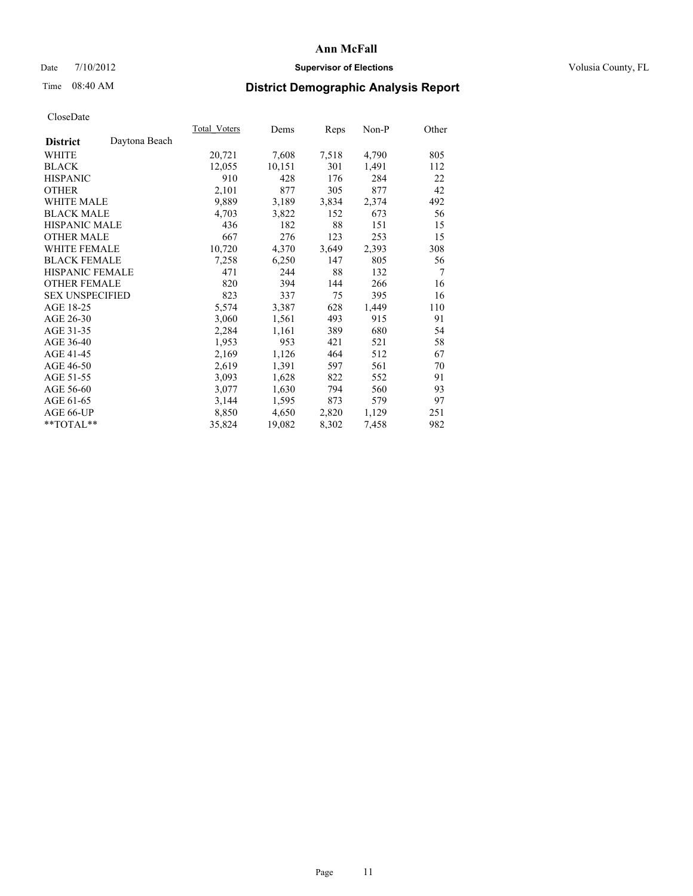## Date  $7/10/2012$  **Supervisor of Elections** Volusia County, FL

# Time 08:40 AM **District Demographic Analysis Report**

|                        |               | Total Voters | Dems   | Reps  | Non-P | Other |
|------------------------|---------------|--------------|--------|-------|-------|-------|
| <b>District</b>        | Daytona Beach |              |        |       |       |       |
| WHITE                  |               | 20,721       | 7,608  | 7,518 | 4,790 | 805   |
| <b>BLACK</b>           |               | 12,055       | 10,151 | 301   | 1,491 | 112   |
| <b>HISPANIC</b>        |               | 910          | 428    | 176   | 284   | 22    |
| <b>OTHER</b>           |               | 2,101        | 877    | 305   | 877   | 42    |
| <b>WHITE MALE</b>      |               | 9,889        | 3,189  | 3,834 | 2,374 | 492   |
| <b>BLACK MALE</b>      |               | 4,703        | 3,822  | 152   | 673   | 56    |
| <b>HISPANIC MALE</b>   |               | 436          | 182    | 88    | 151   | 15    |
| <b>OTHER MALE</b>      |               | 667          | 276    | 123   | 253   | 15    |
| <b>WHITE FEMALE</b>    |               | 10,720       | 4,370  | 3,649 | 2,393 | 308   |
| <b>BLACK FEMALE</b>    |               | 7,258        | 6,250  | 147   | 805   | 56    |
| <b>HISPANIC FEMALE</b> |               | 471          | 244    | 88    | 132   | 7     |
| <b>OTHER FEMALE</b>    |               | 820          | 394    | 144   | 266   | 16    |
| <b>SEX UNSPECIFIED</b> |               | 823          | 337    | 75    | 395   | 16    |
| AGE 18-25              |               | 5,574        | 3,387  | 628   | 1,449 | 110   |
| AGE 26-30              |               | 3,060        | 1,561  | 493   | 915   | 91    |
| AGE 31-35              |               | 2,284        | 1,161  | 389   | 680   | 54    |
| AGE 36-40              |               | 1,953        | 953    | 421   | 521   | 58    |
| AGE 41-45              |               | 2,169        | 1,126  | 464   | 512   | 67    |
| AGE 46-50              |               | 2,619        | 1,391  | 597   | 561   | 70    |
| AGE 51-55              |               | 3,093        | 1,628  | 822   | 552   | 91    |
| AGE 56-60              |               | 3,077        | 1,630  | 794   | 560   | 93    |
| AGE 61-65              |               | 3,144        | 1,595  | 873   | 579   | 97    |
| AGE 66-UP              |               | 8,850        | 4,650  | 2,820 | 1,129 | 251   |
| $*$ $TOTAL**$          |               | 35,824       | 19,082 | 8,302 | 7,458 | 982   |
|                        |               |              |        |       |       |       |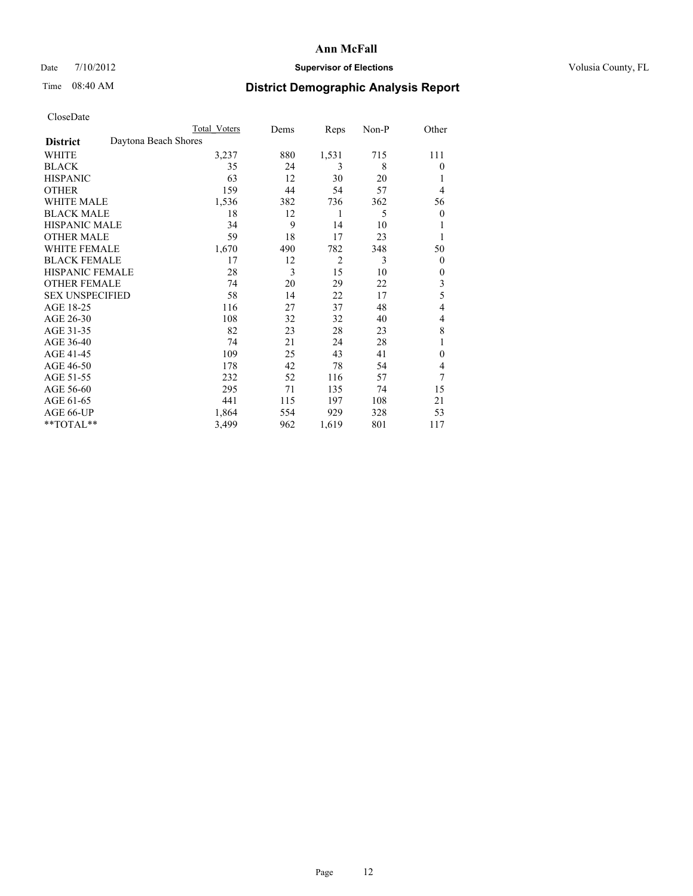## Date  $7/10/2012$  **Supervisor of Elections** Volusia County, FL

## Time 08:40 AM **District Demographic Analysis Report**

|                                         | <b>Total Voters</b> | Dems | Reps           | Non-P | Other          |
|-----------------------------------------|---------------------|------|----------------|-------|----------------|
| Daytona Beach Shores<br><b>District</b> |                     |      |                |       |                |
| WHITE                                   | 3,237               | 880  | 1,531          | 715   | 111            |
| <b>BLACK</b>                            | 35                  | 24   | 3              | 8     | $\theta$       |
| <b>HISPANIC</b>                         | 63                  | 12   | 30             | 20    | 1              |
| <b>OTHER</b>                            | 159                 | 44   | 54             | 57    | 4              |
| WHITE MALE                              | 1,536               | 382  | 736            | 362   | 56             |
| <b>BLACK MALE</b>                       | 18                  | 12   | 1              | 5     | $\overline{0}$ |
| <b>HISPANIC MALE</b>                    | 34                  | 9    | 14             | 10    | 1              |
| <b>OTHER MALE</b>                       | 59                  | 18   | 17             | 23    | 1              |
| WHITE FEMALE                            | 1,670               | 490  | 782            | 348   | 50             |
| <b>BLACK FEMALE</b>                     | 17                  | 12   | $\overline{2}$ | 3     | $\overline{0}$ |
| <b>HISPANIC FEMALE</b>                  | 28                  | 3    | 15             | 10    | $\theta$       |
| <b>OTHER FEMALE</b>                     | 74                  | 20   | 29             | 22    | 3              |
| <b>SEX UNSPECIFIED</b>                  | 58                  | 14   | 22             | 17    | 5              |
| AGE 18-25                               | 116                 | 27   | 37             | 48    | 4              |
| AGE 26-30                               | 108                 | 32   | 32             | 40    | 4              |
| AGE 31-35                               | 82                  | 23   | 28             | 23    | 8              |
| AGE 36-40                               | 74                  | 21   | 24             | 28    | 1              |
| AGE 41-45                               | 109                 | 25   | 43             | 41    | $\theta$       |
| AGE 46-50                               | 178                 | 42   | 78             | 54    | 4              |
| AGE 51-55                               | 232                 | 52   | 116            | 57    | 7              |
| AGE 56-60                               | 295                 | 71   | 135            | 74    | 15             |
| AGE 61-65                               | 441                 | 115  | 197            | 108   | 21             |
| AGE 66-UP                               | 1,864               | 554  | 929            | 328   | 53             |
| **TOTAL**                               | 3,499               | 962  | 1,619          | 801   | 117            |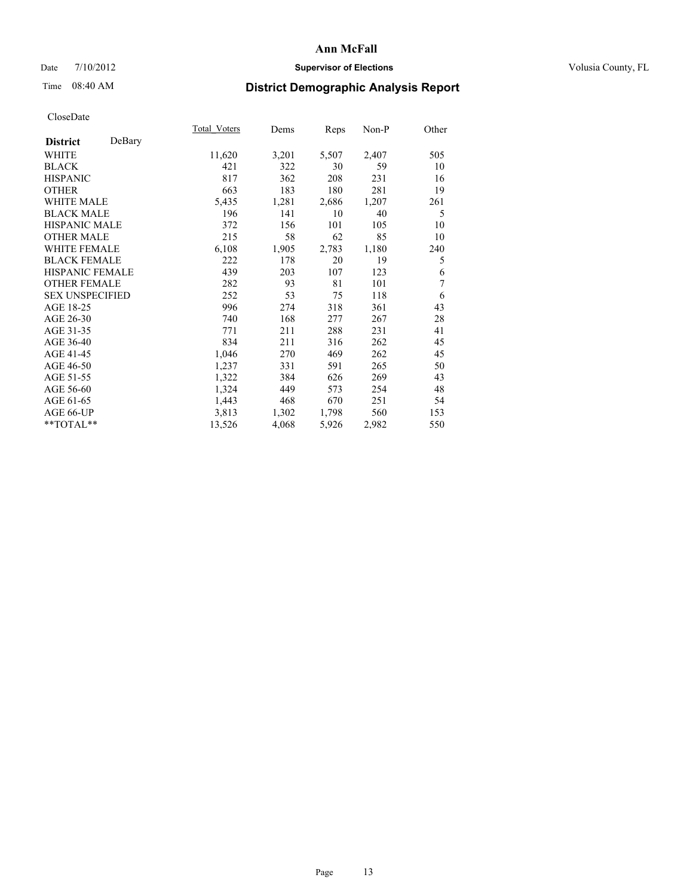## Date  $7/10/2012$  **Supervisor of Elections** Volusia County, FL

## Time 08:40 AM **District Demographic Analysis Report**

|                           | Total Voters | Dems  | Reps  | Non-P | Other |
|---------------------------|--------------|-------|-------|-------|-------|
| DeBary<br><b>District</b> |              |       |       |       |       |
| WHITE                     | 11,620       | 3,201 | 5,507 | 2,407 | 505   |
| <b>BLACK</b>              | 421          | 322   | 30    | 59    | 10    |
| <b>HISPANIC</b>           | 817          | 362   | 208   | 231   | 16    |
| <b>OTHER</b>              | 663          | 183   | 180   | 281   | 19    |
| <b>WHITE MALE</b>         | 5,435        | 1,281 | 2,686 | 1,207 | 261   |
| <b>BLACK MALE</b>         | 196          | 141   | 10    | 40    | 5     |
| HISPANIC MALE             | 372          | 156   | 101   | 105   | 10    |
| <b>OTHER MALE</b>         | 215          | 58    | 62    | 85    | 10    |
| <b>WHITE FEMALE</b>       | 6,108        | 1,905 | 2,783 | 1,180 | 240   |
| <b>BLACK FEMALE</b>       | 222          | 178   | 20    | 19    | 5     |
| <b>HISPANIC FEMALE</b>    | 439          | 203   | 107   | 123   | 6     |
| <b>OTHER FEMALE</b>       | 282          | 93    | 81    | 101   | 7     |
| <b>SEX UNSPECIFIED</b>    | 252          | 53    | 75    | 118   | 6     |
| AGE 18-25                 | 996          | 274   | 318   | 361   | 43    |
| AGE 26-30                 | 740          | 168   | 277   | 267   | 28    |
| AGE 31-35                 | 771          | 211   | 288   | 231   | 41    |
| AGE 36-40                 | 834          | 211   | 316   | 262   | 45    |
| AGE 41-45                 | 1,046        | 270   | 469   | 262   | 45    |
| AGE 46-50                 | 1,237        | 331   | 591   | 265   | 50    |
| AGE 51-55                 | 1,322        | 384   | 626   | 269   | 43    |
| AGE 56-60                 | 1,324        | 449   | 573   | 254   | 48    |
| AGE 61-65                 | 1,443        | 468   | 670   | 251   | 54    |
| AGE 66-UP                 | 3,813        | 1,302 | 1,798 | 560   | 153   |
| **TOTAL**                 | 13,526       | 4,068 | 5,926 | 2,982 | 550   |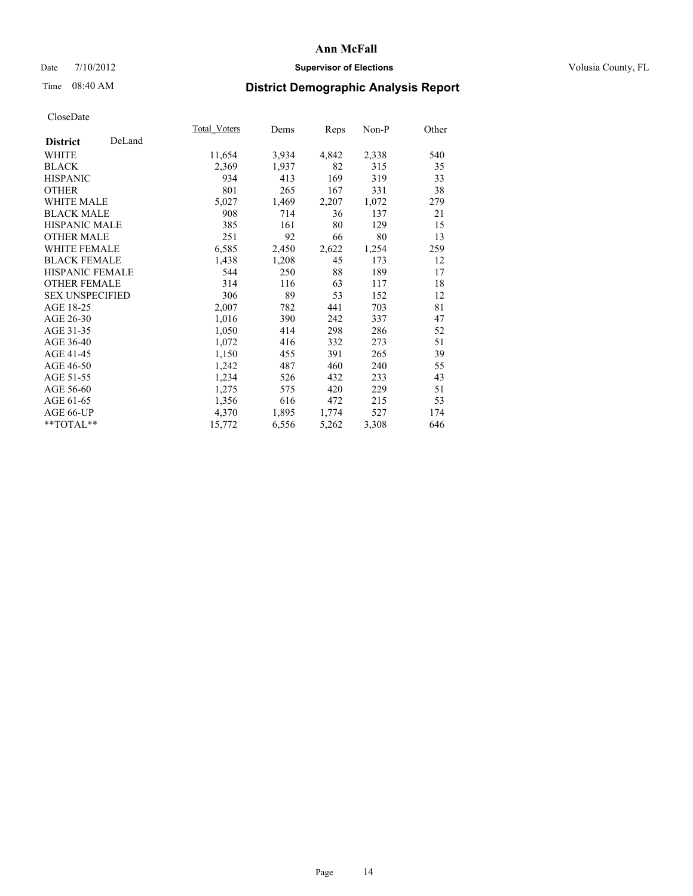## Date  $7/10/2012$  **Supervisor of Elections** Volusia County, FL

## Time 08:40 AM **District Demographic Analysis Report**

|                           | Total Voters | Dems  | <b>Reps</b> | Non-P | Other |
|---------------------------|--------------|-------|-------------|-------|-------|
| DeLand<br><b>District</b> |              |       |             |       |       |
| <b>WHITE</b>              | 11,654       | 3,934 | 4,842       | 2,338 | 540   |
| <b>BLACK</b>              | 2,369        | 1,937 | 82          | 315   | 35    |
| <b>HISPANIC</b>           | 934          | 413   | 169         | 319   | 33    |
| <b>OTHER</b>              | 801          | 265   | 167         | 331   | 38    |
| <b>WHITE MALE</b>         | 5,027        | 1,469 | 2,207       | 1,072 | 279   |
| <b>BLACK MALE</b>         | 908          | 714   | 36          | 137   | 21    |
| HISPANIC MALE             | 385          | 161   | 80          | 129   | 15    |
| <b>OTHER MALE</b>         | 251          | 92    | 66          | 80    | 13    |
| <b>WHITE FEMALE</b>       | 6,585        | 2,450 | 2,622       | 1,254 | 259   |
| <b>BLACK FEMALE</b>       | 1,438        | 1,208 | 45          | 173   | 12    |
| <b>HISPANIC FEMALE</b>    | 544          | 250   | 88          | 189   | 17    |
| <b>OTHER FEMALE</b>       | 314          | 116   | 63          | 117   | 18    |
| <b>SEX UNSPECIFIED</b>    | 306          | 89    | 53          | 152   | 12    |
| AGE 18-25                 | 2,007        | 782   | 441         | 703   | 81    |
| AGE 26-30                 | 1,016        | 390   | 242         | 337   | 47    |
| AGE 31-35                 | 1,050        | 414   | 298         | 286   | 52    |
| AGE 36-40                 | 1,072        | 416   | 332         | 273   | 51    |
| AGE 41-45                 | 1,150        | 455   | 391         | 265   | 39    |
| AGE 46-50                 | 1,242        | 487   | 460         | 240   | 55    |
| AGE 51-55                 | 1,234        | 526   | 432         | 233   | 43    |
| AGE 56-60                 | 1,275        | 575   | 420         | 229   | 51    |
| AGE 61-65                 | 1,356        | 616   | 472         | 215   | 53    |
| AGE 66-UP                 | 4,370        | 1,895 | 1,774       | 527   | 174   |
| **TOTAL**                 | 15,772       | 6,556 | 5,262       | 3,308 | 646   |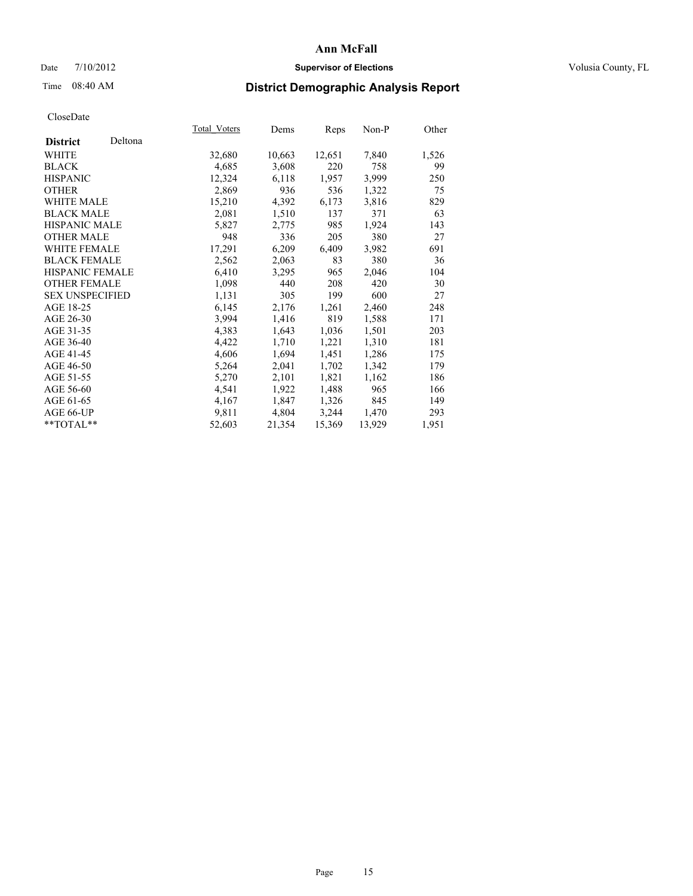## Date  $7/10/2012$  **Supervisor of Elections** Volusia County, FL

# Time 08:40 AM **District Demographic Analysis Report**

|                        |         | Total Voters | Dems   | <u>Reps</u> | Non-P  | Other |
|------------------------|---------|--------------|--------|-------------|--------|-------|
| <b>District</b>        | Deltona |              |        |             |        |       |
| WHITE                  |         | 32,680       | 10,663 | 12,651      | 7,840  | 1,526 |
| <b>BLACK</b>           |         | 4,685        | 3,608  | 220         | 758    | 99    |
| <b>HISPANIC</b>        |         | 12,324       | 6,118  | 1,957       | 3,999  | 250   |
| <b>OTHER</b>           |         | 2,869        | 936    | 536         | 1,322  | 75    |
| <b>WHITE MALE</b>      |         | 15,210       | 4,392  | 6,173       | 3,816  | 829   |
| <b>BLACK MALE</b>      |         | 2,081        | 1,510  | 137         | 371    | 63    |
| <b>HISPANIC MALE</b>   |         | 5,827        | 2,775  | 985         | 1,924  | 143   |
| <b>OTHER MALE</b>      |         | 948          | 336    | 205         | 380    | 27    |
| <b>WHITE FEMALE</b>    |         | 17,291       | 6,209  | 6,409       | 3,982  | 691   |
| <b>BLACK FEMALE</b>    |         | 2,562        | 2,063  | 83          | 380    | 36    |
| HISPANIC FEMALE        |         | 6,410        | 3,295  | 965         | 2,046  | 104   |
| <b>OTHER FEMALE</b>    |         | 1,098        | 440    | 208         | 420    | 30    |
| <b>SEX UNSPECIFIED</b> |         | 1,131        | 305    | 199         | 600    | 27    |
| AGE 18-25              |         | 6,145        | 2,176  | 1,261       | 2,460  | 248   |
| AGE 26-30              |         | 3,994        | 1,416  | 819         | 1,588  | 171   |
| AGE 31-35              |         | 4,383        | 1,643  | 1,036       | 1,501  | 203   |
| AGE 36-40              |         | 4,422        | 1,710  | 1,221       | 1,310  | 181   |
| AGE 41-45              |         | 4,606        | 1,694  | 1,451       | 1,286  | 175   |
| AGE 46-50              |         | 5,264        | 2,041  | 1,702       | 1,342  | 179   |
| AGE 51-55              |         | 5,270        | 2,101  | 1,821       | 1,162  | 186   |
| AGE 56-60              |         | 4,541        | 1,922  | 1,488       | 965    | 166   |
| AGE 61-65              |         | 4,167        | 1,847  | 1,326       | 845    | 149   |
| AGE 66-UP              |         | 9,811        | 4,804  | 3,244       | 1,470  | 293   |
| **TOTAL**              |         | 52,603       | 21,354 | 15,369      | 13,929 | 1,951 |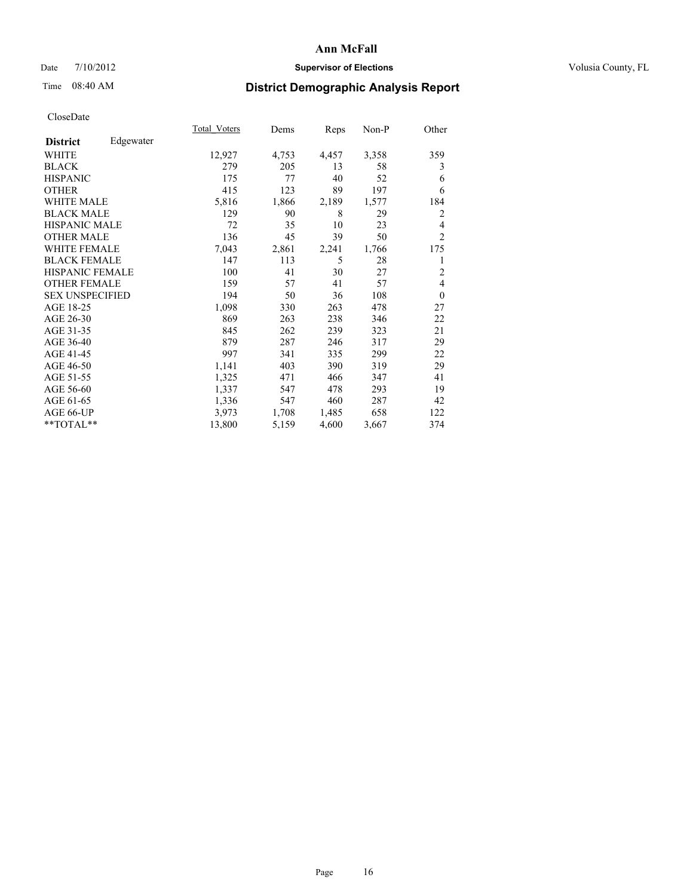## Date  $7/10/2012$  **Supervisor of Elections** Volusia County, FL

## Time 08:40 AM **District Demographic Analysis Report**

|                        |           | Total Voters | Dems  | Reps  | Non-P | Other          |
|------------------------|-----------|--------------|-------|-------|-------|----------------|
| <b>District</b>        | Edgewater |              |       |       |       |                |
| WHITE                  |           | 12,927       | 4,753 | 4,457 | 3,358 | 359            |
| <b>BLACK</b>           |           | 279          | 205   | 13    | 58    | 3              |
| <b>HISPANIC</b>        |           | 175          | 77    | 40    | 52    | 6              |
| <b>OTHER</b>           |           | 415          | 123   | 89    | 197   | 6              |
| WHITE MALE             |           | 5,816        | 1,866 | 2,189 | 1,577 | 184            |
| <b>BLACK MALE</b>      |           | 129          | 90    | 8     | 29    | $\overline{2}$ |
| <b>HISPANIC MALE</b>   |           | 72           | 35    | 10    | 23    | 4              |
| <b>OTHER MALE</b>      |           | 136          | 45    | 39    | 50    | $\overline{2}$ |
| <b>WHITE FEMALE</b>    |           | 7,043        | 2,861 | 2,241 | 1,766 | 175            |
| <b>BLACK FEMALE</b>    |           | 147          | 113   | 5     | 28    | 1              |
| <b>HISPANIC FEMALE</b> |           | 100          | 41    | 30    | 27    | $\overline{2}$ |
| <b>OTHER FEMALE</b>    |           | 159          | 57    | 41    | 57    | $\overline{4}$ |
| <b>SEX UNSPECIFIED</b> |           | 194          | 50    | 36    | 108   | $\theta$       |
| AGE 18-25              |           | 1,098        | 330   | 263   | 478   | 27             |
| AGE 26-30              |           | 869          | 263   | 238   | 346   | 22             |
| AGE 31-35              |           | 845          | 262   | 239   | 323   | 21             |
| AGE 36-40              |           | 879          | 287   | 246   | 317   | 29             |
| AGE 41-45              |           | 997          | 341   | 335   | 299   | 22             |
| AGE 46-50              |           | 1,141        | 403   | 390   | 319   | 29             |
| AGE 51-55              |           | 1,325        | 471   | 466   | 347   | 41             |
| AGE 56-60              |           | 1,337        | 547   | 478   | 293   | 19             |
| AGE 61-65              |           | 1,336        | 547   | 460   | 287   | 42             |
| AGE 66-UP              |           | 3,973        | 1,708 | 1,485 | 658   | 122            |
| **TOTAL**              |           | 13,800       | 5,159 | 4,600 | 3,667 | 374            |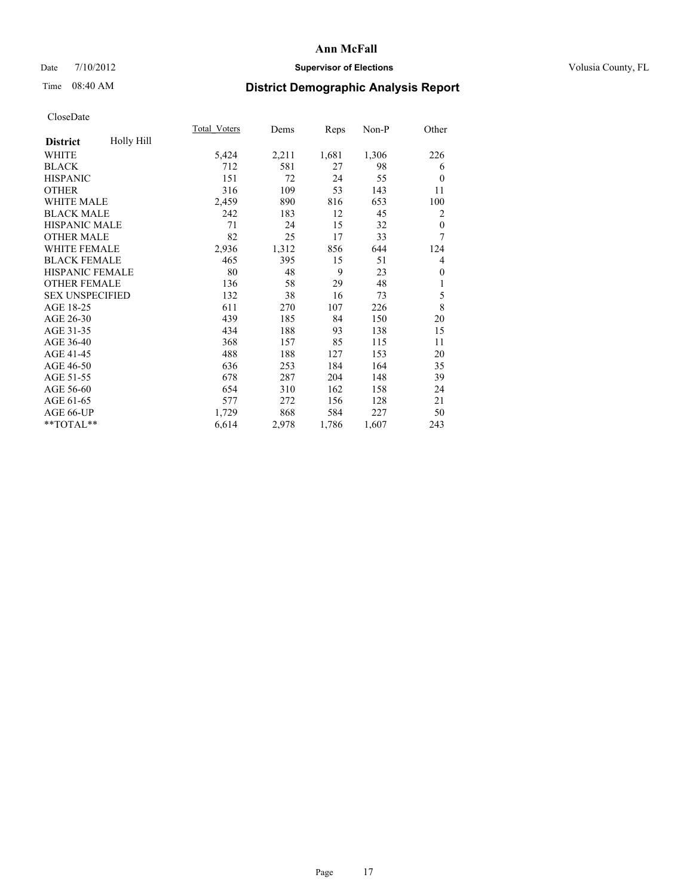## Date  $7/10/2012$  **Supervisor of Elections** Volusia County, FL

## Time 08:40 AM **District Demographic Analysis Report**

|                        |            | Total Voters | Dems  | Reps  | $Non-P$ | Other        |
|------------------------|------------|--------------|-------|-------|---------|--------------|
| <b>District</b>        | Holly Hill |              |       |       |         |              |
| WHITE                  |            | 5,424        | 2,211 | 1,681 | 1,306   | 226          |
| <b>BLACK</b>           |            | 712          | 581   | 27    | 98      | 6            |
| <b>HISPANIC</b>        |            | 151          | 72    | 24    | 55      | $\theta$     |
| <b>OTHER</b>           |            | 316          | 109   | 53    | 143     | 11           |
| <b>WHITE MALE</b>      |            | 2,459        | 890   | 816   | 653     | 100          |
| <b>BLACK MALE</b>      |            | 242          | 183   | 12    | 45      | 2            |
| <b>HISPANIC MALE</b>   |            | 71           | 24    | 15    | 32      | $\theta$     |
| <b>OTHER MALE</b>      |            | 82           | 25    | 17    | 33      | 7            |
| WHITE FEMALE           |            | 2,936        | 1,312 | 856   | 644     | 124          |
| <b>BLACK FEMALE</b>    |            | 465          | 395   | 15    | 51      | 4            |
| HISPANIC FEMALE        |            | 80           | 48    | 9     | 23      | $\mathbf{0}$ |
| <b>OTHER FEMALE</b>    |            | 136          | 58    | 29    | 48      | 1            |
| <b>SEX UNSPECIFIED</b> |            | 132          | 38    | 16    | 73      | 5            |
| AGE 18-25              |            | 611          | 270   | 107   | 226     | 8            |
| AGE 26-30              |            | 439          | 185   | 84    | 150     | 20           |
| AGE 31-35              |            | 434          | 188   | 93    | 138     | 15           |
| AGE 36-40              |            | 368          | 157   | 85    | 115     | 11           |
| AGE 41-45              |            | 488          | 188   | 127   | 153     | 20           |
| AGE 46-50              |            | 636          | 253   | 184   | 164     | 35           |
| AGE 51-55              |            | 678          | 287   | 204   | 148     | 39           |
| AGE 56-60              |            | 654          | 310   | 162   | 158     | 24           |
| AGE 61-65              |            | 577          | 272   | 156   | 128     | 21           |
| AGE 66-UP              |            | 1,729        | 868   | 584   | 227     | 50           |
| **TOTAL**              |            | 6,614        | 2,978 | 1,786 | 1,607   | 243          |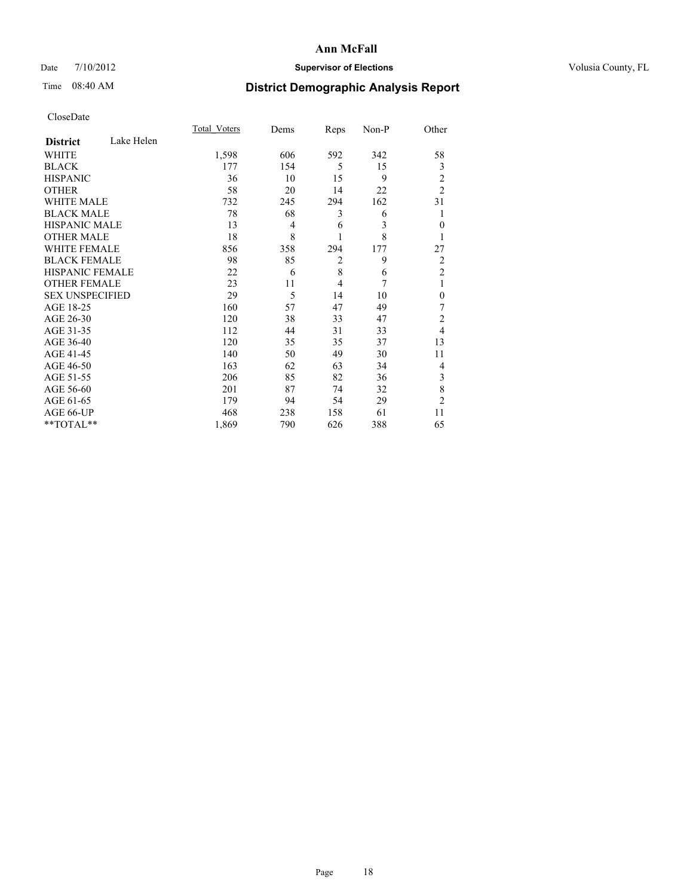## Date  $7/10/2012$  **Supervisor of Elections** Volusia County, FL

## Time 08:40 AM **District Demographic Analysis Report**

|                        |            | <b>Total Voters</b> | Dems           | Reps           | Non-P | Other                   |
|------------------------|------------|---------------------|----------------|----------------|-------|-------------------------|
| <b>District</b>        | Lake Helen |                     |                |                |       |                         |
| <b>WHITE</b>           |            | 1,598               | 606            | 592            | 342   | 58                      |
| <b>BLACK</b>           |            | 177                 | 154            | 5              | 15    | 3                       |
| <b>HISPANIC</b>        |            | 36                  | 10             | 15             | 9     | $\overline{\mathbf{c}}$ |
| <b>OTHER</b>           |            | 58                  | 20             | 14             | 22    | $\overline{2}$          |
| WHITE MALE             |            | 732                 | 245            | 294            | 162   | 31                      |
| <b>BLACK MALE</b>      |            | 78                  | 68             | 3              | 6     | 1                       |
| <b>HISPANIC MALE</b>   |            | 13                  | $\overline{4}$ | 6              | 3     | $\mathbf{0}$            |
| <b>OTHER MALE</b>      |            | 18                  | 8              | 1              | 8     | 1                       |
| <b>WHITE FEMALE</b>    |            | 856                 | 358            | 294            | 177   | 27                      |
| <b>BLACK FEMALE</b>    |            | 98                  | 85             | $\overline{c}$ | 9     | $\overline{c}$          |
| <b>HISPANIC FEMALE</b> |            | 22                  | 6              | 8              | 6     | $\overline{c}$          |
| <b>OTHER FEMALE</b>    |            | 23                  | 11             | $\overline{4}$ | 7     | 1                       |
| <b>SEX UNSPECIFIED</b> |            | 29                  | 5              | 14             | 10    | $\mathbf{0}$            |
| AGE 18-25              |            | 160                 | 57             | 47             | 49    | 7                       |
| AGE 26-30              |            | 120                 | 38             | 33             | 47    | $\overline{c}$          |
| AGE 31-35              |            | 112                 | 44             | 31             | 33    | $\overline{4}$          |
| AGE 36-40              |            | 120                 | 35             | 35             | 37    | 13                      |
| AGE 41-45              |            | 140                 | 50             | 49             | 30    | 11                      |
| AGE 46-50              |            | 163                 | 62             | 63             | 34    | 4                       |
| AGE 51-55              |            | 206                 | 85             | 82             | 36    | 3                       |
| AGE 56-60              |            | 201                 | 87             | 74             | 32    | 8                       |
| AGE 61-65              |            | 179                 | 94             | 54             | 29    | $\overline{c}$          |
| AGE 66-UP              |            | 468                 | 238            | 158            | 61    | 11                      |
| **TOTAL**              |            | 1,869               | 790            | 626            | 388   | 65                      |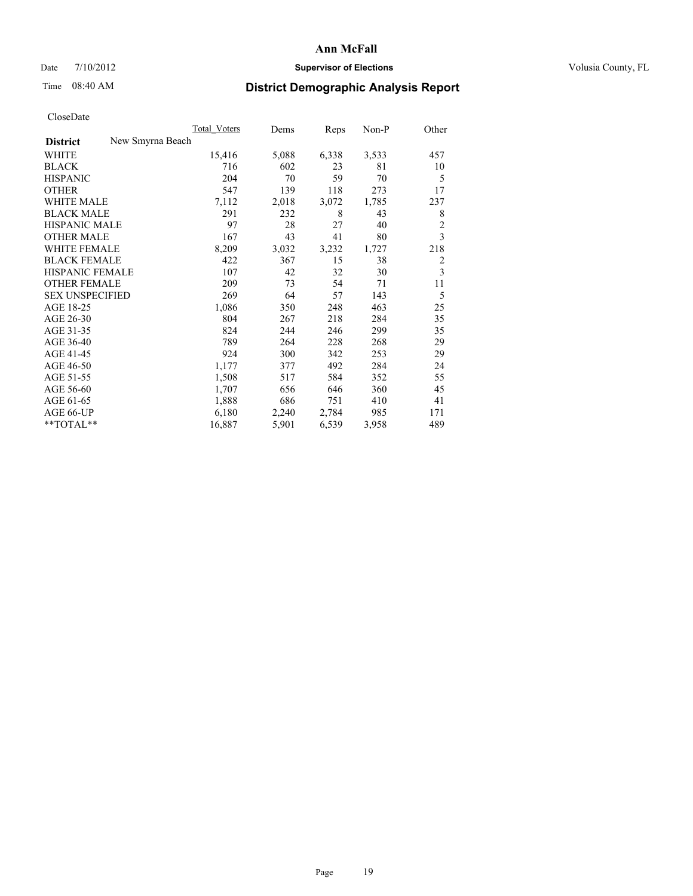## Date  $7/10/2012$  **Supervisor of Elections** Volusia County, FL

## Time 08:40 AM **District Demographic Analysis Report**

|                                     | Total Voters | Dems  | Reps  | Non-P | Other          |
|-------------------------------------|--------------|-------|-------|-------|----------------|
| New Smyrna Beach<br><b>District</b> |              |       |       |       |                |
| WHITE                               | 15,416       | 5,088 | 6,338 | 3,533 | 457            |
| <b>BLACK</b>                        | 716          | 602   | 23    | 81    | 10             |
| <b>HISPANIC</b>                     | 204          | 70    | 59    | 70    | 5              |
| <b>OTHER</b>                        | 547          | 139   | 118   | 273   | 17             |
| <b>WHITE MALE</b>                   | 7,112        | 2,018 | 3,072 | 1,785 | 237            |
| <b>BLACK MALE</b>                   | 291          | 232   | 8     | 43    | 8              |
| <b>HISPANIC MALE</b>                | 97           | 28    | 27    | 40    | $\overline{c}$ |
| <b>OTHER MALE</b>                   | 167          | 43    | 41    | 80    | 3              |
| <b>WHITE FEMALE</b>                 | 8,209        | 3,032 | 3,232 | 1,727 | 218            |
| <b>BLACK FEMALE</b>                 | 422          | 367   | 15    | 38    | $\overline{2}$ |
| <b>HISPANIC FEMALE</b>              | 107          | 42    | 32    | 30    | 3              |
| <b>OTHER FEMALE</b>                 | 209          | 73    | 54    | 71    | 11             |
| <b>SEX UNSPECIFIED</b>              | 269          | 64    | 57    | 143   | 5              |
| AGE 18-25                           | 1,086        | 350   | 248   | 463   | 25             |
| AGE 26-30                           | 804          | 267   | 218   | 284   | 35             |
| AGE 31-35                           | 824          | 244   | 246   | 299   | 35             |
| AGE 36-40                           | 789          | 264   | 228   | 268   | 29             |
| AGE 41-45                           | 924          | 300   | 342   | 253   | 29             |
| AGE 46-50                           | 1,177        | 377   | 492   | 284   | 24             |
| AGE 51-55                           | 1,508        | 517   | 584   | 352   | 55             |
| AGE 56-60                           | 1,707        | 656   | 646   | 360   | 45             |
| AGE 61-65                           | 1,888        | 686   | 751   | 410   | 41             |
| AGE 66-UP                           | 6,180        | 2,240 | 2,784 | 985   | 171            |
| **TOTAL**                           | 16,887       | 5,901 | 6,539 | 3,958 | 489            |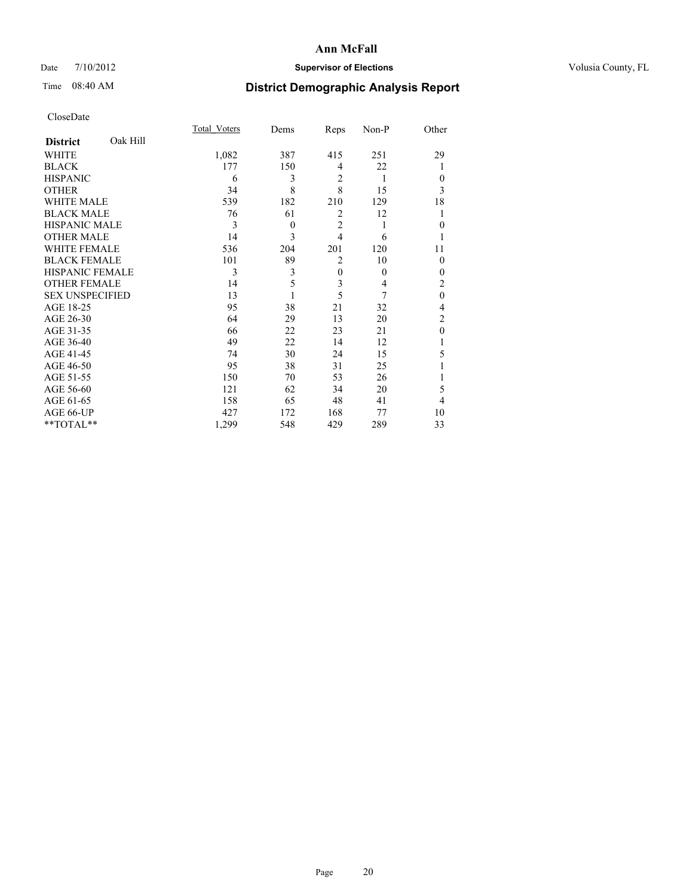## Date  $7/10/2012$  **Supervisor of Elections** Volusia County, FL

## Time 08:40 AM **District Demographic Analysis Report**

|                        |          | Total Voters | Dems     | Reps           | Non-P    | Other          |
|------------------------|----------|--------------|----------|----------------|----------|----------------|
| <b>District</b>        | Oak Hill |              |          |                |          |                |
| WHITE                  |          | 1,082        | 387      | 415            | 251      | 29             |
| <b>BLACK</b>           |          | 177          | 150      | 4              | 22       | 1              |
| <b>HISPANIC</b>        |          | 6            | 3        | $\overline{2}$ | 1        | $\Omega$       |
| <b>OTHER</b>           |          | 34           | 8        | 8              | 15       | 3              |
| WHITE MALE             |          | 539          | 182      | 210            | 129      | 18             |
| <b>BLACK MALE</b>      |          | 76           | 61       | $\overline{2}$ | 12       |                |
| <b>HISPANIC MALE</b>   |          | 3            | $\theta$ | $\overline{2}$ | 1        | $\Omega$       |
| <b>OTHER MALE</b>      |          | 14           | 3        | $\overline{4}$ | 6        |                |
| WHITE FEMALE           |          | 536          | 204      | 201            | 120      | 11             |
| <b>BLACK FEMALE</b>    |          | 101          | 89       | $\overline{2}$ | 10       | $\Omega$       |
| <b>HISPANIC FEMALE</b> |          | 3            | 3        | $\overline{0}$ | $\theta$ | $\Omega$       |
| <b>OTHER FEMALE</b>    |          | 14           | 5        | 3              | 4        | 2              |
| <b>SEX UNSPECIFIED</b> |          | 13           |          | 5              | 7        | $\mathbf{0}$   |
| AGE 18-25              |          | 95           | 38       | 21             | 32       | 4              |
| AGE 26-30              |          | 64           | 29       | 13             | 20       | $\overline{2}$ |
| AGE 31-35              |          | 66           | 22       | 23             | 21       | $\theta$       |
| AGE 36-40              |          | 49           | 22       | 14             | 12       |                |
| AGE 41-45              |          | 74           | 30       | 24             | 15       | 5              |
| AGE 46-50              |          | 95           | 38       | 31             | 25       |                |
| AGE 51-55              |          | 150          | 70       | 53             | 26       |                |
| AGE 56-60              |          | 121          | 62       | 34             | 20       | 5              |
| AGE 61-65              |          | 158          | 65       | 48             | 41       | 4              |
| AGE 66-UP              |          | 427          | 172      | 168            | 77       | 10             |
| **TOTAL**              |          | 1,299        | 548      | 429            | 289      | 33             |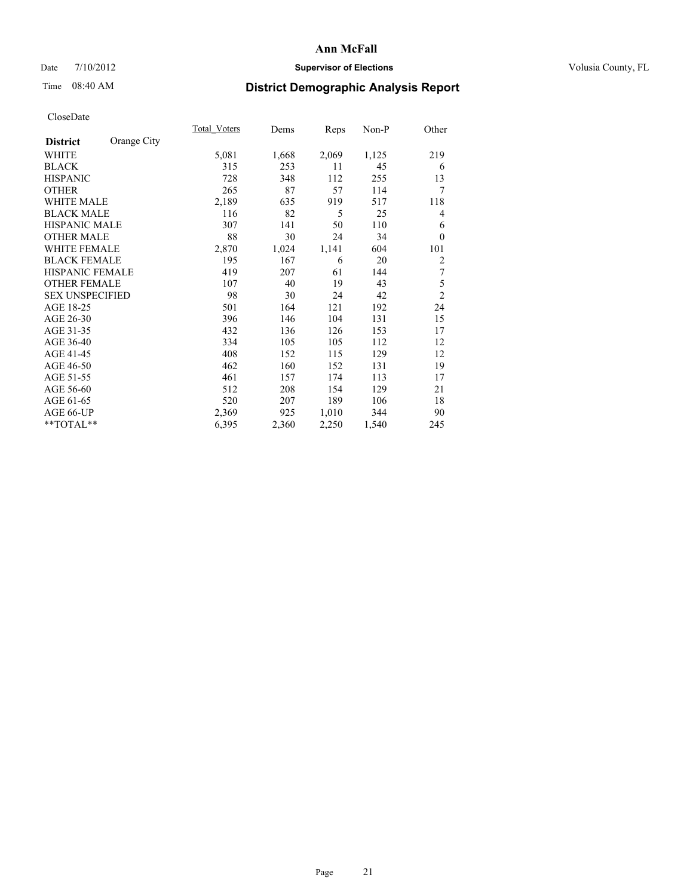## Date  $7/10/2012$  **Supervisor of Elections** Volusia County, FL

## Time 08:40 AM **District Demographic Analysis Report**

|                        |             | Total Voters | Dems  | Reps  | Non-P | Other          |
|------------------------|-------------|--------------|-------|-------|-------|----------------|
| <b>District</b>        | Orange City |              |       |       |       |                |
| <b>WHITE</b>           |             | 5,081        | 1,668 | 2,069 | 1,125 | 219            |
| <b>BLACK</b>           |             | 315          | 253   | 11    | 45    | 6              |
| <b>HISPANIC</b>        |             | 728          | 348   | 112   | 255   | 13             |
| <b>OTHER</b>           |             | 265          | 87    | 57    | 114   | 7              |
| <b>WHITE MALE</b>      |             | 2,189        | 635   | 919   | 517   | 118            |
| <b>BLACK MALE</b>      |             | 116          | 82    | 5     | 25    | 4              |
| HISPANIC MALE          |             | 307          | 141   | 50    | 110   | 6              |
| <b>OTHER MALE</b>      |             | 88           | 30    | 24    | 34    | $\theta$       |
| <b>WHITE FEMALE</b>    |             | 2,870        | 1,024 | 1,141 | 604   | 101            |
| <b>BLACK FEMALE</b>    |             | 195          | 167   | 6     | 20    | $\overline{c}$ |
| <b>HISPANIC FEMALE</b> |             | 419          | 207   | 61    | 144   | 7              |
| <b>OTHER FEMALE</b>    |             | 107          | 40    | 19    | 43    | 5              |
| <b>SEX UNSPECIFIED</b> |             | 98           | 30    | 24    | 42    | $\overline{c}$ |
| AGE 18-25              |             | 501          | 164   | 121   | 192   | 24             |
| AGE 26-30              |             | 396          | 146   | 104   | 131   | 15             |
| AGE 31-35              |             | 432          | 136   | 126   | 153   | 17             |
| AGE 36-40              |             | 334          | 105   | 105   | 112   | 12             |
| AGE 41-45              |             | 408          | 152   | 115   | 129   | 12             |
| AGE 46-50              |             | 462          | 160   | 152   | 131   | 19             |
| AGE 51-55              |             | 461          | 157   | 174   | 113   | 17             |
| AGE 56-60              |             | 512          | 208   | 154   | 129   | 21             |
| AGE 61-65              |             | 520          | 207   | 189   | 106   | 18             |
| AGE 66-UP              |             | 2,369        | 925   | 1,010 | 344   | 90             |
| **TOTAL**              |             | 6,395        | 2,360 | 2,250 | 1,540 | 245            |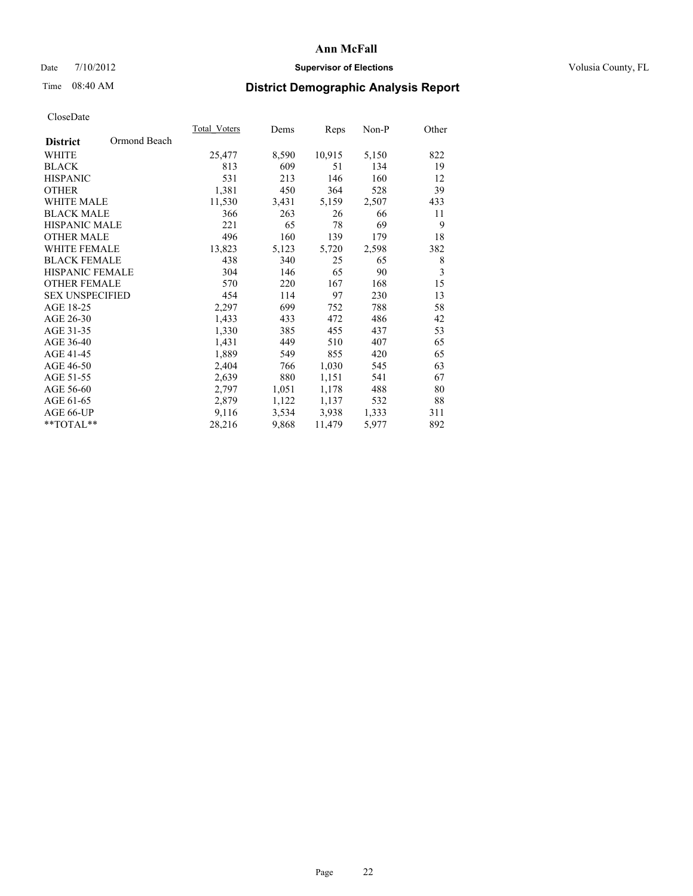## Date  $7/10/2012$  **Supervisor of Elections** Volusia County, FL

## Time 08:40 AM **District Demographic Analysis Report**

|                        |              | <b>Total Voters</b> | Dems  | <b>Reps</b> | Non-P | Other |
|------------------------|--------------|---------------------|-------|-------------|-------|-------|
| <b>District</b>        | Ormond Beach |                     |       |             |       |       |
| WHITE                  |              | 25,477              | 8,590 | 10,915      | 5,150 | 822   |
| <b>BLACK</b>           |              | 813                 | 609   | 51          | 134   | 19    |
| <b>HISPANIC</b>        |              | 531                 | 213   | 146         | 160   | 12    |
| <b>OTHER</b>           |              | 1,381               | 450   | 364         | 528   | 39    |
| <b>WHITE MALE</b>      |              | 11,530              | 3,431 | 5,159       | 2,507 | 433   |
| <b>BLACK MALE</b>      |              | 366                 | 263   | 26          | 66    | 11    |
| <b>HISPANIC MALE</b>   |              | 221                 | 65    | 78          | 69    | 9     |
| <b>OTHER MALE</b>      |              | 496                 | 160   | 139         | 179   | 18    |
| WHITE FEMALE           |              | 13,823              | 5,123 | 5,720       | 2,598 | 382   |
| <b>BLACK FEMALE</b>    |              | 438                 | 340   | 25          | 65    | 8     |
| HISPANIC FEMALE        |              | 304                 | 146   | 65          | 90    | 3     |
| <b>OTHER FEMALE</b>    |              | 570                 | 220   | 167         | 168   | 15    |
| <b>SEX UNSPECIFIED</b> |              | 454                 | 114   | 97          | 230   | 13    |
| AGE 18-25              |              | 2,297               | 699   | 752         | 788   | 58    |
| AGE 26-30              |              | 1,433               | 433   | 472         | 486   | 42    |
| AGE 31-35              |              | 1,330               | 385   | 455         | 437   | 53    |
| AGE 36-40              |              | 1,431               | 449   | 510         | 407   | 65    |
| AGE 41-45              |              | 1,889               | 549   | 855         | 420   | 65    |
| AGE 46-50              |              | 2,404               | 766   | 1,030       | 545   | 63    |
| AGE 51-55              |              | 2,639               | 880   | 1,151       | 541   | 67    |
| AGE 56-60              |              | 2,797               | 1,051 | 1,178       | 488   | 80    |
| AGE 61-65              |              | 2,879               | 1,122 | 1,137       | 532   | 88    |
| AGE 66-UP              |              | 9,116               | 3,534 | 3,938       | 1,333 | 311   |
| $*$ $TOTAL**$          |              | 28,216              | 9,868 | 11,479      | 5,977 | 892   |
|                        |              |                     |       |             |       |       |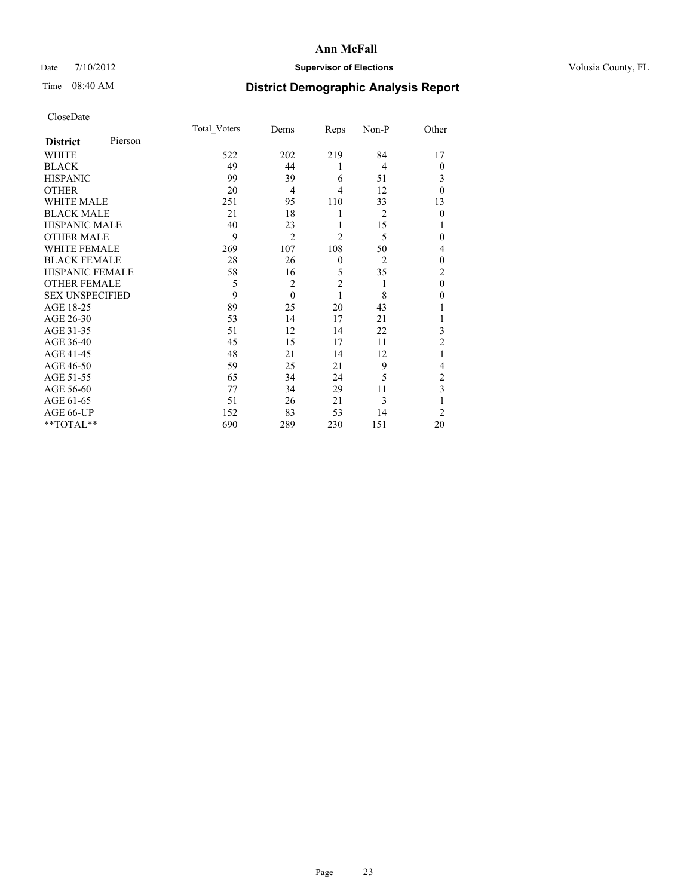## Date  $7/10/2012$  **Supervisor of Elections** Volusia County, FL

## Time 08:40 AM **District Demographic Analysis Report**

|                        |         | Total Voters | Dems           | Reps           | Non-P          | Other          |
|------------------------|---------|--------------|----------------|----------------|----------------|----------------|
| <b>District</b>        | Pierson |              |                |                |                |                |
| WHITE                  |         | 522          | 202            | 219            | 84             | 17             |
| <b>BLACK</b>           |         | 49           | 44             | 1              | 4              | $\theta$       |
| <b>HISPANIC</b>        |         | 99           | 39             | 6              | 51             | 3              |
| <b>OTHER</b>           |         | 20           | $\overline{4}$ | 4              | 12             | $\theta$       |
| WHITE MALE             |         | 251          | 95             | 110            | 33             | 13             |
| <b>BLACK MALE</b>      |         | 21           | 18             | 1              | $\overline{2}$ | $\mathbf{0}$   |
| <b>HISPANIC MALE</b>   |         | 40           | 23             | 1              | 15             |                |
| <b>OTHER MALE</b>      |         | 9            | $\overline{2}$ | $\overline{2}$ | 5              | 0              |
| WHITE FEMALE           |         | 269          | 107            | 108            | 50             | 4              |
| <b>BLACK FEMALE</b>    |         | 28           | 26             | $\mathbf{0}$   | $\overline{2}$ | $\theta$       |
| <b>HISPANIC FEMALE</b> |         | 58           | 16             | 5              | 35             | $\overline{c}$ |
| <b>OTHER FEMALE</b>    |         | 5            | $\overline{c}$ | $\overline{c}$ | 1              | $\theta$       |
| <b>SEX UNSPECIFIED</b> |         | 9            | $\mathbf{0}$   | 1              | 8              | $\theta$       |
| AGE 18-25              |         | 89           | 25             | 20             | 43             |                |
| AGE 26-30              |         | 53           | 14             | 17             | 21             | 1              |
| AGE 31-35              |         | 51           | 12             | 14             | 22             | 3              |
| AGE 36-40              |         | 45           | 15             | 17             | 11             | $\overline{2}$ |
| AGE 41-45              |         | 48           | 21             | 14             | 12             |                |
| AGE 46-50              |         | 59           | 25             | 21             | 9              | 4              |
| AGE 51-55              |         | 65           | 34             | 24             | 5              | 2              |
| AGE 56-60              |         | 77           | 34             | 29             | 11             | 3              |
| AGE 61-65              |         | 51           | 26             | 21             | 3              | 1              |
| AGE 66-UP              |         | 152          | 83             | 53             | 14             | $\overline{2}$ |
| **TOTAL**              |         | 690          | 289            | 230            | 151            | 20             |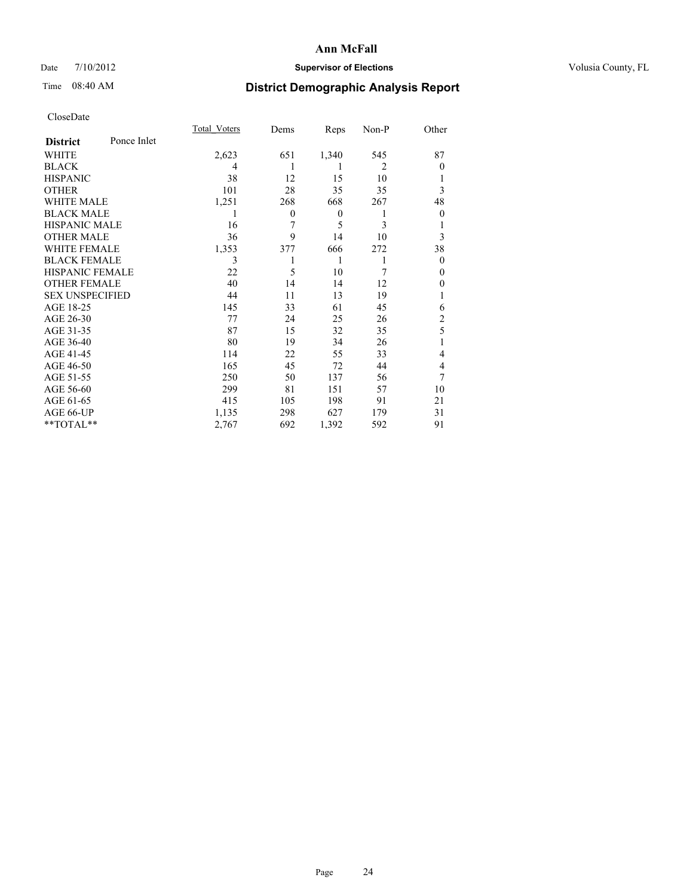## Date  $7/10/2012$  **Supervisor of Elections** Volusia County, FL

## Time 08:40 AM **District Demographic Analysis Report**

|                        |             | <b>Total Voters</b> | Dems         | Reps     | Non-P          | Other          |
|------------------------|-------------|---------------------|--------------|----------|----------------|----------------|
| <b>District</b>        | Ponce Inlet |                     |              |          |                |                |
| WHITE                  |             | 2,623               | 651          | 1,340    | 545            | 87             |
| <b>BLACK</b>           |             | 4                   |              | 1        | $\overline{2}$ | $\theta$       |
| <b>HISPANIC</b>        |             | 38                  | 12           | 15       | 10             | 1              |
| <b>OTHER</b>           |             | 101                 | 28           | 35       | 35             | 3              |
| WHITE MALE             |             | 1,251               | 268          | 668      | 267            | 48             |
| <b>BLACK MALE</b>      |             | 1                   | $\mathbf{0}$ | $\theta$ | 1              | $\theta$       |
| <b>HISPANIC MALE</b>   |             | 16                  | 7            | 5        | 3              | 1              |
| <b>OTHER MALE</b>      |             | 36                  | 9            | 14       | 10             | 3              |
| WHITE FEMALE           |             | 1,353               | 377          | 666      | 272            | 38             |
| <b>BLACK FEMALE</b>    |             | 3                   |              | 1        | 1              | $\theta$       |
| <b>HISPANIC FEMALE</b> |             | 22                  | 5            | 10       | 7              | $\Omega$       |
| <b>OTHER FEMALE</b>    |             | 40                  | 14           | 14       | 12             | $\theta$       |
| <b>SEX UNSPECIFIED</b> |             | 44                  | 11           | 13       | 19             | 1              |
| AGE 18-25              |             | 145                 | 33           | 61       | 45             | 6              |
| AGE 26-30              |             | 77                  | 24           | 25       | 26             | $\overline{c}$ |
| AGE 31-35              |             | 87                  | 15           | 32       | 35             | 5              |
| AGE 36-40              |             | 80                  | 19           | 34       | 26             | 1              |
| AGE 41-45              |             | 114                 | 22           | 55       | 33             | 4              |
| AGE 46-50              |             | 165                 | 45           | 72       | 44             | 4              |
| AGE 51-55              |             | 250                 | 50           | 137      | 56             | 7              |
| AGE 56-60              |             | 299                 | 81           | 151      | 57             | 10             |
| AGE 61-65              |             | 415                 | 105          | 198      | 91             | 21             |
| AGE 66-UP              |             | 1,135               | 298          | 627      | 179            | 31             |
| **TOTAL**              |             | 2,767               | 692          | 1,392    | 592            | 91             |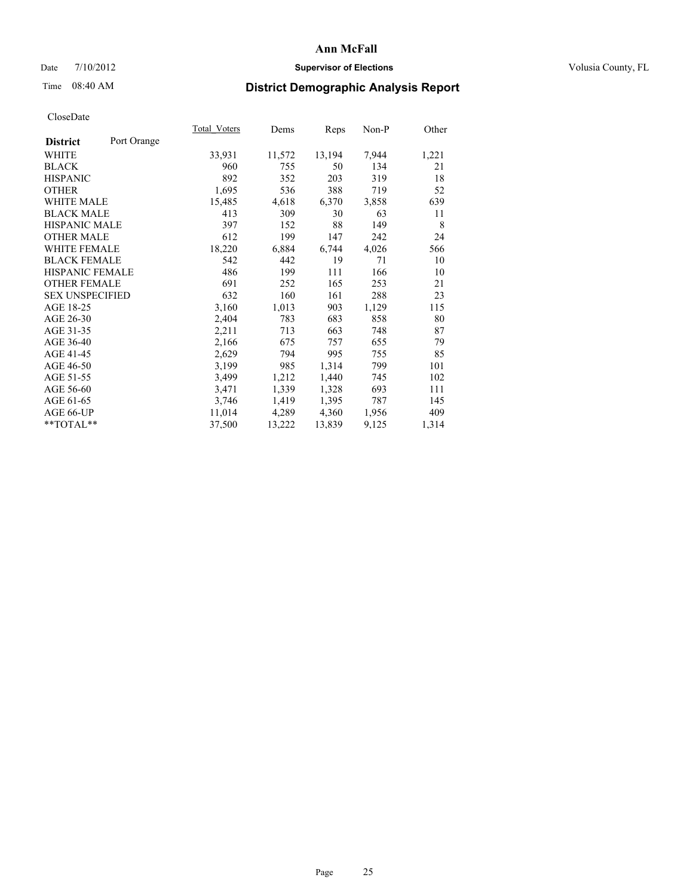## Date  $7/10/2012$  **Supervisor of Elections** Volusia County, FL

# Time 08:40 AM **District Demographic Analysis Report**

|                        |             | Total Voters | Dems   | Reps   | Non-P | Other |
|------------------------|-------------|--------------|--------|--------|-------|-------|
| <b>District</b>        | Port Orange |              |        |        |       |       |
| <b>WHITE</b>           |             | 33,931       | 11,572 | 13,194 | 7,944 | 1,221 |
| <b>BLACK</b>           |             | 960          | 755    | 50     | 134   | 21    |
| <b>HISPANIC</b>        |             | 892          | 352    | 203    | 319   | 18    |
| <b>OTHER</b>           |             | 1,695        | 536    | 388    | 719   | 52    |
| <b>WHITE MALE</b>      |             | 15,485       | 4,618  | 6,370  | 3,858 | 639   |
| <b>BLACK MALE</b>      |             | 413          | 309    | 30     | 63    | 11    |
| <b>HISPANIC MALE</b>   |             | 397          | 152    | 88     | 149   | 8     |
| <b>OTHER MALE</b>      |             | 612          | 199    | 147    | 242   | 24    |
| <b>WHITE FEMALE</b>    |             | 18,220       | 6,884  | 6,744  | 4,026 | 566   |
| <b>BLACK FEMALE</b>    |             | 542          | 442    | 19     | 71    | 10    |
| HISPANIC FEMALE        |             | 486          | 199    | 111    | 166   | 10    |
| <b>OTHER FEMALE</b>    |             | 691          | 252    | 165    | 253   | 21    |
| <b>SEX UNSPECIFIED</b> |             | 632          | 160    | 161    | 288   | 23    |
| AGE 18-25              |             | 3,160        | 1,013  | 903    | 1,129 | 115   |
| AGE 26-30              |             | 2,404        | 783    | 683    | 858   | 80    |
| AGE 31-35              |             | 2,211        | 713    | 663    | 748   | 87    |
| AGE 36-40              |             | 2,166        | 675    | 757    | 655   | 79    |
| AGE 41-45              |             | 2,629        | 794    | 995    | 755   | 85    |
| AGE 46-50              |             | 3,199        | 985    | 1,314  | 799   | 101   |
| AGE 51-55              |             | 3,499        | 1,212  | 1,440  | 745   | 102   |
| AGE 56-60              |             | 3,471        | 1,339  | 1,328  | 693   | 111   |
| AGE 61-65              |             | 3,746        | 1,419  | 1,395  | 787   | 145   |
| AGE 66-UP              |             | 11,014       | 4,289  | 4,360  | 1,956 | 409   |
| **TOTAL**              |             | 37,500       | 13,222 | 13,839 | 9,125 | 1,314 |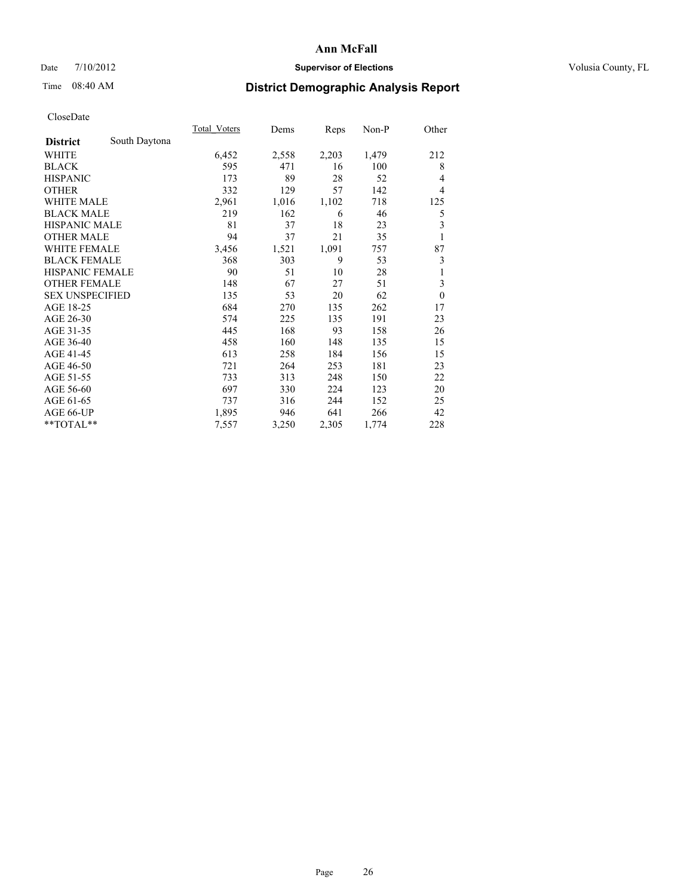## Date  $7/10/2012$  **Supervisor of Elections** Volusia County, FL

## Time 08:40 AM **District Demographic Analysis Report**

|                        |               | Total Voters | Dems  | Reps  | Non-P | Other                   |
|------------------------|---------------|--------------|-------|-------|-------|-------------------------|
| <b>District</b>        | South Daytona |              |       |       |       |                         |
| WHITE                  |               | 6,452        | 2,558 | 2,203 | 1,479 | 212                     |
| <b>BLACK</b>           |               | 595          | 471   | 16    | 100   | 8                       |
| <b>HISPANIC</b>        |               | 173          | 89    | 28    | 52    | $\overline{4}$          |
| <b>OTHER</b>           |               | 332          | 129   | 57    | 142   | $\overline{4}$          |
| WHITE MALE             |               | 2,961        | 1,016 | 1,102 | 718   | 125                     |
| <b>BLACK MALE</b>      |               | 219          | 162   | 6     | 46    | 5                       |
| <b>HISPANIC MALE</b>   |               | 81           | 37    | 18    | 23    | $\overline{\mathbf{3}}$ |
| <b>OTHER MALE</b>      |               | 94           | 37    | 21    | 35    | 1                       |
| <b>WHITE FEMALE</b>    |               | 3,456        | 1,521 | 1,091 | 757   | 87                      |
| <b>BLACK FEMALE</b>    |               | 368          | 303   | 9     | 53    | 3                       |
| <b>HISPANIC FEMALE</b> |               | 90           | 51    | 10    | 28    | 1                       |
| <b>OTHER FEMALE</b>    |               | 148          | 67    | 27    | 51    | 3                       |
| <b>SEX UNSPECIFIED</b> |               | 135          | 53    | 20    | 62    | $\theta$                |
| AGE 18-25              |               | 684          | 270   | 135   | 262   | 17                      |
| AGE 26-30              |               | 574          | 225   | 135   | 191   | 23                      |
| AGE 31-35              |               | 445          | 168   | 93    | 158   | 26                      |
| AGE 36-40              |               | 458          | 160   | 148   | 135   | 15                      |
| AGE 41-45              |               | 613          | 258   | 184   | 156   | 15                      |
| AGE 46-50              |               | 721          | 264   | 253   | 181   | 23                      |
| AGE 51-55              |               | 733          | 313   | 248   | 150   | 22                      |
| AGE 56-60              |               | 697          | 330   | 224   | 123   | 20                      |
| AGE 61-65              |               | 737          | 316   | 244   | 152   | 25                      |
| AGE 66-UP              |               | 1,895        | 946   | 641   | 266   | 42                      |
| **TOTAL**              |               | 7,557        | 3,250 | 2,305 | 1,774 | 228                     |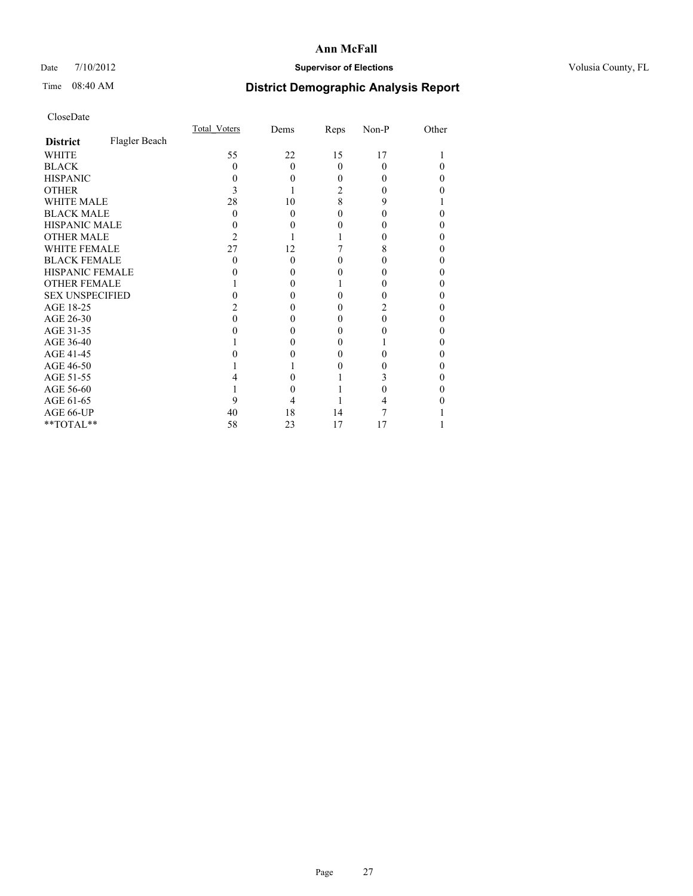## Date  $7/10/2012$  **Supervisor of Elections** Volusia County, FL

# Time 08:40 AM **District Demographic Analysis Report**

|                        |               | Total Voters | Dems     | Reps     | Non-P    | Other |
|------------------------|---------------|--------------|----------|----------|----------|-------|
| <b>District</b>        | Flagler Beach |              |          |          |          |       |
| <b>WHITE</b>           |               | 55           | 22       | 15       | 17       |       |
| <b>BLACK</b>           |               | 0            | $\Omega$ | $\Omega$ | $\theta$ |       |
| <b>HISPANIC</b>        |               |              | 0        | 0        |          | 0     |
| <b>OTHER</b>           |               |              |          | 2        |          |       |
| <b>WHITE MALE</b>      |               | 28           | 10       | 8        | 9        |       |
| <b>BLACK MALE</b>      |               | 0            | $\Omega$ | 0        |          | 0     |
| HISPANIC MALE          |               |              | 0        | 0        |          | 0     |
| <b>OTHER MALE</b>      |               | 2            |          |          |          | 0     |
| <b>WHITE FEMALE</b>    |               | 27           | 12       |          | 8        |       |
| <b>BLACK FEMALE</b>    |               | 0            | $\Omega$ | 0        |          | 0     |
| <b>HISPANIC FEMALE</b> |               |              | $\theta$ |          |          |       |
| <b>OTHER FEMALE</b>    |               |              | $\theta$ |          |          | 0     |
| <b>SEX UNSPECIFIED</b> |               |              |          | 0        |          | 0     |
| AGE 18-25              |               |              | $\theta$ | 0        |          | 0     |
| AGE 26-30              |               |              | 0        | 0        |          | 0     |
| AGE 31-35              |               |              |          | 0        |          |       |
| AGE 36-40              |               |              | 0        | 0        |          | 0     |
| AGE 41-45              |               |              |          | 0        |          |       |
| AGE 46-50              |               |              |          | 0        |          | 0     |
| AGE 51-55              |               |              |          |          |          |       |
| AGE 56-60              |               |              |          |          |          | 0     |
| AGE 61-65              |               |              |          |          |          |       |
| AGE 66-UP              |               | 40           | 18       | 14       |          |       |
| **TOTAL**              |               | 58           | 23       | 17       | 17       |       |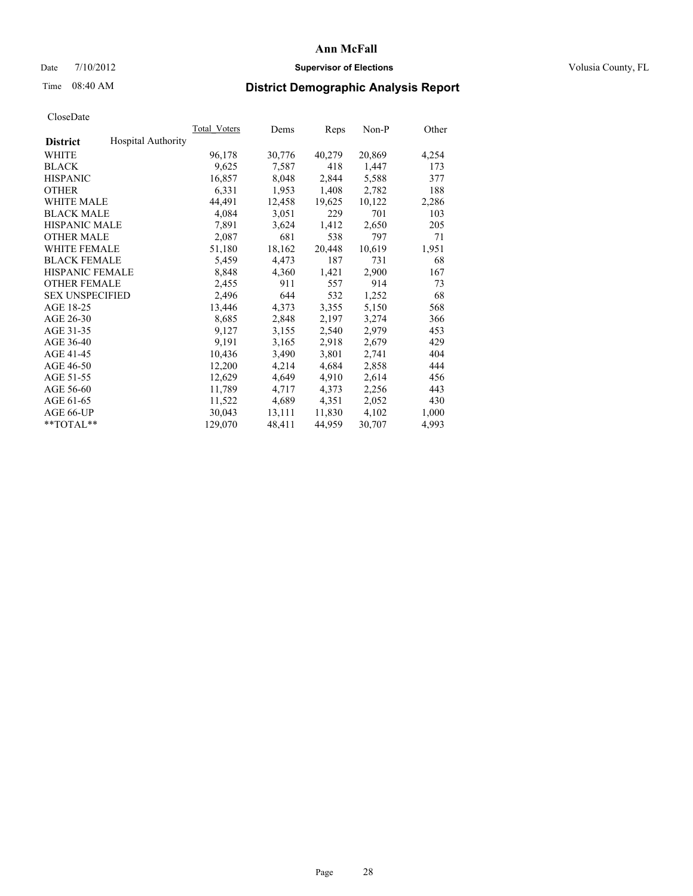## Date  $7/10/2012$  **Supervisor of Elections** Volusia County, FL

# Time 08:40 AM **District Demographic Analysis Report**

| Total Voters              | Dems   | <b>Reps</b> | Non-P  | Other |
|---------------------------|--------|-------------|--------|-------|
| <b>Hospital Authority</b> |        |             |        |       |
| 96,178                    | 30,776 | 40,279      | 20,869 | 4,254 |
| 9,625                     | 7.587  | 418         | 1,447  | 173   |
| 16,857                    | 8,048  | 2,844       | 5,588  | 377   |
| 6,331                     | 1,953  | 1,408       | 2,782  | 188   |
| 44,491                    | 12,458 | 19,625      | 10,122 | 2,286 |
| 4,084                     | 3,051  | 229         | 701    | 103   |
| 7,891                     | 3,624  | 1,412       | 2,650  | 205   |
| 2,087                     | 681    | 538         | 797    | 71    |
| 51,180                    | 18,162 | 20,448      | 10,619 | 1,951 |
| 5,459                     | 4,473  | 187         | 731    | 68    |
| 8,848                     | 4,360  | 1,421       | 2,900  | 167   |
| 2,455                     | 911    | 557         | 914    | 73    |
| 2,496                     | 644    | 532         | 1,252  | 68    |
| 13,446                    | 4,373  | 3,355       | 5,150  | 568   |
| 8,685                     | 2,848  | 2,197       | 3,274  | 366   |
| 9,127                     | 3,155  | 2,540       | 2,979  | 453   |
| 9,191                     | 3,165  | 2,918       | 2,679  | 429   |
| 10,436                    | 3,490  | 3,801       | 2,741  | 404   |
| 12,200                    | 4,214  | 4,684       | 2,858  | 444   |
| 12,629                    | 4,649  | 4,910       | 2,614  | 456   |
| 11,789                    | 4,717  | 4,373       | 2,256  | 443   |
| 11,522                    | 4,689  | 4,351       | 2,052  | 430   |
| 30,043                    | 13,111 | 11,830      | 4,102  | 1,000 |
| 129,070                   | 48,411 | 44,959      | 30,707 | 4,993 |
|                           |        |             |        |       |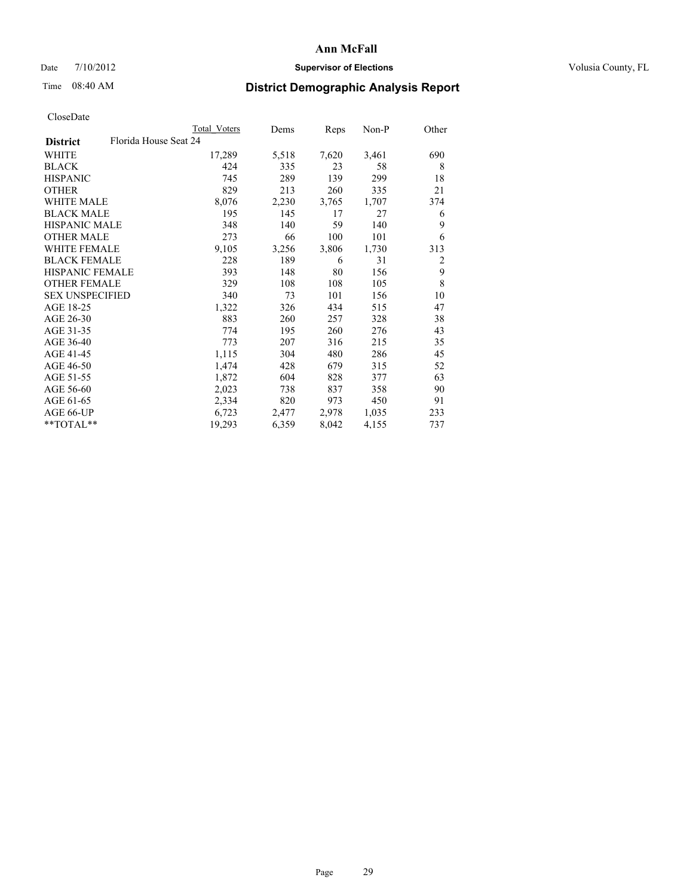## Date  $7/10/2012$  **Supervisor of Elections** Volusia County, FL

# Time 08:40 AM **District Demographic Analysis Report**

|                                          | Total Voters | Dems  | Reps  | Non-P | Other          |
|------------------------------------------|--------------|-------|-------|-------|----------------|
| Florida House Seat 24<br><b>District</b> |              |       |       |       |                |
| WHITE                                    | 17,289       | 5,518 | 7,620 | 3,461 | 690            |
| <b>BLACK</b>                             | 424          | 335   | 23    | 58    | 8              |
| <b>HISPANIC</b>                          | 745          | 289   | 139   | 299   | 18             |
| <b>OTHER</b>                             | 829          | 213   | 260   | 335   | 21             |
| WHITE MALE                               | 8,076        | 2,230 | 3,765 | 1,707 | 374            |
| <b>BLACK MALE</b>                        | 195          | 145   | 17    | 27    | 6              |
| <b>HISPANIC MALE</b>                     | 348          | 140   | 59    | 140   | 9              |
| <b>OTHER MALE</b>                        | 273          | 66    | 100   | 101   | 6              |
| <b>WHITE FEMALE</b>                      | 9,105        | 3,256 | 3,806 | 1,730 | 313            |
| <b>BLACK FEMALE</b>                      | 228          | 189   | 6     | 31    | $\overline{2}$ |
| HISPANIC FEMALE                          | 393          | 148   | 80    | 156   | 9              |
| <b>OTHER FEMALE</b>                      | 329          | 108   | 108   | 105   | 8              |
| <b>SEX UNSPECIFIED</b>                   | 340          | 73    | 101   | 156   | 10             |
| AGE 18-25                                | 1,322        | 326   | 434   | 515   | 47             |
| AGE 26-30                                | 883          | 260   | 257   | 328   | 38             |
| AGE 31-35                                | 774          | 195   | 260   | 276   | 43             |
| AGE 36-40                                | 773          | 207   | 316   | 215   | 35             |
| AGE 41-45                                | 1,115        | 304   | 480   | 286   | 45             |
| AGE 46-50                                | 1,474        | 428   | 679   | 315   | 52             |
| AGE 51-55                                | 1,872        | 604   | 828   | 377   | 63             |
| AGE 56-60                                | 2,023        | 738   | 837   | 358   | 90             |
| AGE 61-65                                | 2,334        | 820   | 973   | 450   | 91             |
| AGE 66-UP                                | 6,723        | 2,477 | 2,978 | 1,035 | 233            |
| **TOTAL**                                | 19,293       | 6,359 | 8,042 | 4,155 | 737            |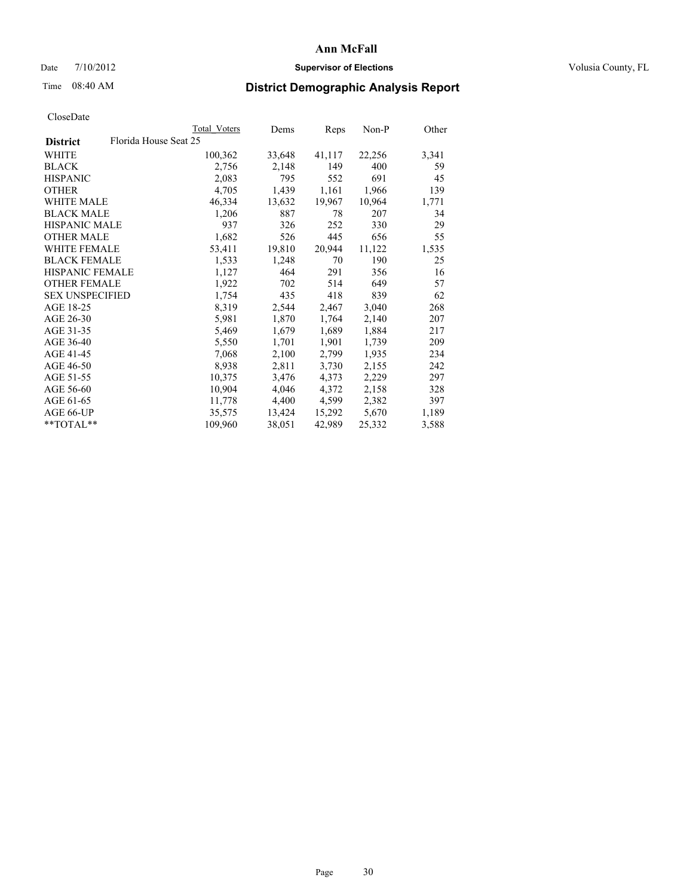## Date  $7/10/2012$  **Supervisor of Elections** Volusia County, FL

# Time 08:40 AM **District Demographic Analysis Report**

|                                          | Total Voters | Dems   | <b>Reps</b> | $Non-P$ | Other |
|------------------------------------------|--------------|--------|-------------|---------|-------|
| Florida House Seat 25<br><b>District</b> |              |        |             |         |       |
| WHITE                                    | 100,362      | 33,648 | 41,117      | 22,256  | 3,341 |
| <b>BLACK</b>                             | 2,756        | 2,148  | 149         | 400     | 59    |
| <b>HISPANIC</b>                          | 2,083        | 795    | 552         | 691     | 45    |
| <b>OTHER</b>                             | 4,705        | 1,439  | 1,161       | 1,966   | 139   |
| WHITE MALE                               | 46,334       | 13,632 | 19,967      | 10,964  | 1,771 |
| <b>BLACK MALE</b>                        | 1,206        | 887    | 78          | 207     | 34    |
| <b>HISPANIC MALE</b>                     | 937          | 326    | 252         | 330     | 29    |
| <b>OTHER MALE</b>                        | 1,682        | 526    | 445         | 656     | 55    |
| <b>WHITE FEMALE</b>                      | 53,411       | 19,810 | 20,944      | 11,122  | 1,535 |
| <b>BLACK FEMALE</b>                      | 1,533        | 1,248  | 70          | 190     | 25    |
| <b>HISPANIC FEMALE</b>                   | 1,127        | 464    | 291         | 356     | 16    |
| <b>OTHER FEMALE</b>                      | 1,922        | 702    | 514         | 649     | 57    |
| <b>SEX UNSPECIFIED</b>                   | 1,754        | 435    | 418         | 839     | 62    |
| AGE 18-25                                | 8,319        | 2,544  | 2,467       | 3,040   | 268   |
| AGE 26-30                                | 5,981        | 1,870  | 1,764       | 2,140   | 207   |
| AGE 31-35                                | 5,469        | 1,679  | 1,689       | 1,884   | 217   |
| AGE 36-40                                | 5,550        | 1,701  | 1,901       | 1,739   | 209   |
| AGE 41-45                                | 7,068        | 2,100  | 2,799       | 1,935   | 234   |
| AGE 46-50                                | 8,938        | 2,811  | 3,730       | 2,155   | 242   |
| AGE 51-55                                | 10,375       | 3,476  | 4,373       | 2,229   | 297   |
| AGE 56-60                                | 10,904       | 4,046  | 4,372       | 2,158   | 328   |
| AGE 61-65                                | 11,778       | 4,400  | 4,599       | 2,382   | 397   |
| AGE 66-UP                                | 35,575       | 13,424 | 15,292      | 5,670   | 1,189 |
| **TOTAL**                                | 109,960      | 38,051 | 42,989      | 25,332  | 3,588 |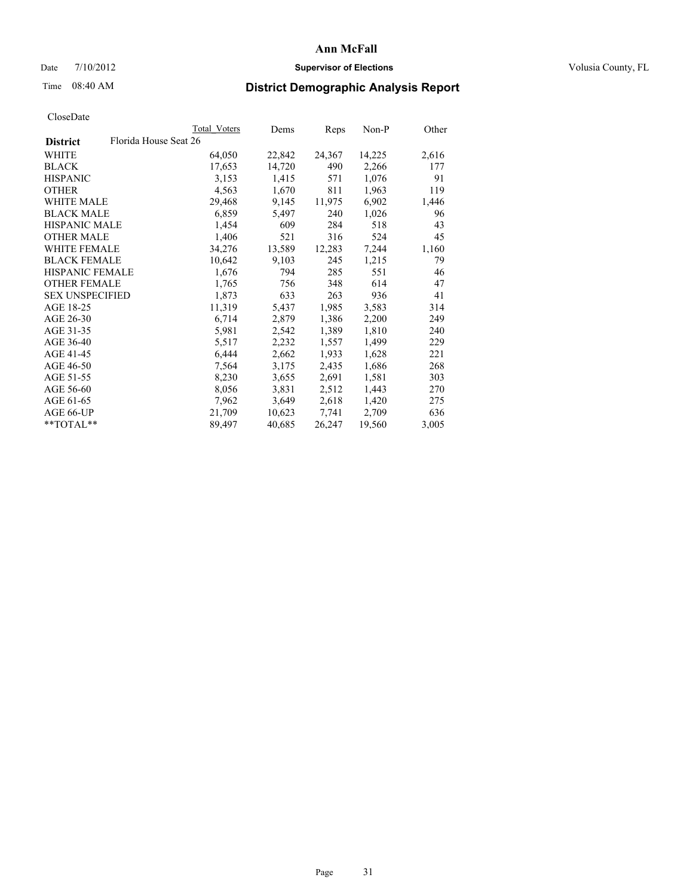## Date  $7/10/2012$  **Supervisor of Elections** Volusia County, FL

## Time 08:40 AM **District Demographic Analysis Report**

|                        |                       | Total Voters | Dems   | <b>Reps</b> | Non-P  | Other |
|------------------------|-----------------------|--------------|--------|-------------|--------|-------|
| <b>District</b>        | Florida House Seat 26 |              |        |             |        |       |
| WHITE                  |                       | 64,050       | 22,842 | 24,367      | 14,225 | 2,616 |
| <b>BLACK</b>           |                       | 17,653       | 14,720 | 490         | 2,266  | 177   |
| <b>HISPANIC</b>        |                       | 3,153        | 1,415  | 571         | 1,076  | 91    |
| <b>OTHER</b>           |                       | 4,563        | 1,670  | 811         | 1,963  | 119   |
| WHITE MALE             |                       | 29,468       | 9,145  | 11,975      | 6,902  | 1,446 |
| <b>BLACK MALE</b>      |                       | 6,859        | 5,497  | 240         | 1,026  | 96    |
| <b>HISPANIC MALE</b>   |                       | 1,454        | 609    | 284         | 518    | 43    |
| <b>OTHER MALE</b>      |                       | 1,406        | 521    | 316         | 524    | 45    |
| <b>WHITE FEMALE</b>    |                       | 34,276       | 13,589 | 12,283      | 7,244  | 1,160 |
| <b>BLACK FEMALE</b>    |                       | 10,642       | 9,103  | 245         | 1,215  | 79    |
| <b>HISPANIC FEMALE</b> |                       | 1,676        | 794    | 285         | 551    | 46    |
| <b>OTHER FEMALE</b>    |                       | 1,765        | 756    | 348         | 614    | 47    |
| <b>SEX UNSPECIFIED</b> |                       | 1,873        | 633    | 263         | 936    | 41    |
| AGE 18-25              |                       | 11,319       | 5,437  | 1,985       | 3,583  | 314   |
| AGE 26-30              |                       | 6,714        | 2,879  | 1,386       | 2,200  | 249   |
| AGE 31-35              |                       | 5,981        | 2,542  | 1,389       | 1,810  | 240   |
| AGE 36-40              |                       | 5,517        | 2,232  | 1,557       | 1,499  | 229   |
| AGE 41-45              |                       | 6,444        | 2,662  | 1,933       | 1,628  | 221   |
| AGE 46-50              |                       | 7,564        | 3,175  | 2,435       | 1,686  | 268   |
| AGE 51-55              |                       | 8,230        | 3,655  | 2,691       | 1,581  | 303   |
| AGE 56-60              |                       | 8,056        | 3,831  | 2,512       | 1,443  | 270   |
| AGE 61-65              |                       | 7,962        | 3,649  | 2,618       | 1,420  | 275   |
| AGE 66-UP              |                       | 21,709       | 10,623 | 7.741       | 2,709  | 636   |
| $*$ $TOTAL**$          |                       | 89,497       | 40,685 | 26,247      | 19,560 | 3,005 |
|                        |                       |              |        |             |        |       |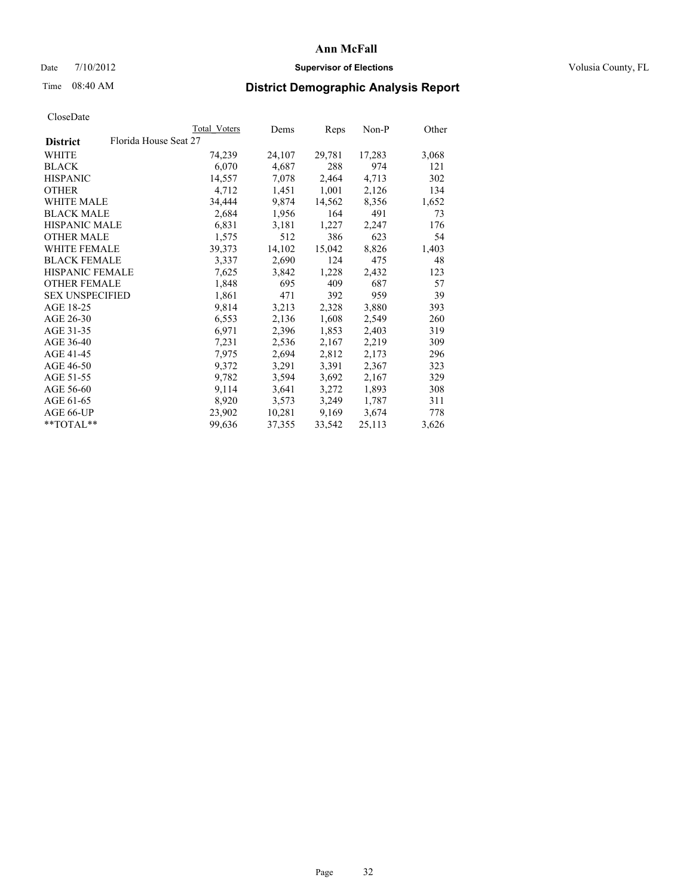## Date  $7/10/2012$  **Supervisor of Elections** Volusia County, FL

# Time 08:40 AM **District Demographic Analysis Report**

|                        |                       | Total Voters | Dems   | <b>Reps</b> | Non-P  | Other |
|------------------------|-----------------------|--------------|--------|-------------|--------|-------|
| <b>District</b>        | Florida House Seat 27 |              |        |             |        |       |
| WHITE                  |                       | 74,239       | 24,107 | 29,781      | 17,283 | 3,068 |
| <b>BLACK</b>           |                       | 6,070        | 4,687  | 288         | 974    | 121   |
| <b>HISPANIC</b>        |                       | 14,557       | 7,078  | 2,464       | 4,713  | 302   |
| <b>OTHER</b>           |                       | 4,712        | 1,451  | 1,001       | 2,126  | 134   |
| WHITE MALE             |                       | 34,444       | 9,874  | 14,562      | 8,356  | 1,652 |
| <b>BLACK MALE</b>      |                       | 2,684        | 1,956  | 164         | 491    | 73    |
| <b>HISPANIC MALE</b>   |                       | 6,831        | 3,181  | 1,227       | 2,247  | 176   |
| <b>OTHER MALE</b>      |                       | 1,575        | 512    | 386         | 623    | 54    |
| <b>WHITE FEMALE</b>    |                       | 39,373       | 14,102 | 15,042      | 8,826  | 1,403 |
| <b>BLACK FEMALE</b>    |                       | 3,337        | 2,690  | 124         | 475    | 48    |
| <b>HISPANIC FEMALE</b> |                       | 7,625        | 3,842  | 1,228       | 2,432  | 123   |
| <b>OTHER FEMALE</b>    |                       | 1,848        | 695    | 409         | 687    | 57    |
| <b>SEX UNSPECIFIED</b> |                       | 1,861        | 471    | 392         | 959    | 39    |
| AGE 18-25              |                       | 9,814        | 3,213  | 2,328       | 3,880  | 393   |
| AGE 26-30              |                       | 6,553        | 2,136  | 1,608       | 2,549  | 260   |
| AGE 31-35              |                       | 6,971        | 2,396  | 1,853       | 2,403  | 319   |
| AGE 36-40              |                       | 7.231        | 2,536  | 2,167       | 2,219  | 309   |
| AGE 41-45              |                       | 7,975        | 2,694  | 2,812       | 2,173  | 296   |
| AGE 46-50              |                       | 9,372        | 3,291  | 3,391       | 2,367  | 323   |
| AGE 51-55              |                       | 9,782        | 3,594  | 3,692       | 2,167  | 329   |
| AGE 56-60              |                       | 9,114        | 3,641  | 3,272       | 1,893  | 308   |
| AGE 61-65              |                       | 8,920        | 3,573  | 3,249       | 1,787  | 311   |
| AGE 66-UP              |                       | 23,902       | 10,281 | 9,169       | 3,674  | 778   |
| **TOTAL**              |                       | 99,636       | 37,355 | 33,542      | 25,113 | 3,626 |
|                        |                       |              |        |             |        |       |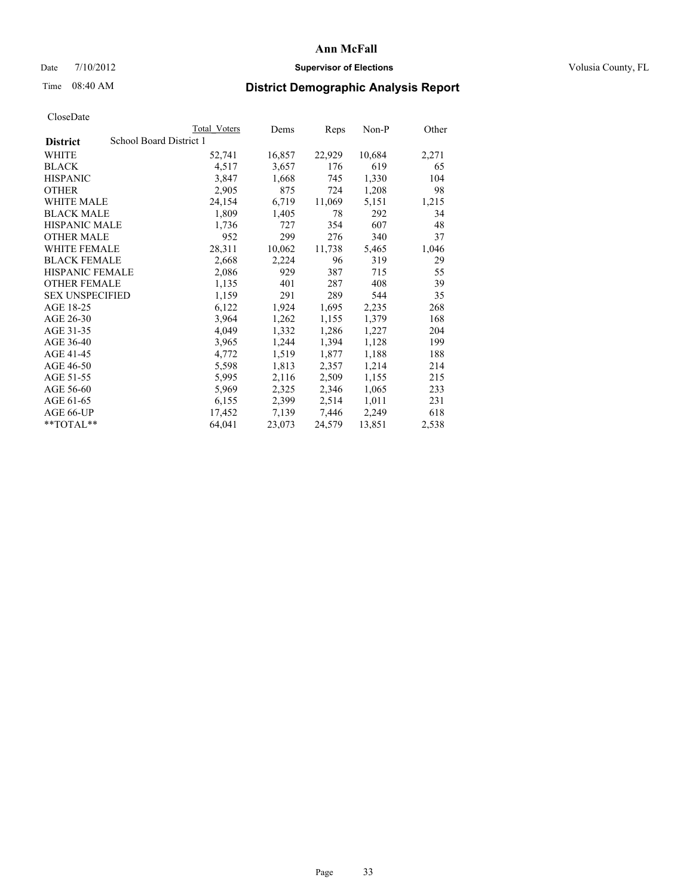## Date  $7/10/2012$  **Supervisor of Elections** Volusia County, FL

## Time 08:40 AM **District Demographic Analysis Report**

|                        |                         | <b>Total Voters</b> | Dems   | Reps   | Non-P  | Other |
|------------------------|-------------------------|---------------------|--------|--------|--------|-------|
| <b>District</b>        | School Board District 1 |                     |        |        |        |       |
| <b>WHITE</b>           |                         | 52,741              | 16,857 | 22,929 | 10,684 | 2,271 |
| <b>BLACK</b>           |                         | 4,517               | 3,657  | 176    | 619    | 65    |
| <b>HISPANIC</b>        |                         | 3,847               | 1,668  | 745    | 1,330  | 104   |
| <b>OTHER</b>           |                         | 2,905               | 875    | 724    | 1,208  | 98    |
| <b>WHITE MALE</b>      |                         | 24,154              | 6,719  | 11,069 | 5,151  | 1,215 |
| <b>BLACK MALE</b>      |                         | 1,809               | 1,405  | 78     | 292    | 34    |
| <b>HISPANIC MALE</b>   |                         | 1,736               | 727    | 354    | 607    | 48    |
| <b>OTHER MALE</b>      |                         | 952                 | 299    | 276    | 340    | 37    |
| <b>WHITE FEMALE</b>    |                         | 28,311              | 10,062 | 11,738 | 5,465  | 1,046 |
| <b>BLACK FEMALE</b>    |                         | 2,668               | 2,224  | 96     | 319    | 29    |
| <b>HISPANIC FEMALE</b> |                         | 2,086               | 929    | 387    | 715    | 55    |
| <b>OTHER FEMALE</b>    |                         | 1,135               | 401    | 287    | 408    | 39    |
| <b>SEX UNSPECIFIED</b> |                         | 1,159               | 291    | 289    | 544    | 35    |
| AGE 18-25              |                         | 6,122               | 1,924  | 1,695  | 2,235  | 268   |
| AGE 26-30              |                         | 3,964               | 1,262  | 1,155  | 1,379  | 168   |
| AGE 31-35              |                         | 4,049               | 1,332  | 1,286  | 1,227  | 204   |
| AGE 36-40              |                         | 3,965               | 1,244  | 1,394  | 1,128  | 199   |
| AGE 41-45              |                         | 4,772               | 1,519  | 1,877  | 1,188  | 188   |
| AGE 46-50              |                         | 5,598               | 1,813  | 2,357  | 1,214  | 214   |
| AGE 51-55              |                         | 5,995               | 2,116  | 2,509  | 1,155  | 215   |
| AGE 56-60              |                         | 5,969               | 2,325  | 2,346  | 1,065  | 233   |
| AGE 61-65              |                         | 6,155               | 2,399  | 2,514  | 1,011  | 231   |
| AGE 66-UP              |                         | 17,452              | 7,139  | 7,446  | 2,249  | 618   |
| $*$ $TOTAL**$          |                         | 64,041              | 23,073 | 24,579 | 13,851 | 2,538 |
|                        |                         |                     |        |        |        |       |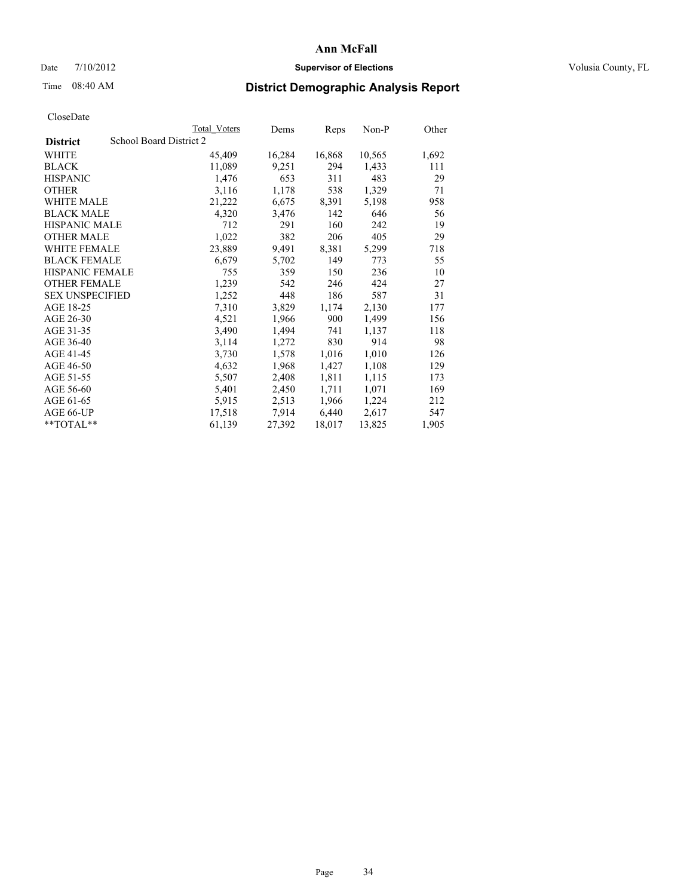## Date  $7/10/2012$  **Supervisor of Elections** Volusia County, FL

## Time 08:40 AM **District Demographic Analysis Report**

|                        |                         | <b>Total Voters</b> | Dems   | Reps   | Non-P  | Other |
|------------------------|-------------------------|---------------------|--------|--------|--------|-------|
| <b>District</b>        | School Board District 2 |                     |        |        |        |       |
| WHITE                  |                         | 45,409              | 16,284 | 16,868 | 10,565 | 1,692 |
| <b>BLACK</b>           |                         | 11,089              | 9,251  | 294    | 1,433  | 111   |
| <b>HISPANIC</b>        |                         | 1,476               | 653    | 311    | 483    | 29    |
| <b>OTHER</b>           |                         | 3,116               | 1,178  | 538    | 1,329  | 71    |
| WHITE MALE             |                         | 21,222              | 6,675  | 8,391  | 5,198  | 958   |
| <b>BLACK MALE</b>      |                         | 4,320               | 3,476  | 142    | 646    | 56    |
| <b>HISPANIC MALE</b>   |                         | 712                 | 291    | 160    | 242    | 19    |
| <b>OTHER MALE</b>      |                         | 1,022               | 382    | 206    | 405    | 29    |
| <b>WHITE FEMALE</b>    |                         | 23,889              | 9,491  | 8,381  | 5,299  | 718   |
| <b>BLACK FEMALE</b>    |                         | 6,679               | 5,702  | 149    | 773    | 55    |
| <b>HISPANIC FEMALE</b> |                         | 755                 | 359    | 150    | 236    | 10    |
| <b>OTHER FEMALE</b>    |                         | 1,239               | 542    | 246    | 424    | 27    |
| <b>SEX UNSPECIFIED</b> |                         | 1,252               | 448    | 186    | 587    | 31    |
| AGE 18-25              |                         | 7,310               | 3,829  | 1,174  | 2,130  | 177   |
| AGE 26-30              |                         | 4,521               | 1,966  | 900    | 1,499  | 156   |
| AGE 31-35              |                         | 3,490               | 1,494  | 741    | 1,137  | 118   |
| AGE 36-40              |                         | 3,114               | 1,272  | 830    | 914    | 98    |
| AGE 41-45              |                         | 3,730               | 1,578  | 1,016  | 1,010  | 126   |
| AGE 46-50              |                         | 4,632               | 1,968  | 1,427  | 1,108  | 129   |
| AGE 51-55              |                         | 5,507               | 2,408  | 1,811  | 1,115  | 173   |
| AGE 56-60              |                         | 5,401               | 2,450  | 1,711  | 1,071  | 169   |
| AGE 61-65              |                         | 5,915               | 2,513  | 1,966  | 1,224  | 212   |
| AGE 66-UP              |                         | 17,518              | 7.914  | 6,440  | 2,617  | 547   |
| **TOTAL**              |                         | 61,139              | 27,392 | 18,017 | 13,825 | 1,905 |
|                        |                         |                     |        |        |        |       |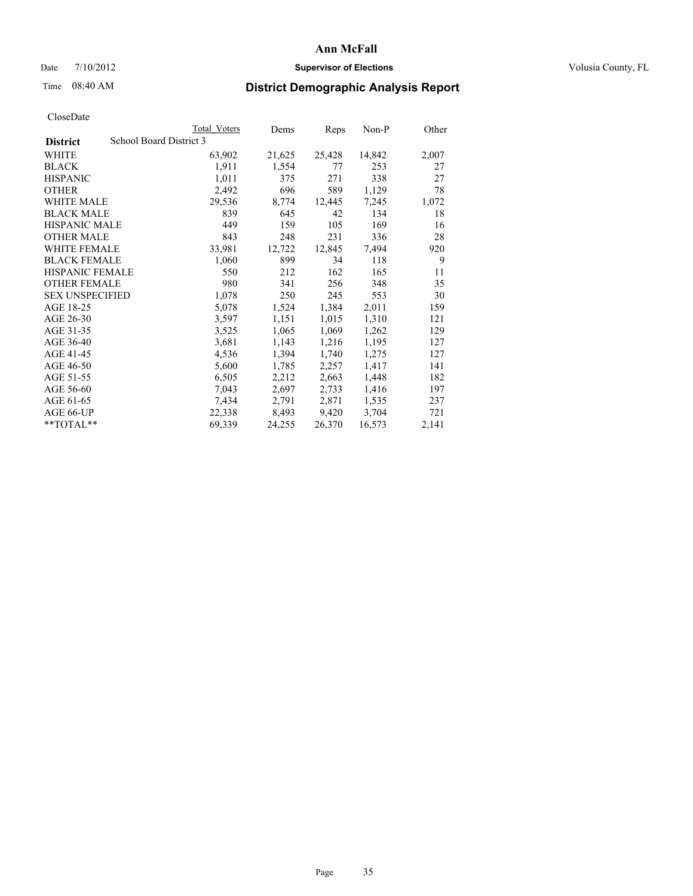## Date  $7/10/2012$  **Supervisor of Elections** Volusia County, FL

## Time 08:40 AM **District Demographic Analysis Report**

|                        |                         | Total Voters | Dems   | Reps   | Non-P  | Other |
|------------------------|-------------------------|--------------|--------|--------|--------|-------|
| <b>District</b>        | School Board District 3 |              |        |        |        |       |
| WHITE                  |                         | 63,902       | 21,625 | 25,428 | 14,842 | 2,007 |
| <b>BLACK</b>           |                         | 1,911        | 1,554  | 77     | 253    | 27    |
| <b>HISPANIC</b>        |                         | 1,011        | 375    | 271    | 338    | 27    |
| <b>OTHER</b>           |                         | 2,492        | 696    | 589    | 1,129  | 78    |
| <b>WHITE MALE</b>      |                         | 29,536       | 8,774  | 12,445 | 7,245  | 1,072 |
| <b>BLACK MALE</b>      |                         | 839          | 645    | 42     | 134    | 18    |
| <b>HISPANIC MALE</b>   |                         | 449          | 159    | 105    | 169    | 16    |
| <b>OTHER MALE</b>      |                         | 843          | 248    | 231    | 336    | 28    |
| WHITE FEMALE           |                         | 33,981       | 12,722 | 12,845 | 7.494  | 920   |
| <b>BLACK FEMALE</b>    |                         | 1,060        | 899    | 34     | 118    | 9     |
| <b>HISPANIC FEMALE</b> |                         | 550          | 212    | 162    | 165    | 11    |
| <b>OTHER FEMALE</b>    |                         | 980          | 341    | 256    | 348    | 35    |
| <b>SEX UNSPECIFIED</b> |                         | 1,078        | 250    | 245    | 553    | 30    |
| AGE 18-25              |                         | 5,078        | 1,524  | 1,384  | 2,011  | 159   |
| AGE 26-30              |                         | 3,597        | 1,151  | 1,015  | 1,310  | 121   |
| AGE 31-35              |                         | 3,525        | 1,065  | 1,069  | 1,262  | 129   |
| AGE 36-40              |                         | 3,681        | 1,143  | 1,216  | 1,195  | 127   |
| AGE 41-45              |                         | 4,536        | 1,394  | 1,740  | 1,275  | 127   |
| AGE 46-50              |                         | 5,600        | 1,785  | 2,257  | 1,417  | 141   |
| AGE 51-55              |                         | 6,505        | 2,212  | 2,663  | 1,448  | 182   |
| AGE 56-60              |                         | 7,043        | 2,697  | 2,733  | 1,416  | 197   |
| AGE 61-65              |                         | 7.434        | 2,791  | 2,871  | 1,535  | 237   |
| AGE 66-UP              |                         | 22,338       | 8,493  | 9,420  | 3,704  | 721   |
| $*$ $TOTAI.**$         |                         | 69,339       | 24,255 | 26,370 | 16,573 | 2,141 |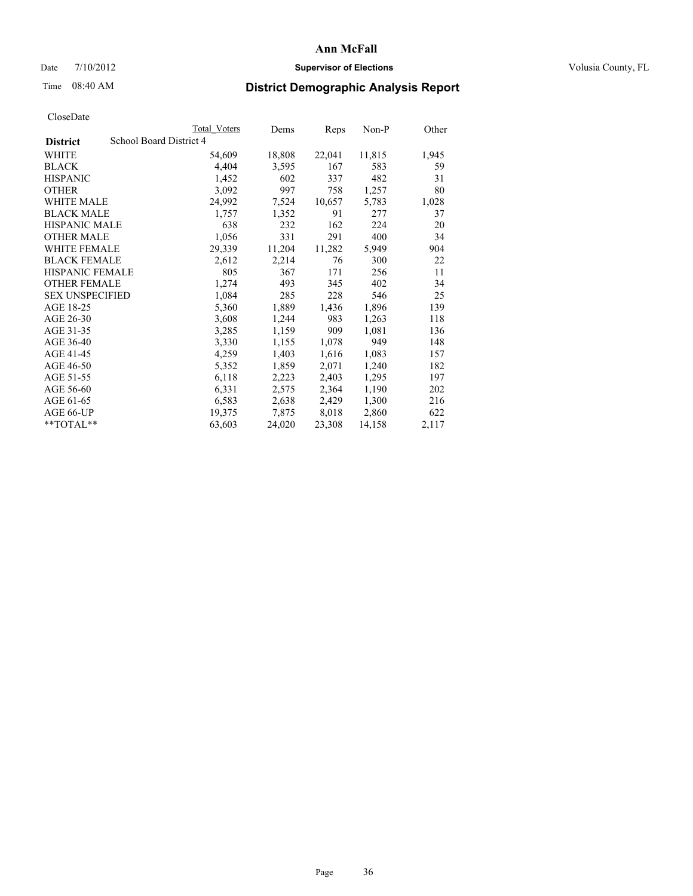## Date  $7/10/2012$  **Supervisor of Elections** Volusia County, FL

## Time 08:40 AM **District Demographic Analysis Report**

|                                            | Total Voters | Dems   | Reps   | Non-P  | Other |
|--------------------------------------------|--------------|--------|--------|--------|-------|
| School Board District 4<br><b>District</b> |              |        |        |        |       |
| <b>WHITE</b>                               | 54,609       | 18,808 | 22,041 | 11,815 | 1,945 |
| <b>BLACK</b>                               | 4,404        | 3,595  | 167    | 583    | 59    |
| <b>HISPANIC</b>                            | 1,452        | 602    | 337    | 482    | 31    |
| <b>OTHER</b>                               | 3,092        | 997    | 758    | 1,257  | 80    |
| <b>WHITE MALE</b>                          | 24,992       | 7,524  | 10,657 | 5,783  | 1,028 |
| <b>BLACK MALE</b>                          | 1,757        | 1,352  | 91     | 277    | 37    |
| <b>HISPANIC MALE</b>                       | 638          | 232    | 162    | 224    | 20    |
| <b>OTHER MALE</b>                          | 1,056        | 331    | 291    | 400    | 34    |
| <b>WHITE FEMALE</b>                        | 29,339       | 11,204 | 11,282 | 5,949  | 904   |
| <b>BLACK FEMALE</b>                        | 2,612        | 2,214  | 76     | 300    | 22    |
| <b>HISPANIC FEMALE</b>                     | 805          | 367    | 171    | 256    | 11    |
| <b>OTHER FEMALE</b>                        | 1,274        | 493    | 345    | 402    | 34    |
| <b>SEX UNSPECIFIED</b>                     | 1,084        | 285    | 228    | 546    | 25    |
| AGE 18-25                                  | 5,360        | 1,889  | 1,436  | 1,896  | 139   |
| AGE 26-30                                  | 3,608        | 1,244  | 983    | 1,263  | 118   |
| AGE 31-35                                  | 3,285        | 1,159  | 909    | 1,081  | 136   |
| AGE 36-40                                  | 3,330        | 1,155  | 1,078  | 949    | 148   |
| AGE 41-45                                  | 4,259        | 1,403  | 1,616  | 1,083  | 157   |
| AGE 46-50                                  | 5,352        | 1,859  | 2,071  | 1,240  | 182   |
| AGE 51-55                                  | 6,118        | 2,223  | 2,403  | 1,295  | 197   |
| AGE 56-60                                  | 6,331        | 2,575  | 2,364  | 1,190  | 202   |
| AGE 61-65                                  | 6,583        | 2,638  | 2,429  | 1,300  | 216   |
| AGE 66-UP                                  | 19,375       | 7,875  | 8,018  | 2,860  | 622   |
| $*$ $TOTAL**$                              | 63,603       | 24,020 | 23,308 | 14,158 | 2,117 |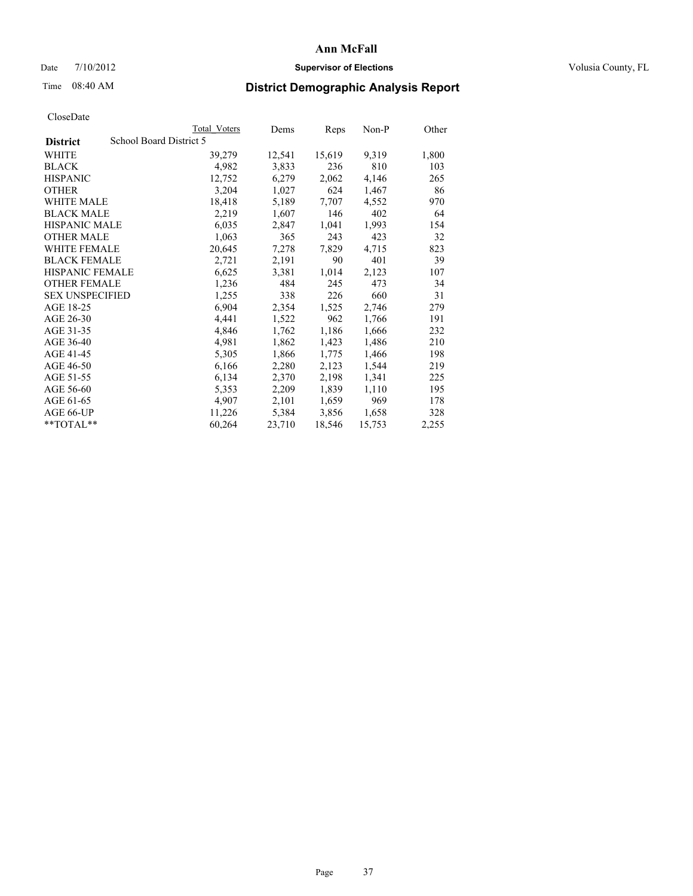### Date  $7/10/2012$  **Supervisor of Elections** Volusia County, FL

# Time 08:40 AM **District Demographic Analysis Report**

| <b>Total Voters</b>     | Dems   | Reps   | Non-P  | Other |
|-------------------------|--------|--------|--------|-------|
| School Board District 5 |        |        |        |       |
| 39,279                  | 12,541 | 15,619 | 9,319  | 1,800 |
| 4,982                   | 3,833  | 236    | 810    | 103   |
| 12,752                  | 6,279  | 2,062  | 4,146  | 265   |
| 3,204                   | 1,027  | 624    | 1,467  | 86    |
| 18,418                  | 5,189  | 7,707  | 4,552  | 970   |
| 2,219                   | 1,607  | 146    | 402    | 64    |
| 6,035                   | 2,847  | 1,041  | 1,993  | 154   |
| 1,063                   | 365    | 243    | 423    | 32    |
| 20,645                  | 7,278  | 7,829  | 4,715  | 823   |
| 2,721                   | 2,191  | 90     | 401    | 39    |
| 6,625                   | 3,381  | 1,014  | 2,123  | 107   |
| 1,236                   | 484    | 245    | 473    | 34    |
| 1,255                   | 338    | 226    | 660    | 31    |
| 6,904                   | 2,354  | 1,525  | 2,746  | 279   |
| 4,441                   | 1,522  | 962    | 1,766  | 191   |
| 4,846                   | 1,762  | 1,186  | 1,666  | 232   |
| 4,981                   | 1,862  | 1,423  | 1,486  | 210   |
| 5,305                   | 1,866  | 1,775  | 1,466  | 198   |
| 6,166                   | 2,280  | 2,123  | 1,544  | 219   |
| 6,134                   | 2,370  | 2,198  | 1,341  | 225   |
| 5,353                   | 2,209  | 1,839  | 1,110  | 195   |
| 4,907                   | 2,101  | 1,659  | 969    | 178   |
| 11,226                  | 5,384  | 3,856  | 1,658  | 328   |
| 60,264                  | 23,710 | 18,546 | 15,753 | 2,255 |
|                         |        |        |        |       |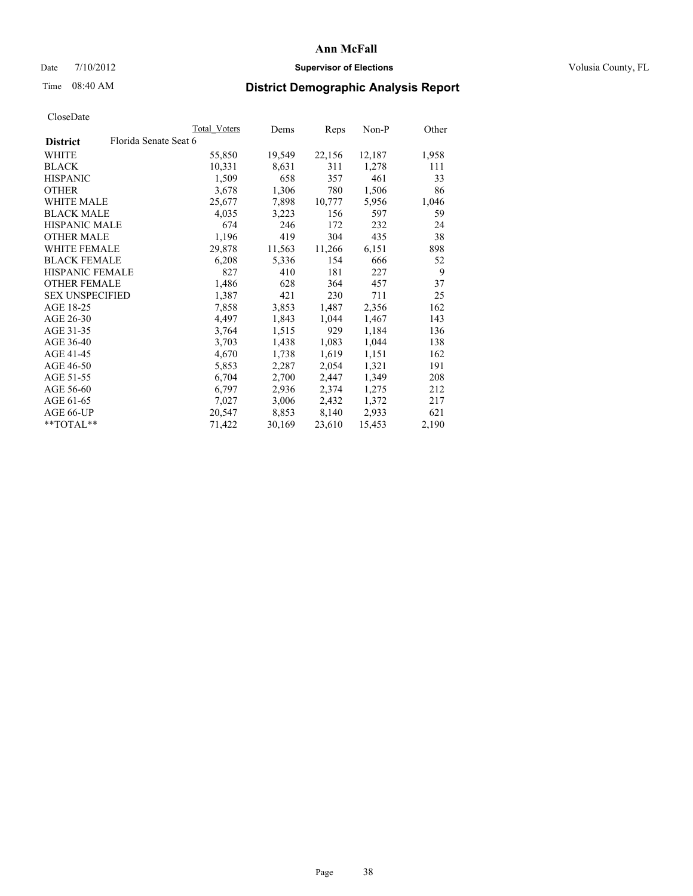### Date  $7/10/2012$  **Supervisor of Elections** Volusia County, FL

# Time 08:40 AM **District Demographic Analysis Report**

|                                          | Total Voters | Dems   | Reps   | Non-P  | Other |
|------------------------------------------|--------------|--------|--------|--------|-------|
| Florida Senate Seat 6<br><b>District</b> |              |        |        |        |       |
| WHITE                                    | 55,850       | 19,549 | 22,156 | 12,187 | 1,958 |
| <b>BLACK</b>                             | 10,331       | 8,631  | 311    | 1,278  | 111   |
| <b>HISPANIC</b>                          | 1,509        | 658    | 357    | 461    | 33    |
| <b>OTHER</b>                             | 3,678        | 1,306  | 780    | 1,506  | 86    |
| <b>WHITE MALE</b>                        | 25,677       | 7,898  | 10,777 | 5,956  | 1,046 |
| <b>BLACK MALE</b>                        | 4,035        | 3,223  | 156    | 597    | 59    |
| <b>HISPANIC MALE</b>                     | 674          | 246    | 172    | 232    | 24    |
| <b>OTHER MALE</b>                        | 1,196        | 419    | 304    | 435    | 38    |
| WHITE FEMALE                             | 29,878       | 11,563 | 11,266 | 6,151  | 898   |
| <b>BLACK FEMALE</b>                      | 6,208        | 5,336  | 154    | 666    | 52    |
| <b>HISPANIC FEMALE</b>                   | 827          | 410    | 181    | 227    | 9     |
| <b>OTHER FEMALE</b>                      | 1,486        | 628    | 364    | 457    | 37    |
| <b>SEX UNSPECIFIED</b>                   | 1,387        | 421    | 230    | 711    | 25    |
| AGE 18-25                                | 7,858        | 3,853  | 1,487  | 2,356  | 162   |
| AGE 26-30                                | 4,497        | 1,843  | 1,044  | 1,467  | 143   |
| AGE 31-35                                | 3,764        | 1,515  | 929    | 1,184  | 136   |
| AGE 36-40                                | 3,703        | 1,438  | 1,083  | 1,044  | 138   |
| AGE 41-45                                | 4,670        | 1,738  | 1,619  | 1,151  | 162   |
| AGE 46-50                                | 5,853        | 2,287  | 2,054  | 1,321  | 191   |
| AGE 51-55                                | 6,704        | 2,700  | 2,447  | 1,349  | 208   |
| AGE 56-60                                | 6,797        | 2,936  | 2,374  | 1,275  | 212   |
| AGE 61-65                                | 7,027        | 3,006  | 2,432  | 1,372  | 217   |
| AGE 66-UP                                | 20,547       | 8,853  | 8,140  | 2,933  | 621   |
| $*$ TOTAL $*$                            | 71,422       | 30,169 | 23,610 | 15,453 | 2,190 |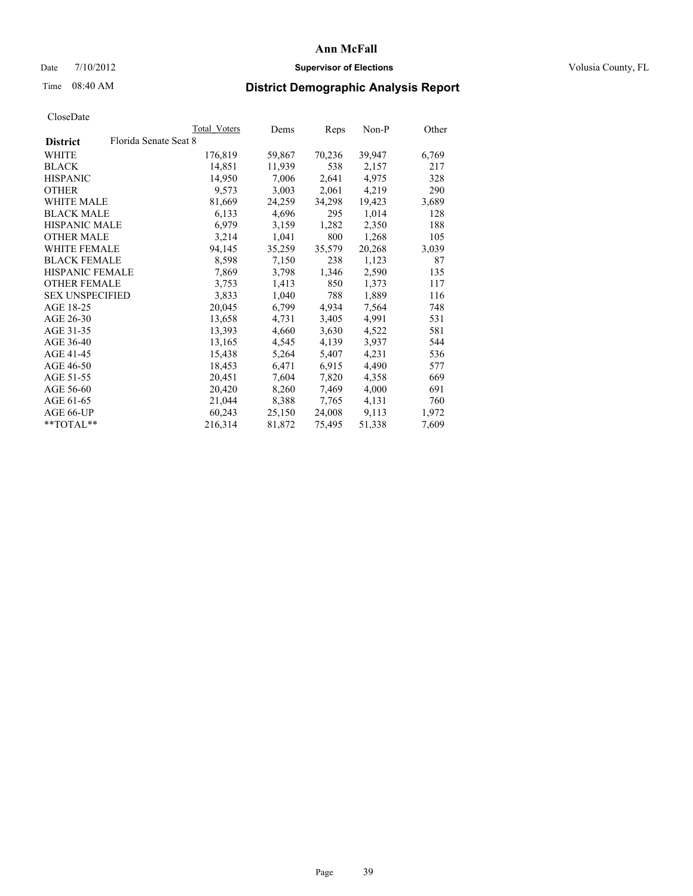### Date  $7/10/2012$  **Supervisor of Elections** Volusia County, FL

# Time 08:40 AM **District Demographic Analysis Report**

|                        | Total Voters          | Dems   | <b>Reps</b> | Non-P  | Other |
|------------------------|-----------------------|--------|-------------|--------|-------|
| <b>District</b>        | Florida Senate Seat 8 |        |             |        |       |
| WHITE                  | 176,819               | 59,867 | 70,236      | 39,947 | 6,769 |
| <b>BLACK</b>           | 14,851                | 11,939 | 538         | 2,157  | 217   |
| <b>HISPANIC</b>        | 14,950                | 7,006  | 2,641       | 4,975  | 328   |
| <b>OTHER</b>           | 9,573                 | 3,003  | 2,061       | 4,219  | 290   |
| <b>WHITE MALE</b>      | 81,669                | 24,259 | 34,298      | 19,423 | 3,689 |
| <b>BLACK MALE</b>      | 6,133                 | 4,696  | 295         | 1,014  | 128   |
| <b>HISPANIC MALE</b>   | 6,979                 | 3,159  | 1,282       | 2,350  | 188   |
| <b>OTHER MALE</b>      | 3,214                 | 1,041  | 800         | 1,268  | 105   |
| <b>WHITE FEMALE</b>    | 94,145                | 35,259 | 35,579      | 20,268 | 3,039 |
| <b>BLACK FEMALE</b>    | 8,598                 | 7,150  | 238         | 1,123  | 87    |
| HISPANIC FEMALE        | 7,869                 | 3,798  | 1,346       | 2,590  | 135   |
| <b>OTHER FEMALE</b>    | 3,753                 | 1,413  | 850         | 1,373  | 117   |
| <b>SEX UNSPECIFIED</b> | 3,833                 | 1,040  | 788         | 1,889  | 116   |
| AGE 18-25              | 20,045                | 6,799  | 4,934       | 7,564  | 748   |
| AGE 26-30              | 13,658                | 4,731  | 3,405       | 4,991  | 531   |
| AGE 31-35              | 13,393                | 4,660  | 3,630       | 4,522  | 581   |
| AGE 36-40              | 13,165                | 4,545  | 4,139       | 3,937  | 544   |
| AGE 41-45              | 15,438                | 5,264  | 5,407       | 4,231  | 536   |
| AGE 46-50              | 18,453                | 6,471  | 6,915       | 4,490  | 577   |
| AGE 51-55              | 20,451                | 7,604  | 7,820       | 4,358  | 669   |
| AGE 56-60              | 20,420                | 8,260  | 7,469       | 4,000  | 691   |
| AGE 61-65              | 21,044                | 8,388  | 7.765       | 4,131  | 760   |
| AGE 66-UP              | 60,243                | 25,150 | 24,008      | 9,113  | 1,972 |
| $*$ $TOTAI.**$         | 216,314               | 81,872 | 75,495      | 51,338 | 7,609 |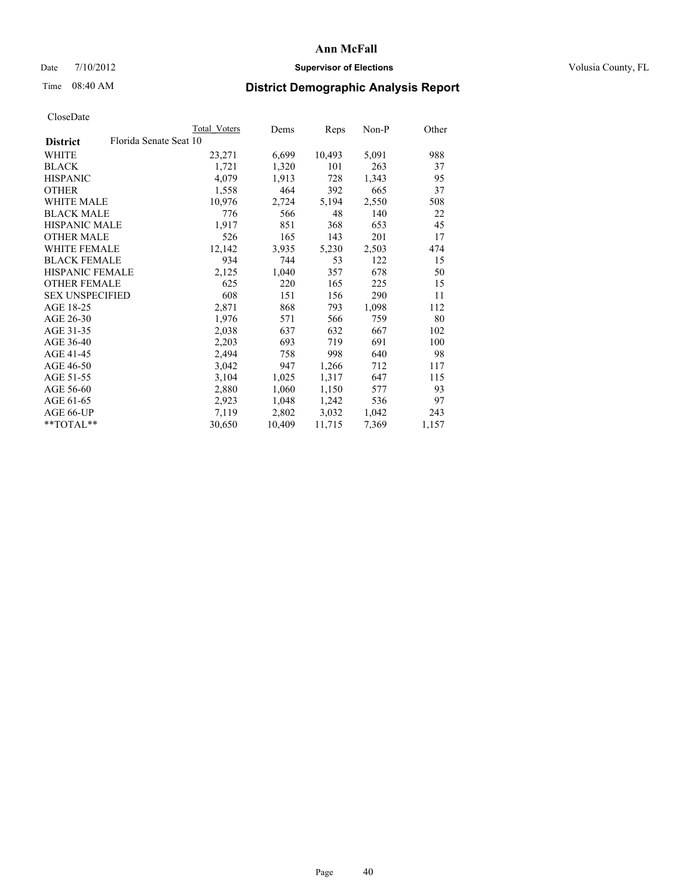### Date  $7/10/2012$  **Supervisor of Elections** Volusia County, FL

## Time 08:40 AM **District Demographic Analysis Report**

| Total Voters           | Dems   | Reps   | Non-P | Other |
|------------------------|--------|--------|-------|-------|
| Florida Senate Seat 10 |        |        |       |       |
| 23,271                 | 6,699  | 10,493 | 5,091 | 988   |
| 1,721                  | 1,320  | 101    | 263   | 37    |
| 4,079                  | 1,913  | 728    | 1,343 | 95    |
| 1,558                  | 464    | 392    | 665   | 37    |
| 10,976                 | 2,724  | 5,194  | 2,550 | 508   |
| 776                    | 566    | 48     | 140   | 22    |
| 1,917                  | 851    | 368    | 653   | 45    |
| 526                    | 165    | 143    | 201   | 17    |
| 12,142                 | 3,935  | 5,230  | 2,503 | 474   |
| 934                    | 744    | 53     | 122   | 15    |
| 2,125                  | 1,040  | 357    | 678   | 50    |
| 625                    | 220    | 165    | 225   | 15    |
| 608                    | 151    | 156    | 290   | 11    |
| 2,871                  | 868    | 793    | 1,098 | 112   |
| 1,976                  | 571    | 566    | 759   | 80    |
| 2,038                  | 637    | 632    | 667   | 102   |
| 2,203                  | 693    | 719    | 691   | 100   |
| 2,494                  | 758    | 998    | 640   | 98    |
| 3,042                  | 947    | 1,266  | 712   | 117   |
| 3,104                  | 1,025  | 1,317  | 647   | 115   |
| 2,880                  | 1,060  | 1,150  | 577   | 93    |
| 2,923                  | 1,048  | 1,242  | 536   | 97    |
| 7,119                  | 2,802  | 3,032  | 1,042 | 243   |
| 30,650                 | 10,409 | 11,715 | 7,369 | 1,157 |
|                        |        |        |       |       |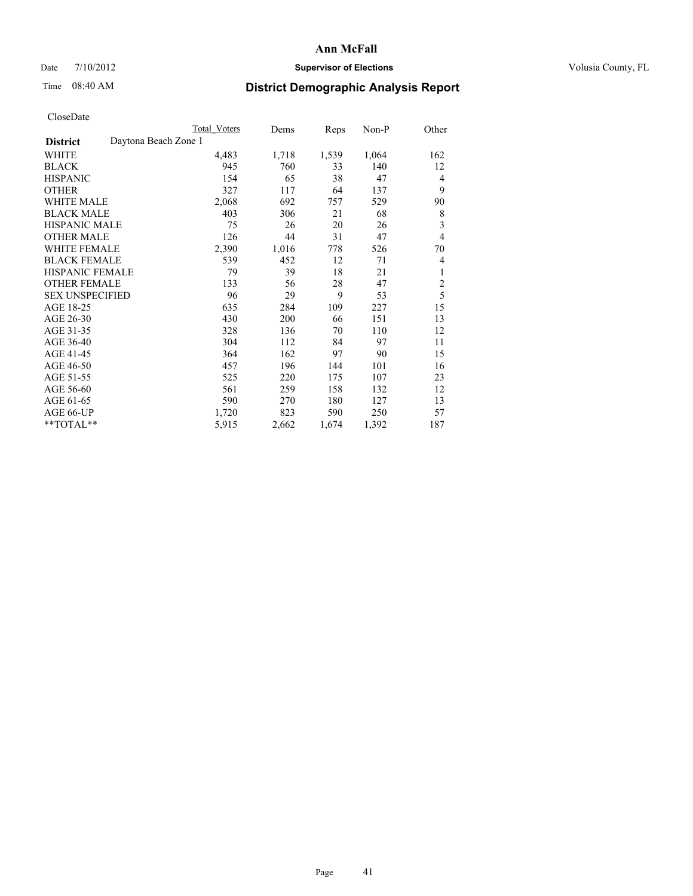## Date  $7/10/2012$  **Supervisor of Elections** Volusia County, FL

# Time 08:40 AM **District Demographic Analysis Report**

|                                         | Total Voters | Dems  | Reps  | Non-P | Other          |
|-----------------------------------------|--------------|-------|-------|-------|----------------|
| Daytona Beach Zone 1<br><b>District</b> |              |       |       |       |                |
| WHITE                                   | 4,483        | 1,718 | 1,539 | 1,064 | 162            |
| <b>BLACK</b>                            | 945          | 760   | 33    | 140   | 12             |
| <b>HISPANIC</b>                         | 154          | 65    | 38    | 47    | 4              |
| <b>OTHER</b>                            | 327          | 117   | 64    | 137   | 9              |
| <b>WHITE MALE</b>                       | 2,068        | 692   | 757   | 529   | 90             |
| <b>BLACK MALE</b>                       | 403          | 306   | 21    | 68    | 8              |
| <b>HISPANIC MALE</b>                    | 75           | 26    | 20    | 26    | 3              |
| <b>OTHER MALE</b>                       | 126          | 44    | 31    | 47    | $\overline{4}$ |
| <b>WHITE FEMALE</b>                     | 2,390        | 1,016 | 778   | 526   | 70             |
| <b>BLACK FEMALE</b>                     | 539          | 452   | 12    | 71    | 4              |
| <b>HISPANIC FEMALE</b>                  | 79           | 39    | 18    | 21    | 1              |
| <b>OTHER FEMALE</b>                     | 133          | 56    | 28    | 47    | $\overline{c}$ |
| <b>SEX UNSPECIFIED</b>                  | 96           | 29    | 9     | 53    | 5              |
| AGE 18-25                               | 635          | 284   | 109   | 227   | 15             |
| AGE 26-30                               | 430          | 200   | 66    | 151   | 13             |
| AGE 31-35                               | 328          | 136   | 70    | 110   | 12             |
| AGE 36-40                               | 304          | 112   | 84    | 97    | 11             |
| AGE 41-45                               | 364          | 162   | 97    | 90    | 15             |
| AGE 46-50                               | 457          | 196   | 144   | 101   | 16             |
| AGE 51-55                               | 525          | 220   | 175   | 107   | 23             |
| AGE 56-60                               | 561          | 259   | 158   | 132   | 12             |
| AGE 61-65                               | 590          | 270   | 180   | 127   | 13             |
| AGE 66-UP                               | 1,720        | 823   | 590   | 250   | 57             |
| **TOTAL**                               | 5,915        | 2,662 | 1,674 | 1,392 | 187            |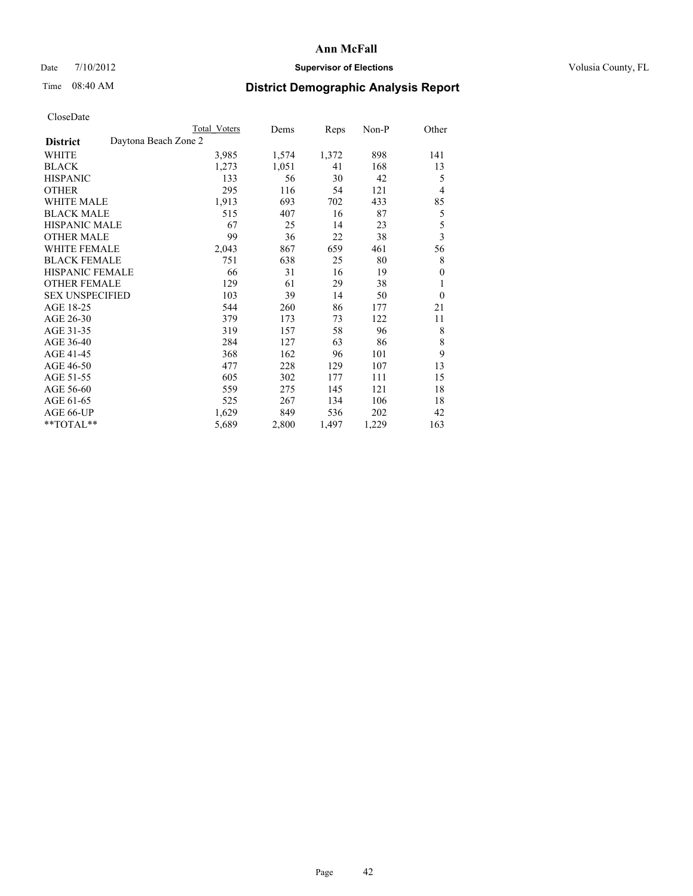## Date  $7/10/2012$  **Supervisor of Elections** Volusia County, FL

# Time 08:40 AM **District Demographic Analysis Report**

|                        | Total Voters         | Dems  | Reps  | Non-P | Other                   |
|------------------------|----------------------|-------|-------|-------|-------------------------|
| <b>District</b>        | Daytona Beach Zone 2 |       |       |       |                         |
| WHITE                  | 3,985                | 1,574 | 1,372 | 898   | 141                     |
| <b>BLACK</b>           | 1,273                | 1,051 | 41    | 168   | 13                      |
| <b>HISPANIC</b>        | 133                  | 56    | 30    | 42    | 5                       |
| <b>OTHER</b>           | 295                  | 116   | 54    | 121   | 4                       |
| <b>WHITE MALE</b>      | 1,913                | 693   | 702   | 433   | 85                      |
| <b>BLACK MALE</b>      | 515                  | 407   | 16    | 87    | 5                       |
| <b>HISPANIC MALE</b>   | 67                   | 25    | 14    | 23    | 5                       |
| <b>OTHER MALE</b>      | 99                   | 36    | 22    | 38    | $\overline{\mathbf{3}}$ |
| <b>WHITE FEMALE</b>    | 2,043                | 867   | 659   | 461   | 56                      |
| <b>BLACK FEMALE</b>    | 751                  | 638   | 25    | 80    | 8                       |
| <b>HISPANIC FEMALE</b> | 66                   | 31    | 16    | 19    | $\theta$                |
| <b>OTHER FEMALE</b>    | 129                  | 61    | 29    | 38    | 1                       |
| <b>SEX UNSPECIFIED</b> | 103                  | 39    | 14    | 50    | $\theta$                |
| AGE 18-25              | 544                  | 260   | 86    | 177   | 21                      |
| AGE 26-30              | 379                  | 173   | 73    | 122   | 11                      |
| AGE 31-35              | 319                  | 157   | 58    | 96    | 8                       |
| AGE 36-40              | 284                  | 127   | 63    | 86    | 8                       |
| AGE 41-45              | 368                  | 162   | 96    | 101   | 9                       |
| AGE 46-50              | 477                  | 228   | 129   | 107   | 13                      |
| AGE 51-55              | 605                  | 302   | 177   | 111   | 15                      |
| AGE 56-60              | 559                  | 275   | 145   | 121   | 18                      |
| AGE 61-65              | 525                  | 267   | 134   | 106   | 18                      |
| AGE 66-UP              | 1,629                | 849   | 536   | 202   | 42                      |
| **TOTAL**              | 5,689                | 2,800 | 1,497 | 1,229 | 163                     |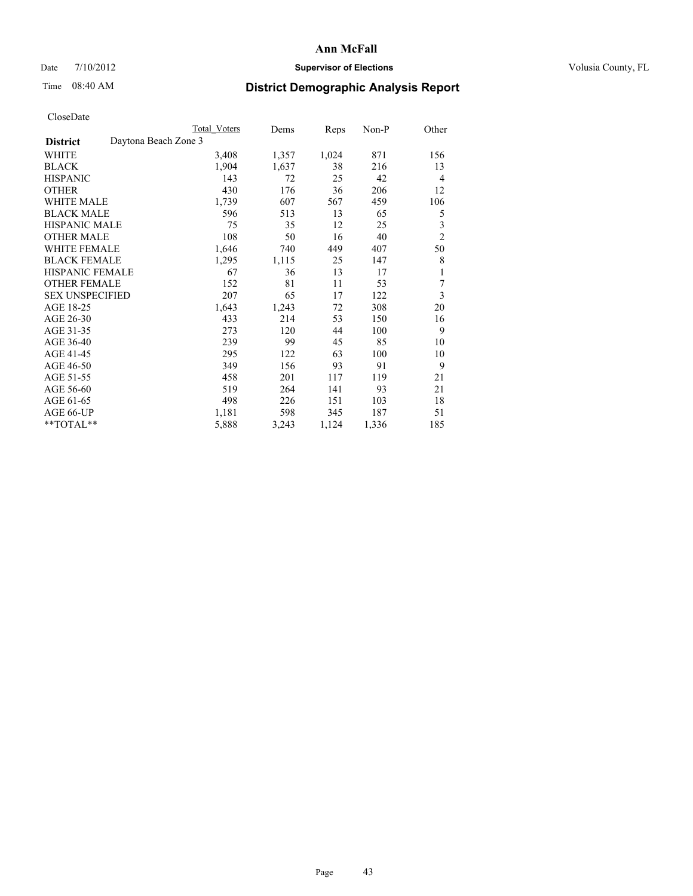## Date  $7/10/2012$  **Supervisor of Elections** Volusia County, FL

## Time 08:40 AM **District Demographic Analysis Report**

|                        | <b>Total Voters</b>  | Dems  | Reps  | Non-P | Other          |
|------------------------|----------------------|-------|-------|-------|----------------|
| <b>District</b>        | Daytona Beach Zone 3 |       |       |       |                |
| WHITE                  | 3,408                | 1,357 | 1,024 | 871   | 156            |
| <b>BLACK</b>           | 1,904                | 1,637 | 38    | 216   | 13             |
| <b>HISPANIC</b>        | 143                  | 72    | 25    | 42    | $\overline{4}$ |
| <b>OTHER</b>           | 430                  | 176   | 36    | 206   | 12             |
| WHITE MALE             | 1,739                | 607   | 567   | 459   | 106            |
| <b>BLACK MALE</b>      | 596                  | 513   | 13    | 65    | 5              |
| <b>HISPANIC MALE</b>   | 75                   | 35    | 12    | 25    | 3              |
| <b>OTHER MALE</b>      | 108                  | 50    | 16    | 40    | $\overline{2}$ |
| WHITE FEMALE           | 1,646                | 740   | 449   | 407   | 50             |
| <b>BLACK FEMALE</b>    | 1,295                | 1,115 | 25    | 147   | 8              |
| <b>HISPANIC FEMALE</b> | 67                   | 36    | 13    | 17    | 1              |
| <b>OTHER FEMALE</b>    | 152                  | 81    | 11    | 53    | 7              |
| <b>SEX UNSPECIFIED</b> | 207                  | 65    | 17    | 122   | 3              |
| AGE 18-25              | 1,643                | 1,243 | 72    | 308   | 20             |
| AGE 26-30              | 433                  | 214   | 53    | 150   | 16             |
| AGE 31-35              | 273                  | 120   | 44    | 100   | 9              |
| AGE 36-40              | 239                  | 99    | 45    | 85    | 10             |
| AGE 41-45              | 295                  | 122   | 63    | 100   | 10             |
| AGE 46-50              | 349                  | 156   | 93    | 91    | 9              |
| AGE 51-55              | 458                  | 201   | 117   | 119   | 21             |
| AGE 56-60              | 519                  | 264   | 141   | 93    | 21             |
| AGE 61-65              | 498                  | 226   | 151   | 103   | 18             |
| AGE 66-UP              | 1,181                | 598   | 345   | 187   | 51             |
| **TOTAL**              | 5,888                | 3,243 | 1,124 | 1,336 | 185            |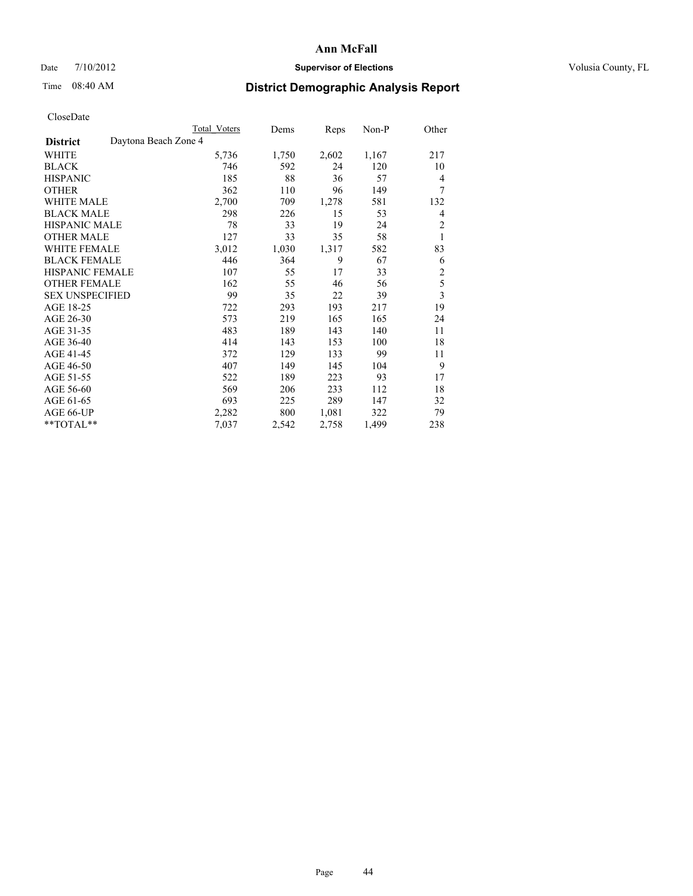## Date  $7/10/2012$  **Supervisor of Elections** Volusia County, FL

# Time 08:40 AM **District Demographic Analysis Report**

|                                         | Total Voters | Dems  | Reps  | Non-P | Other                   |
|-----------------------------------------|--------------|-------|-------|-------|-------------------------|
| Daytona Beach Zone 4<br><b>District</b> |              |       |       |       |                         |
| WHITE                                   | 5,736        | 1,750 | 2,602 | 1,167 | 217                     |
| <b>BLACK</b>                            | 746          | 592   | 24    | 120   | 10                      |
| <b>HISPANIC</b>                         | 185          | 88    | 36    | 57    | 4                       |
| <b>OTHER</b>                            | 362          | 110   | 96    | 149   | 7                       |
| <b>WHITE MALE</b>                       | 2,700        | 709   | 1,278 | 581   | 132                     |
| <b>BLACK MALE</b>                       | 298          | 226   | 15    | 53    | 4                       |
| <b>HISPANIC MALE</b>                    | 78           | 33    | 19    | 24    | $\overline{c}$          |
| <b>OTHER MALE</b>                       | 127          | 33    | 35    | 58    | 1                       |
| <b>WHITE FEMALE</b>                     | 3,012        | 1,030 | 1,317 | 582   | 83                      |
| <b>BLACK FEMALE</b>                     | 446          | 364   | 9     | 67    | 6                       |
| <b>HISPANIC FEMALE</b>                  | 107          | 55    | 17    | 33    | $\overline{c}$          |
| <b>OTHER FEMALE</b>                     | 162          | 55    | 46    | 56    | 5                       |
| <b>SEX UNSPECIFIED</b>                  | 99           | 35    | 22    | 39    | $\overline{\mathbf{3}}$ |
| AGE 18-25                               | 722          | 293   | 193   | 217   | 19                      |
| AGE 26-30                               | 573          | 219   | 165   | 165   | 24                      |
| AGE 31-35                               | 483          | 189   | 143   | 140   | 11                      |
| AGE 36-40                               | 414          | 143   | 153   | 100   | 18                      |
| AGE 41-45                               | 372          | 129   | 133   | 99    | 11                      |
| AGE 46-50                               | 407          | 149   | 145   | 104   | 9                       |
| AGE 51-55                               | 522          | 189   | 223   | 93    | 17                      |
| AGE 56-60                               | 569          | 206   | 233   | 112   | 18                      |
| AGE 61-65                               | 693          | 225   | 289   | 147   | 32                      |
| AGE 66-UP                               | 2,282        | 800   | 1,081 | 322   | 79                      |
| **TOTAL**                               | 7,037        | 2,542 | 2,758 | 1,499 | 238                     |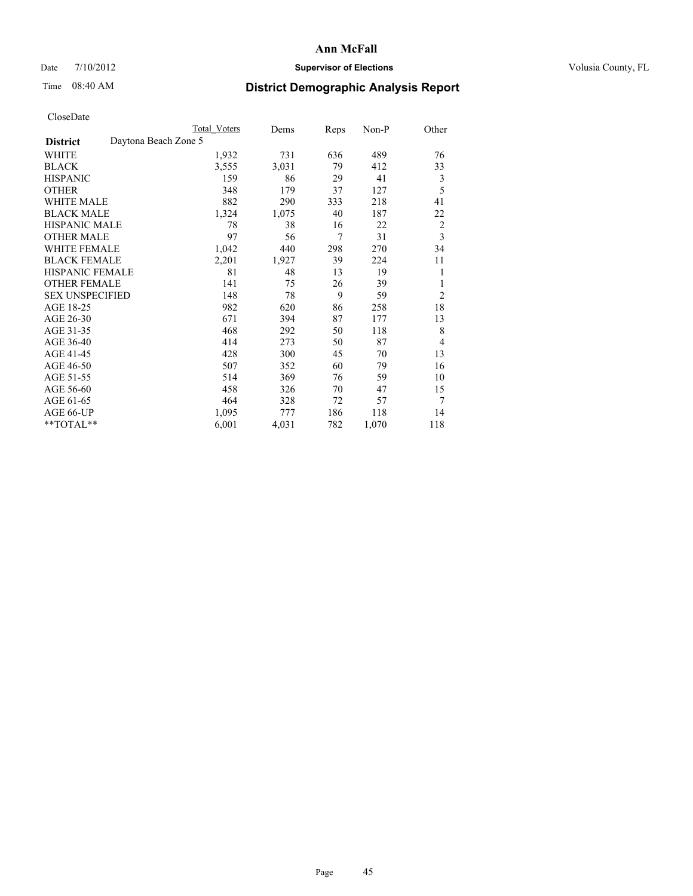## Date  $7/10/2012$  **Supervisor of Elections** Volusia County, FL

# Time 08:40 AM **District Demographic Analysis Report**

|                        | Total Voters         | Dems  | Reps | Non-P | Other          |
|------------------------|----------------------|-------|------|-------|----------------|
| <b>District</b>        | Daytona Beach Zone 5 |       |      |       |                |
| WHITE                  | 1,932                | 731   | 636  | 489   | 76             |
| <b>BLACK</b>           | 3,555                | 3,031 | 79   | 412   | 33             |
| <b>HISPANIC</b>        | 159                  | 86    | 29   | 41    | 3              |
| <b>OTHER</b>           | 348                  | 179   | 37   | 127   | 5              |
| <b>WHITE MALE</b>      | 882                  | 290   | 333  | 218   | 41             |
| <b>BLACK MALE</b>      | 1,324                | 1,075 | 40   | 187   | 22             |
| <b>HISPANIC MALE</b>   | 78                   | 38    | 16   | 22    | 2              |
| <b>OTHER MALE</b>      | 97                   | 56    | 7    | 31    | $\overline{3}$ |
| <b>WHITE FEMALE</b>    | 1,042                | 440   | 298  | 270   | 34             |
| <b>BLACK FEMALE</b>    | 2,201                | 1,927 | 39   | 224   | 11             |
| <b>HISPANIC FEMALE</b> | 81                   | 48    | 13   | 19    | 1              |
| <b>OTHER FEMALE</b>    | 141                  | 75    | 26   | 39    | 1              |
| <b>SEX UNSPECIFIED</b> | 148                  | 78    | 9    | 59    | $\overline{2}$ |
| AGE 18-25              | 982                  | 620   | 86   | 258   | 18             |
| AGE 26-30              | 671                  | 394   | 87   | 177   | 13             |
| AGE 31-35              | 468                  | 292   | 50   | 118   | 8              |
| AGE 36-40              | 414                  | 273   | 50   | 87    | 4              |
| AGE 41-45              | 428                  | 300   | 45   | 70    | 13             |
| AGE 46-50              | 507                  | 352   | 60   | 79    | 16             |
| AGE 51-55              | 514                  | 369   | 76   | 59    | 10             |
| AGE 56-60              | 458                  | 326   | 70   | 47    | 15             |
| AGE 61-65              | 464                  | 328   | 72   | 57    | 7              |
| AGE 66-UP              | 1,095                | 777   | 186  | 118   | 14             |
| **TOTAL**              | 6,001                | 4,031 | 782  | 1,070 | 118            |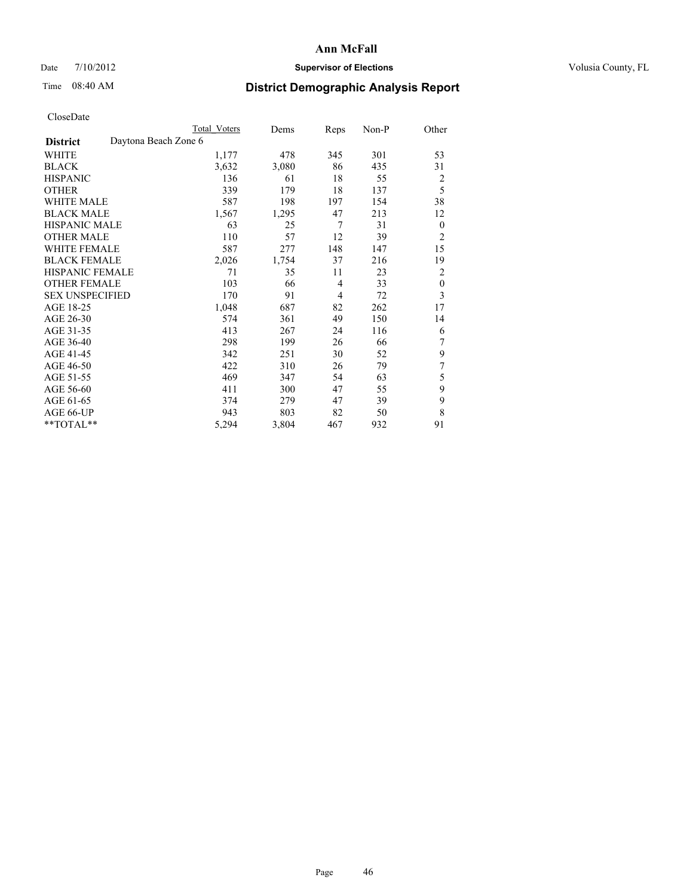## Date  $7/10/2012$  **Supervisor of Elections** Volusia County, FL

## Time 08:40 AM **District Demographic Analysis Report**

|                                         | <b>Total Voters</b> | Dems  | Reps           | Non-P | Other            |
|-----------------------------------------|---------------------|-------|----------------|-------|------------------|
| Daytona Beach Zone 6<br><b>District</b> |                     |       |                |       |                  |
| WHITE                                   | 1,177               | 478   | 345            | 301   | 53               |
| <b>BLACK</b>                            | 3,632               | 3,080 | 86             | 435   | 31               |
| <b>HISPANIC</b>                         | 136                 | 61    | 18             | 55    | 2                |
| <b>OTHER</b>                            | 339                 | 179   | 18             | 137   | 5                |
| WHITE MALE                              | 587                 | 198   | 197            | 154   | 38               |
| <b>BLACK MALE</b>                       | 1,567               | 1,295 | 47             | 213   | 12               |
| <b>HISPANIC MALE</b>                    | 63                  | 25    | 7              | 31    | $\boldsymbol{0}$ |
| <b>OTHER MALE</b>                       | 110                 | 57    | 12             | 39    | $\overline{2}$   |
| WHITE FEMALE                            | 587                 | 277   | 148            | 147   | 15               |
| <b>BLACK FEMALE</b>                     | 2,026               | 1,754 | 37             | 216   | 19               |
| <b>HISPANIC FEMALE</b>                  | 71                  | 35    | 11             | 23    | $\overline{2}$   |
| <b>OTHER FEMALE</b>                     | 103                 | 66    | $\overline{4}$ | 33    | $\boldsymbol{0}$ |
| <b>SEX UNSPECIFIED</b>                  | 170                 | 91    | $\overline{4}$ | 72    | 3                |
| AGE 18-25                               | 1,048               | 687   | 82             | 262   | 17               |
| AGE 26-30                               | 574                 | 361   | 49             | 150   | 14               |
| AGE 31-35                               | 413                 | 267   | 24             | 116   | 6                |
| AGE 36-40                               | 298                 | 199   | 26             | 66    | 7                |
| AGE 41-45                               | 342                 | 251   | 30             | 52    | 9                |
| AGE 46-50                               | 422                 | 310   | 26             | 79    | 7                |
| AGE 51-55                               | 469                 | 347   | 54             | 63    | 5                |
| AGE 56-60                               | 411                 | 300   | 47             | 55    | 9                |
| AGE 61-65                               | 374                 | 279   | 47             | 39    | 9                |
| AGE 66-UP                               | 943                 | 803   | 82             | 50    | 8                |
| **TOTAL**                               | 5,294               | 3,804 | 467            | 932   | 91               |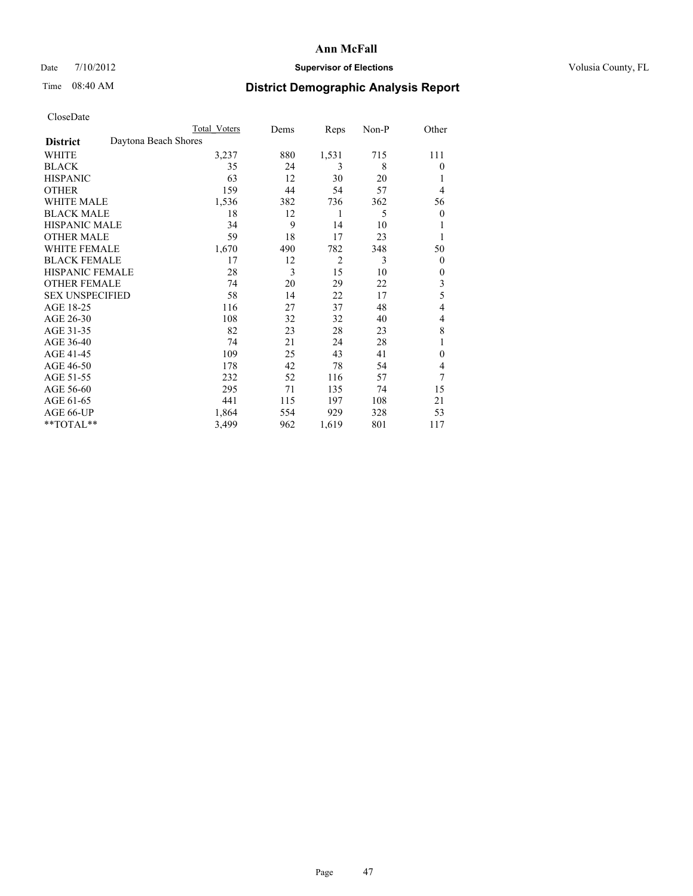## Date  $7/10/2012$  **Supervisor of Elections** Volusia County, FL

# Time 08:40 AM **District Demographic Analysis Report**

|                        | <b>Total Voters</b>  | Dems | Reps           | Non-P | Other            |
|------------------------|----------------------|------|----------------|-------|------------------|
| <b>District</b>        | Daytona Beach Shores |      |                |       |                  |
| WHITE                  | 3,237                | 880  | 1,531          | 715   | 111              |
| <b>BLACK</b>           | 35                   | 24   | 3              | 8     | $\theta$         |
| <b>HISPANIC</b>        | 63                   | 12   | 30             | 20    | 1                |
| <b>OTHER</b>           | 159                  | 44   | 54             | 57    | $\overline{4}$   |
| <b>WHITE MALE</b>      | 1,536                | 382  | 736            | 362   | 56               |
| <b>BLACK MALE</b>      | 18                   | 12   | 1              | 5     | $\boldsymbol{0}$ |
| <b>HISPANIC MALE</b>   | 34                   | 9    | 14             | 10    |                  |
| <b>OTHER MALE</b>      | 59                   | 18   | 17             | 23    | 1                |
| <b>WHITE FEMALE</b>    | 1,670                | 490  | 782            | 348   | 50               |
| <b>BLACK FEMALE</b>    | 17                   | 12   | $\overline{2}$ | 3     | $\overline{0}$   |
| <b>HISPANIC FEMALE</b> | 28                   | 3    | 15             | 10    | $\theta$         |
| <b>OTHER FEMALE</b>    | 74                   | 20   | 29             | 22    | 3                |
| <b>SEX UNSPECIFIED</b> | 58                   | 14   | 22             | 17    | 5                |
| AGE 18-25              | 116                  | 27   | 37             | 48    | 4                |
| AGE 26-30              | 108                  | 32   | 32             | 40    | 4                |
| AGE 31-35              | 82                   | 23   | 28             | 23    | 8                |
| AGE 36-40              | 74                   | 21   | 24             | 28    |                  |
| AGE 41-45              | 109                  | 25   | 43             | 41    | $\mathbf{0}$     |
| AGE 46-50              | 178                  | 42   | 78             | 54    | 4                |
| AGE 51-55              | 232                  | 52   | 116            | 57    | 7                |
| AGE 56-60              | 295                  | 71   | 135            | 74    | 15               |
| AGE 61-65              | 441                  | 115  | 197            | 108   | 21               |
| AGE 66-UP              | 1,864                | 554  | 929            | 328   | 53               |
| **TOTAL**              | 3,499                | 962  | 1,619          | 801   | 117              |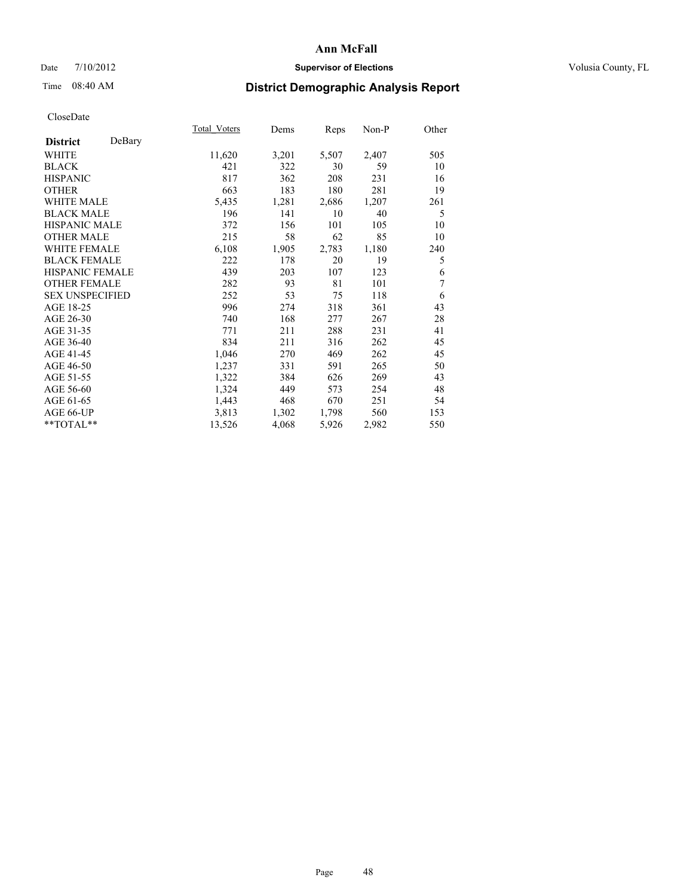### Date  $7/10/2012$  **Supervisor of Elections** Volusia County, FL

## Time 08:40 AM **District Demographic Analysis Report**

|                           | <b>Total Voters</b> | Dems  | Reps  | Non-P | Other |
|---------------------------|---------------------|-------|-------|-------|-------|
| DeBary<br><b>District</b> |                     |       |       |       |       |
| WHITE                     | 11,620              | 3,201 | 5,507 | 2,407 | 505   |
| <b>BLACK</b>              | 421                 | 322   | 30    | 59    | 10    |
| <b>HISPANIC</b>           | 817                 | 362   | 208   | 231   | 16    |
| <b>OTHER</b>              | 663                 | 183   | 180   | 281   | 19    |
| <b>WHITE MALE</b>         | 5,435               | 1,281 | 2,686 | 1,207 | 261   |
| <b>BLACK MALE</b>         | 196                 | 141   | 10    | 40    | 5     |
| HISPANIC MALE             | 372                 | 156   | 101   | 105   | 10    |
| <b>OTHER MALE</b>         | 215                 | 58    | 62    | 85    | 10    |
| <b>WHITE FEMALE</b>       | 6,108               | 1,905 | 2,783 | 1,180 | 240   |
| <b>BLACK FEMALE</b>       | 222                 | 178   | 20    | 19    | 5     |
| <b>HISPANIC FEMALE</b>    | 439                 | 203   | 107   | 123   | 6     |
| <b>OTHER FEMALE</b>       | 282                 | 93    | 81    | 101   | 7     |
| <b>SEX UNSPECIFIED</b>    | 252                 | 53    | 75    | 118   | 6     |
| AGE 18-25                 | 996                 | 274   | 318   | 361   | 43    |
| AGE 26-30                 | 740                 | 168   | 277   | 267   | 28    |
| AGE 31-35                 | 771                 | 211   | 288   | 231   | 41    |
| AGE 36-40                 | 834                 | 211   | 316   | 262   | 45    |
| AGE 41-45                 | 1,046               | 270   | 469   | 262   | 45    |
| AGE 46-50                 | 1,237               | 331   | 591   | 265   | 50    |
| AGE 51-55                 | 1,322               | 384   | 626   | 269   | 43    |
| AGE 56-60                 | 1,324               | 449   | 573   | 254   | 48    |
| AGE 61-65                 | 1,443               | 468   | 670   | 251   | 54    |
| AGE 66-UP                 | 3,813               | 1,302 | 1,798 | 560   | 153   |
| **TOTAL**                 | 13,526              | 4,068 | 5,926 | 2,982 | 550   |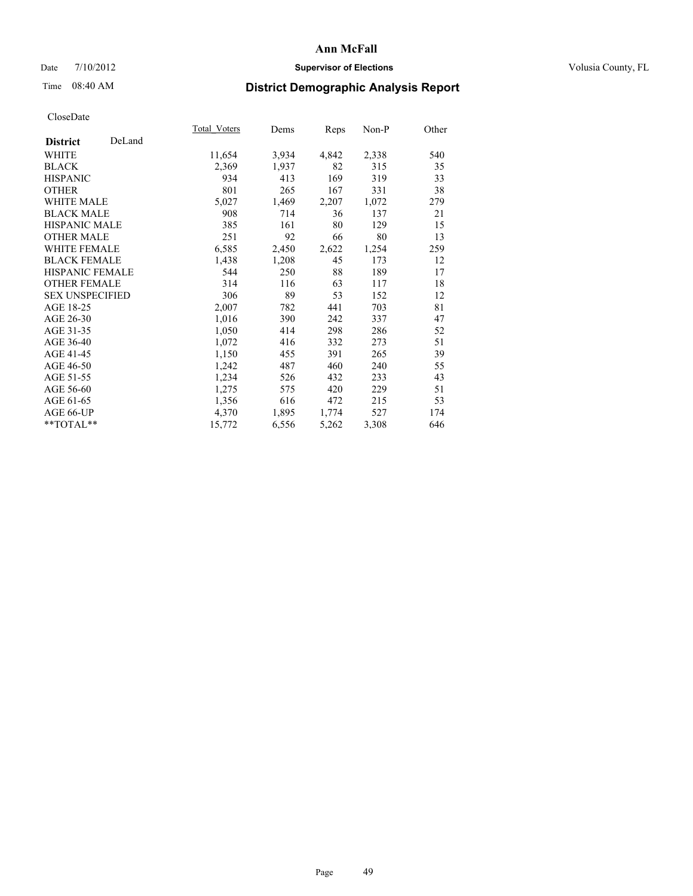### Date  $7/10/2012$  **Supervisor of Elections** Volusia County, FL

## Time 08:40 AM **District Demographic Analysis Report**

|                           | Total Voters | Dems  | <b>Reps</b> | Non-P | Other |
|---------------------------|--------------|-------|-------------|-------|-------|
| DeLand<br><b>District</b> |              |       |             |       |       |
| <b>WHITE</b>              | 11,654       | 3,934 | 4,842       | 2,338 | 540   |
| <b>BLACK</b>              | 2,369        | 1,937 | 82          | 315   | 35    |
| <b>HISPANIC</b>           | 934          | 413   | 169         | 319   | 33    |
| <b>OTHER</b>              | 801          | 265   | 167         | 331   | 38    |
| <b>WHITE MALE</b>         | 5,027        | 1,469 | 2,207       | 1,072 | 279   |
| <b>BLACK MALE</b>         | 908          | 714   | 36          | 137   | 21    |
| HISPANIC MALE             | 385          | 161   | 80          | 129   | 15    |
| <b>OTHER MALE</b>         | 251          | 92    | 66          | 80    | 13    |
| <b>WHITE FEMALE</b>       | 6,585        | 2,450 | 2,622       | 1,254 | 259   |
| <b>BLACK FEMALE</b>       | 1,438        | 1,208 | 45          | 173   | 12    |
| <b>HISPANIC FEMALE</b>    | 544          | 250   | 88          | 189   | 17    |
| <b>OTHER FEMALE</b>       | 314          | 116   | 63          | 117   | 18    |
| <b>SEX UNSPECIFIED</b>    | 306          | 89    | 53          | 152   | 12    |
| AGE 18-25                 | 2,007        | 782   | 441         | 703   | 81    |
| AGE 26-30                 | 1,016        | 390   | 242         | 337   | 47    |
| AGE 31-35                 | 1,050        | 414   | 298         | 286   | 52    |
| AGE 36-40                 | 1,072        | 416   | 332         | 273   | 51    |
| AGE 41-45                 | 1,150        | 455   | 391         | 265   | 39    |
| AGE 46-50                 | 1,242        | 487   | 460         | 240   | 55    |
| AGE 51-55                 | 1,234        | 526   | 432         | 233   | 43    |
| AGE 56-60                 | 1,275        | 575   | 420         | 229   | 51    |
| AGE 61-65                 | 1,356        | 616   | 472         | 215   | 53    |
| AGE 66-UP                 | 4,370        | 1,895 | 1,774       | 527   | 174   |
| **TOTAL**                 | 15,772       | 6,556 | 5,262       | 3,308 | 646   |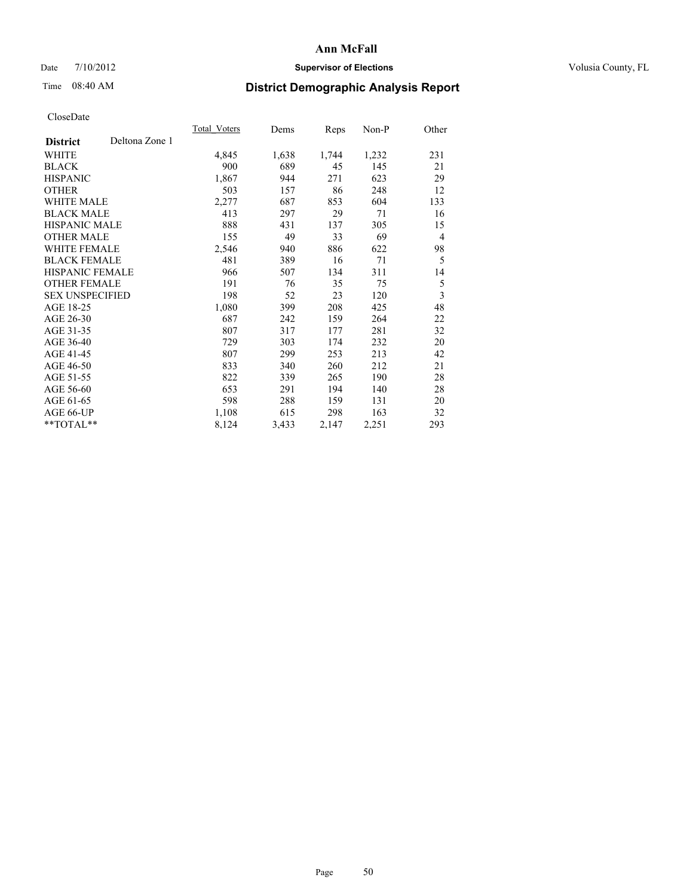### Date  $7/10/2012$  **Supervisor of Elections** Volusia County, FL

## Time 08:40 AM **District Demographic Analysis Report**

|                        |                | Total Voters | Dems  | Reps  | Non-P | Other          |
|------------------------|----------------|--------------|-------|-------|-------|----------------|
| <b>District</b>        | Deltona Zone 1 |              |       |       |       |                |
| WHITE                  |                | 4,845        | 1,638 | 1,744 | 1,232 | 231            |
| <b>BLACK</b>           |                | 900          | 689   | 45    | 145   | 21             |
| <b>HISPANIC</b>        |                | 1,867        | 944   | 271   | 623   | 29             |
| <b>OTHER</b>           |                | 503          | 157   | 86    | 248   | 12             |
| <b>WHITE MALE</b>      |                | 2,277        | 687   | 853   | 604   | 133            |
| <b>BLACK MALE</b>      |                | 413          | 297   | 29    | 71    | 16             |
| HISPANIC MALE          |                | 888          | 431   | 137   | 305   | 15             |
| <b>OTHER MALE</b>      |                | 155          | 49    | 33    | 69    | $\overline{4}$ |
| <b>WHITE FEMALE</b>    |                | 2,546        | 940   | 886   | 622   | 98             |
| <b>BLACK FEMALE</b>    |                | 481          | 389   | 16    | 71    | 5              |
| <b>HISPANIC FEMALE</b> |                | 966          | 507   | 134   | 311   | 14             |
| <b>OTHER FEMALE</b>    |                | 191          | 76    | 35    | 75    | 5              |
| <b>SEX UNSPECIFIED</b> |                | 198          | 52    | 23    | 120   | 3              |
| AGE 18-25              |                | 1,080        | 399   | 208   | 425   | 48             |
| AGE 26-30              |                | 687          | 242   | 159   | 264   | 22             |
| AGE 31-35              |                | 807          | 317   | 177   | 281   | 32             |
| AGE 36-40              |                | 729          | 303   | 174   | 232   | 20             |
| AGE 41-45              |                | 807          | 299   | 253   | 213   | 42             |
| AGE 46-50              |                | 833          | 340   | 260   | 212   | 21             |
| AGE 51-55              |                | 822          | 339   | 265   | 190   | 28             |
| AGE 56-60              |                | 653          | 291   | 194   | 140   | 28             |
| AGE 61-65              |                | 598          | 288   | 159   | 131   | 20             |
| AGE 66-UP              |                | 1,108        | 615   | 298   | 163   | 32             |
| **TOTAL**              |                | 8,124        | 3,433 | 2,147 | 2,251 | 293            |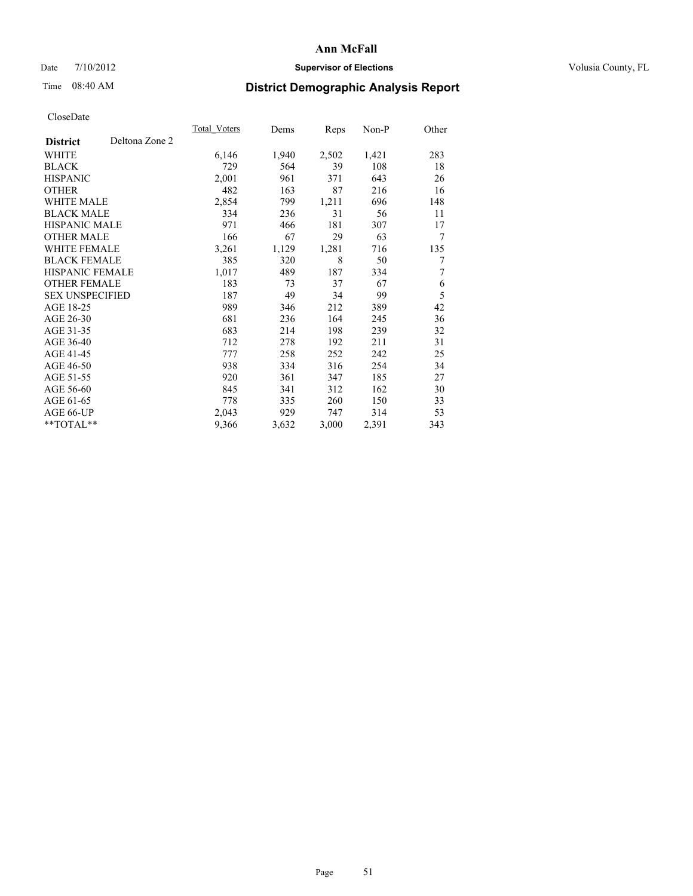### Date  $7/10/2012$  **Supervisor of Elections** Volusia County, FL

# Time 08:40 AM **District Demographic Analysis Report**

|                        |                | Total Voters | Dems  | <b>Reps</b> | Non-P | Other |
|------------------------|----------------|--------------|-------|-------------|-------|-------|
| <b>District</b>        | Deltona Zone 2 |              |       |             |       |       |
| WHITE                  |                | 6,146        | 1,940 | 2,502       | 1,421 | 283   |
| <b>BLACK</b>           |                | 729          | 564   | 39          | 108   | 18    |
| <b>HISPANIC</b>        |                | 2,001        | 961   | 371         | 643   | 26    |
| <b>OTHER</b>           |                | 482          | 163   | 87          | 216   | 16    |
| <b>WHITE MALE</b>      |                | 2,854        | 799   | 1,211       | 696   | 148   |
| <b>BLACK MALE</b>      |                | 334          | 236   | 31          | 56    | 11    |
| HISPANIC MALE          |                | 971          | 466   | 181         | 307   | 17    |
| <b>OTHER MALE</b>      |                | 166          | 67    | 29          | 63    | 7     |
| <b>WHITE FEMALE</b>    |                | 3,261        | 1,129 | 1,281       | 716   | 135   |
| <b>BLACK FEMALE</b>    |                | 385          | 320   | 8           | 50    | 7     |
| <b>HISPANIC FEMALE</b> |                | 1,017        | 489   | 187         | 334   | 7     |
| <b>OTHER FEMALE</b>    |                | 183          | 73    | 37          | 67    | 6     |
| <b>SEX UNSPECIFIED</b> |                | 187          | 49    | 34          | 99    | 5     |
| AGE 18-25              |                | 989          | 346   | 212         | 389   | 42    |
| AGE 26-30              |                | 681          | 236   | 164         | 245   | 36    |
| AGE 31-35              |                | 683          | 214   | 198         | 239   | 32    |
| AGE 36-40              |                | 712          | 278   | 192         | 211   | 31    |
| AGE 41-45              |                | 777          | 258   | 252         | 242   | 25    |
| AGE 46-50              |                | 938          | 334   | 316         | 254   | 34    |
| AGE 51-55              |                | 920          | 361   | 347         | 185   | 27    |
| AGE 56-60              |                | 845          | 341   | 312         | 162   | 30    |
| AGE 61-65              |                | 778          | 335   | 260         | 150   | 33    |
| AGE 66-UP              |                | 2,043        | 929   | 747         | 314   | 53    |
| **TOTAL**              |                | 9,366        | 3,632 | 3,000       | 2,391 | 343   |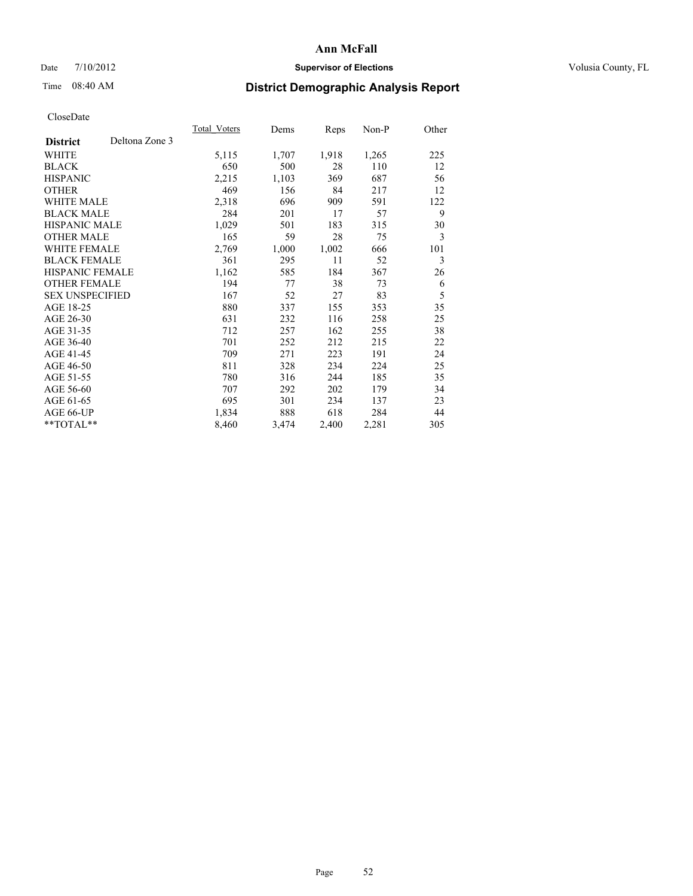## Date  $7/10/2012$  **Supervisor of Elections** Volusia County, FL

# Time 08:40 AM **District Demographic Analysis Report**

|                                   | Total Voters | Dems  | <b>Reps</b> | Non-P | Other |
|-----------------------------------|--------------|-------|-------------|-------|-------|
| Deltona Zone 3<br><b>District</b> |              |       |             |       |       |
| WHITE                             | 5,115        | 1,707 | 1,918       | 1,265 | 225   |
| <b>BLACK</b>                      | 650          | 500   | 28          | 110   | 12    |
| <b>HISPANIC</b>                   | 2,215        | 1,103 | 369         | 687   | 56    |
| <b>OTHER</b>                      | 469          | 156   | 84          | 217   | 12    |
| <b>WHITE MALE</b>                 | 2,318        | 696   | 909         | 591   | 122   |
| <b>BLACK MALE</b>                 | 284          | 201   | 17          | 57    | 9     |
| <b>HISPANIC MALE</b>              | 1,029        | 501   | 183         | 315   | 30    |
| <b>OTHER MALE</b>                 | 165          | 59    | 28          | 75    | 3     |
| <b>WHITE FEMALE</b>               | 2,769        | 1,000 | 1,002       | 666   | 101   |
| <b>BLACK FEMALE</b>               | 361          | 295   | 11          | 52    | 3     |
| <b>HISPANIC FEMALE</b>            | 1,162        | 585   | 184         | 367   | 26    |
| <b>OTHER FEMALE</b>               | 194          | 77    | 38          | 73    | 6     |
| <b>SEX UNSPECIFIED</b>            | 167          | 52    | 27          | 83    | 5     |
| AGE 18-25                         | 880          | 337   | 155         | 353   | 35    |
| AGE 26-30                         | 631          | 232   | 116         | 258   | 25    |
| AGE 31-35                         | 712          | 257   | 162         | 255   | 38    |
| AGE 36-40                         | 701          | 252   | 212         | 215   | 22    |
| AGE 41-45                         | 709          | 271   | 223         | 191   | 24    |
| AGE 46-50                         | 811          | 328   | 234         | 224   | 25    |
| AGE 51-55                         | 780          | 316   | 244         | 185   | 35    |
| AGE 56-60                         | 707          | 292   | 202         | 179   | 34    |
| AGE 61-65                         | 695          | 301   | 234         | 137   | 23    |
| AGE 66-UP                         | 1,834        | 888   | 618         | 284   | 44    |
| **TOTAL**                         | 8,460        | 3,474 | 2,400       | 2,281 | 305   |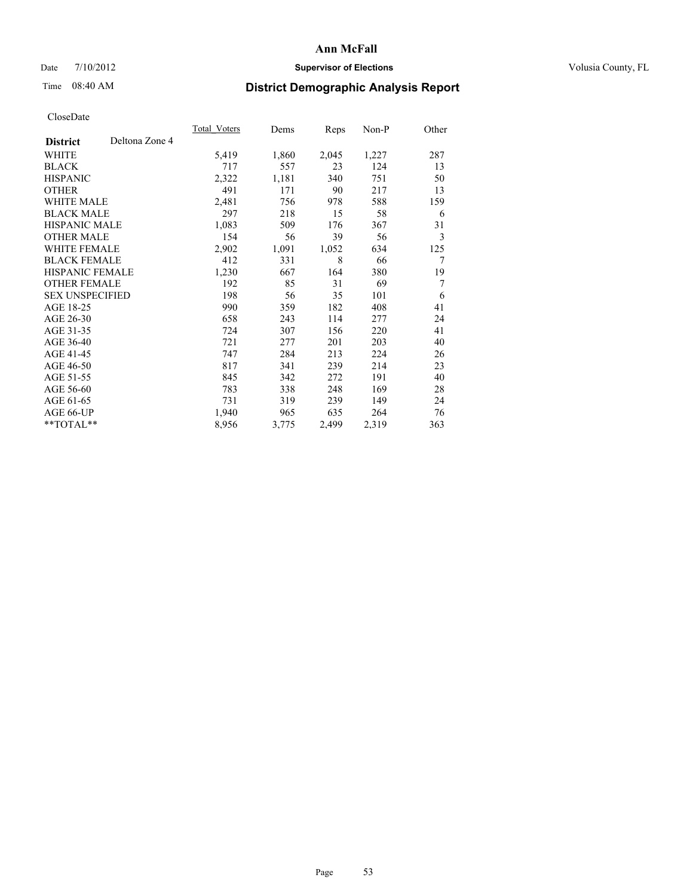### Date  $7/10/2012$  **Supervisor of Elections** Volusia County, FL

# Time 08:40 AM **District Demographic Analysis Report**

|                        |                | Total Voters | Dems  | <b>Reps</b> | Non-P | Other |
|------------------------|----------------|--------------|-------|-------------|-------|-------|
| <b>District</b>        | Deltona Zone 4 |              |       |             |       |       |
| WHITE                  |                | 5,419        | 1,860 | 2,045       | 1,227 | 287   |
| <b>BLACK</b>           |                | 717          | 557   | 23          | 124   | 13    |
| <b>HISPANIC</b>        |                | 2,322        | 1,181 | 340         | 751   | 50    |
| <b>OTHER</b>           |                | 491          | 171   | 90          | 217   | 13    |
| WHITE MALE             |                | 2,481        | 756   | 978         | 588   | 159   |
| <b>BLACK MALE</b>      |                | 297          | 218   | 15          | 58    | 6     |
| <b>HISPANIC MALE</b>   |                | 1,083        | 509   | 176         | 367   | 31    |
| <b>OTHER MALE</b>      |                | 154          | 56    | 39          | 56    | 3     |
| <b>WHITE FEMALE</b>    |                | 2,902        | 1,091 | 1,052       | 634   | 125   |
| <b>BLACK FEMALE</b>    |                | 412          | 331   | 8           | 66    | 7     |
| <b>HISPANIC FEMALE</b> |                | 1,230        | 667   | 164         | 380   | 19    |
| <b>OTHER FEMALE</b>    |                | 192          | 85    | 31          | 69    | 7     |
| <b>SEX UNSPECIFIED</b> |                | 198          | 56    | 35          | 101   | 6     |
| AGE 18-25              |                | 990          | 359   | 182         | 408   | 41    |
| AGE 26-30              |                | 658          | 243   | 114         | 277   | 24    |
| AGE 31-35              |                | 724          | 307   | 156         | 220   | 41    |
| AGE 36-40              |                | 721          | 277   | 201         | 203   | 40    |
| AGE 41-45              |                | 747          | 284   | 213         | 224   | 26    |
| AGE 46-50              |                | 817          | 341   | 239         | 214   | 23    |
| AGE 51-55              |                | 845          | 342   | 272         | 191   | 40    |
| AGE 56-60              |                | 783          | 338   | 248         | 169   | 28    |
| AGE 61-65              |                | 731          | 319   | 239         | 149   | 24    |
| AGE 66-UP              |                | 1,940        | 965   | 635         | 264   | 76    |
| $*$ TOTAL $*$          |                | 8,956        | 3,775 | 2,499       | 2,319 | 363   |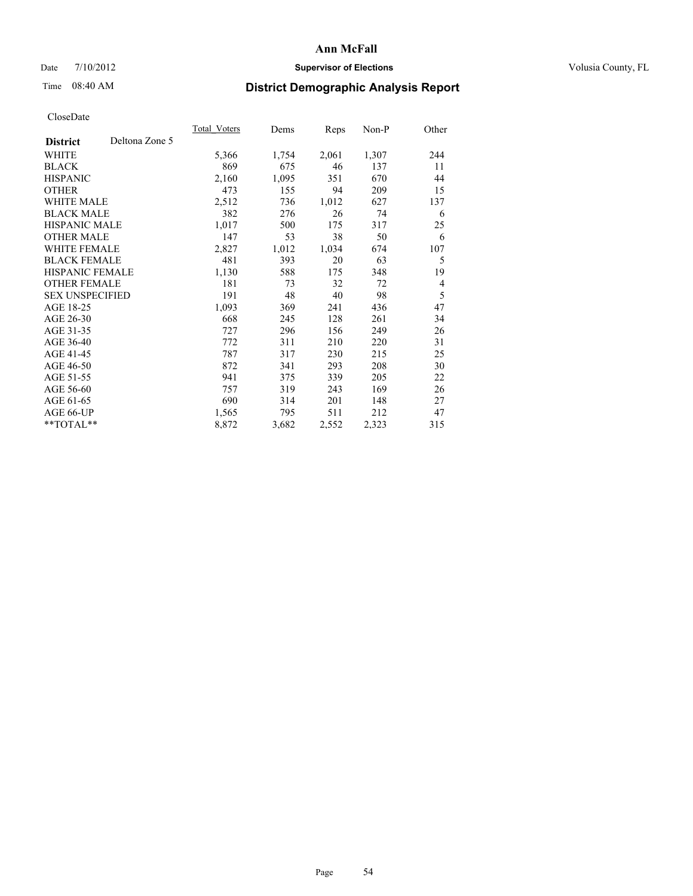## Date  $7/10/2012$  **Supervisor of Elections** Volusia County, FL

# Time 08:40 AM **District Demographic Analysis Report**

|                        |                | Total Voters | Dems  | <b>Reps</b> | $Non-P$ | Other          |
|------------------------|----------------|--------------|-------|-------------|---------|----------------|
| <b>District</b>        | Deltona Zone 5 |              |       |             |         |                |
| WHITE                  |                | 5,366        | 1,754 | 2,061       | 1,307   | 244            |
| <b>BLACK</b>           |                | 869          | 675   | 46          | 137     | 11             |
| <b>HISPANIC</b>        |                | 2,160        | 1,095 | 351         | 670     | 44             |
| <b>OTHER</b>           |                | 473          | 155   | 94          | 209     | 15             |
| <b>WHITE MALE</b>      |                | 2,512        | 736   | 1,012       | 627     | 137            |
| <b>BLACK MALE</b>      |                | 382          | 276   | 26          | 74      | 6              |
| <b>HISPANIC MALE</b>   |                | 1,017        | 500   | 175         | 317     | 25             |
| <b>OTHER MALE</b>      |                | 147          | 53    | 38          | 50      | 6              |
| <b>WHITE FEMALE</b>    |                | 2,827        | 1,012 | 1,034       | 674     | 107            |
| <b>BLACK FEMALE</b>    |                | 481          | 393   | 20          | 63      | 5              |
| <b>HISPANIC FEMALE</b> |                | 1,130        | 588   | 175         | 348     | 19             |
| <b>OTHER FEMALE</b>    |                | 181          | 73    | 32          | 72      | $\overline{4}$ |
| <b>SEX UNSPECIFIED</b> |                | 191          | 48    | 40          | 98      | 5              |
| AGE 18-25              |                | 1,093        | 369   | 241         | 436     | 47             |
| AGE 26-30              |                | 668          | 245   | 128         | 261     | 34             |
| AGE 31-35              |                | 727          | 296   | 156         | 249     | 26             |
| AGE 36-40              |                | 772          | 311   | 210         | 220     | 31             |
| AGE 41-45              |                | 787          | 317   | 230         | 215     | 25             |
| AGE 46-50              |                | 872          | 341   | 293         | 208     | 30             |
| AGE 51-55              |                | 941          | 375   | 339         | 205     | 22             |
| AGE 56-60              |                | 757          | 319   | 243         | 169     | 26             |
| AGE 61-65              |                | 690          | 314   | 201         | 148     | 27             |
| AGE 66-UP              |                | 1,565        | 795   | 511         | 212     | 47             |
| **TOTAL**              |                | 8,872        | 3,682 | 2,552       | 2,323   | 315            |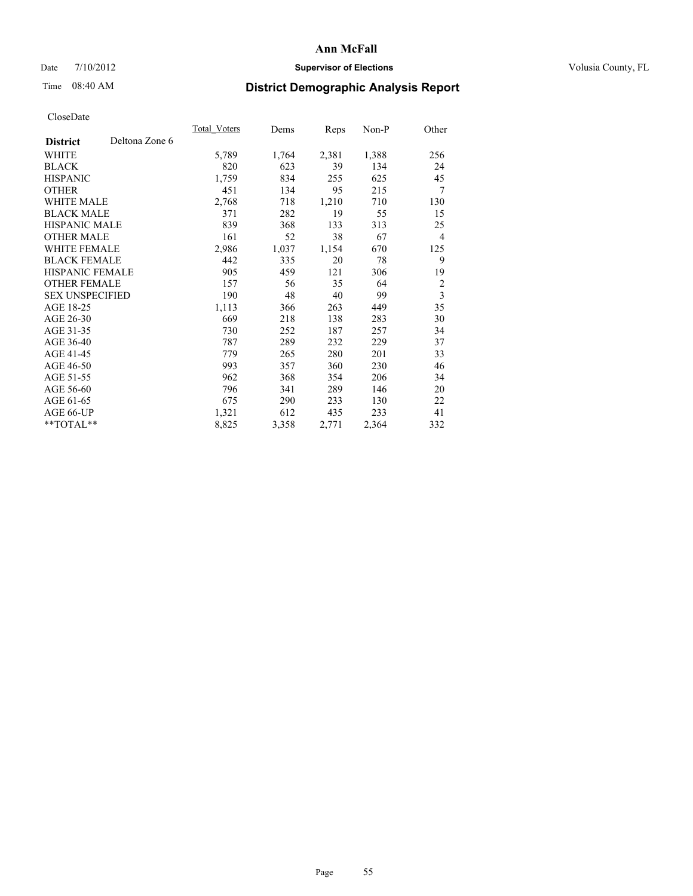### Date  $7/10/2012$  **Supervisor of Elections** Volusia County, FL

# Time 08:40 AM **District Demographic Analysis Report**

|                        |                | Total Voters | Dems  | <b>Reps</b> | Non-P | Other          |
|------------------------|----------------|--------------|-------|-------------|-------|----------------|
| <b>District</b>        | Deltona Zone 6 |              |       |             |       |                |
| WHITE                  |                | 5,789        | 1,764 | 2,381       | 1,388 | 256            |
| <b>BLACK</b>           |                | 820          | 623   | 39          | 134   | 24             |
| <b>HISPANIC</b>        |                | 1,759        | 834   | 255         | 625   | 45             |
| <b>OTHER</b>           |                | 451          | 134   | 95          | 215   | 7              |
| <b>WHITE MALE</b>      |                | 2,768        | 718   | 1,210       | 710   | 130            |
| <b>BLACK MALE</b>      |                | 371          | 282   | 19          | 55    | 15             |
| <b>HISPANIC MALE</b>   |                | 839          | 368   | 133         | 313   | 25             |
| <b>OTHER MALE</b>      |                | 161          | 52    | 38          | 67    | $\overline{4}$ |
| <b>WHITE FEMALE</b>    |                | 2,986        | 1,037 | 1,154       | 670   | 125            |
| <b>BLACK FEMALE</b>    |                | 442          | 335   | 20          | 78    | 9              |
| <b>HISPANIC FEMALE</b> |                | 905          | 459   | 121         | 306   | 19             |
| <b>OTHER FEMALE</b>    |                | 157          | 56    | 35          | 64    | $\overline{2}$ |
| <b>SEX UNSPECIFIED</b> |                | 190          | 48    | 40          | 99    | 3              |
| AGE 18-25              |                | 1,113        | 366   | 263         | 449   | 35             |
| AGE 26-30              |                | 669          | 218   | 138         | 283   | 30             |
| AGE 31-35              |                | 730          | 252   | 187         | 257   | 34             |
| AGE 36-40              |                | 787          | 289   | 232         | 229   | 37             |
| AGE 41-45              |                | 779          | 265   | 280         | 201   | 33             |
| AGE 46-50              |                | 993          | 357   | 360         | 230   | 46             |
| AGE 51-55              |                | 962          | 368   | 354         | 206   | 34             |
| AGE 56-60              |                | 796          | 341   | 289         | 146   | 20             |
| AGE 61-65              |                | 675          | 290   | 233         | 130   | 22             |
| AGE 66-UP              |                | 1,321        | 612   | 435         | 233   | 41             |
| **TOTAL**              |                | 8,825        | 3,358 | 2,771       | 2,364 | 332            |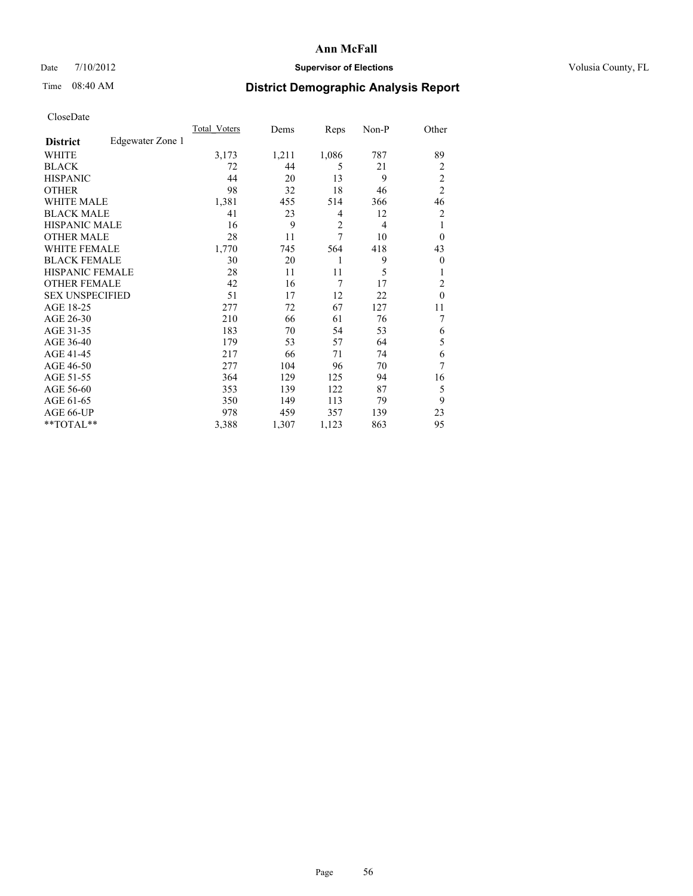## Date  $7/10/2012$  **Supervisor of Elections** Volusia County, FL

## Time 08:40 AM **District Demographic Analysis Report**

|                        |                  | <b>Total Voters</b> | Dems  | Reps           | Non-P          | Other          |
|------------------------|------------------|---------------------|-------|----------------|----------------|----------------|
| <b>District</b>        | Edgewater Zone 1 |                     |       |                |                |                |
| WHITE                  |                  | 3,173               | 1,211 | 1,086          | 787            | 89             |
| <b>BLACK</b>           |                  | 72                  | 44    | 5              | 21             | $\overline{2}$ |
| <b>HISPANIC</b>        |                  | 44                  | 20    | 13             | 9              | $\overline{2}$ |
| <b>OTHER</b>           |                  | 98                  | 32    | 18             | 46             | $\overline{2}$ |
| WHITE MALE             |                  | 1,381               | 455   | 514            | 366            | 46             |
| <b>BLACK MALE</b>      |                  | 41                  | 23    | 4              | 12             | 2              |
| <b>HISPANIC MALE</b>   |                  | 16                  | 9     | $\overline{2}$ | $\overline{4}$ | 1              |
| <b>OTHER MALE</b>      |                  | 28                  | 11    | 7              | 10             | $\overline{0}$ |
| WHITE FEMALE           |                  | 1,770               | 745   | 564            | 418            | 43             |
| <b>BLACK FEMALE</b>    |                  | 30                  | 20    | 1              | 9              | $\overline{0}$ |
| <b>HISPANIC FEMALE</b> |                  | 28                  | 11    | 11             | 5              | 1              |
| <b>OTHER FEMALE</b>    |                  | 42                  | 16    | 7              | 17             | $\overline{2}$ |
| <b>SEX UNSPECIFIED</b> |                  | 51                  | 17    | 12             | 22             | $\mathbf{0}$   |
| AGE 18-25              |                  | 277                 | 72    | 67             | 127            | 11             |
| AGE 26-30              |                  | 210                 | 66    | 61             | 76             | 7              |
| AGE 31-35              |                  | 183                 | 70    | 54             | 53             | 6              |
| AGE 36-40              |                  | 179                 | 53    | 57             | 64             | 5              |
| AGE 41-45              |                  | 217                 | 66    | 71             | 74             | 6              |
| AGE 46-50              |                  | 277                 | 104   | 96             | 70             | 7              |
| AGE 51-55              |                  | 364                 | 129   | 125            | 94             | 16             |
| AGE 56-60              |                  | 353                 | 139   | 122            | 87             | 5              |
| AGE 61-65              |                  | 350                 | 149   | 113            | 79             | 9              |
| AGE 66-UP              |                  | 978                 | 459   | 357            | 139            | 23             |
| **TOTAL**              |                  | 3,388               | 1,307 | 1,123          | 863            | 95             |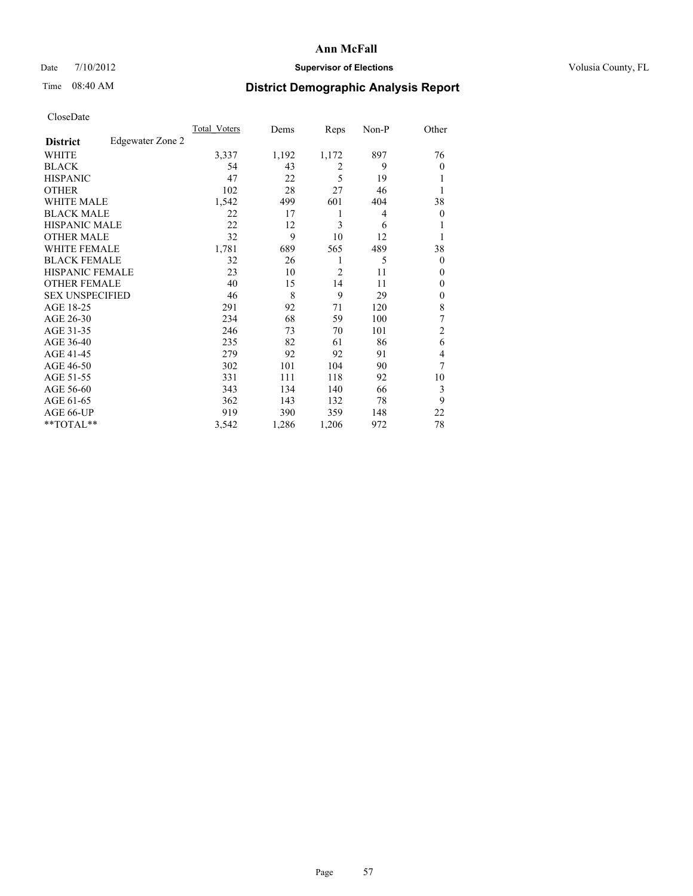## Date  $7/10/2012$  **Supervisor of Elections** Volusia County, FL

## Time 08:40 AM **District Demographic Analysis Report**

|                        |                  | <b>Total Voters</b> | Dems  | Reps           | Non-P | Other          |
|------------------------|------------------|---------------------|-------|----------------|-------|----------------|
| <b>District</b>        | Edgewater Zone 2 |                     |       |                |       |                |
| WHITE                  |                  | 3,337               | 1,192 | 1,172          | 897   | 76             |
| <b>BLACK</b>           |                  | 54                  | 43    | $\overline{2}$ | 9     | $\theta$       |
| <b>HISPANIC</b>        |                  | 47                  | 22    | 5              | 19    | l              |
| <b>OTHER</b>           |                  | 102                 | 28    | 27             | 46    |                |
| WHITE MALE             |                  | 1,542               | 499   | 601            | 404   | 38             |
| <b>BLACK MALE</b>      |                  | 22                  | 17    | 1              | 4     | $\overline{0}$ |
| <b>HISPANIC MALE</b>   |                  | 22                  | 12    | 3              | 6     | 1              |
| <b>OTHER MALE</b>      |                  | 32                  | 9     | 10             | 12    | 1              |
| WHITE FEMALE           |                  | 1,781               | 689   | 565            | 489   | 38             |
| <b>BLACK FEMALE</b>    |                  | 32                  | 26    | 1              | 5     | $\theta$       |
| <b>HISPANIC FEMALE</b> |                  | 23                  | 10    | $\overline{2}$ | 11    | $\theta$       |
| <b>OTHER FEMALE</b>    |                  | 40                  | 15    | 14             | 11    | $\theta$       |
| <b>SEX UNSPECIFIED</b> |                  | 46                  | 8     | 9              | 29    | $\mathbf{0}$   |
| AGE 18-25              |                  | 291                 | 92    | 71             | 120   | 8              |
| AGE 26-30              |                  | 234                 | 68    | 59             | 100   | 7              |
| AGE 31-35              |                  | 246                 | 73    | 70             | 101   | $\overline{c}$ |
| AGE 36-40              |                  | 235                 | 82    | 61             | 86    | 6              |
| AGE 41-45              |                  | 279                 | 92    | 92             | 91    | 4              |
| AGE 46-50              |                  | 302                 | 101   | 104            | 90    | 7              |
| AGE 51-55              |                  | 331                 | 111   | 118            | 92    | 10             |
| AGE 56-60              |                  | 343                 | 134   | 140            | 66    | 3              |
| AGE 61-65              |                  | 362                 | 143   | 132            | 78    | 9              |
| AGE 66-UP              |                  | 919                 | 390   | 359            | 148   | 22             |
| **TOTAL**              |                  | 3,542               | 1,286 | 1,206          | 972   | 78             |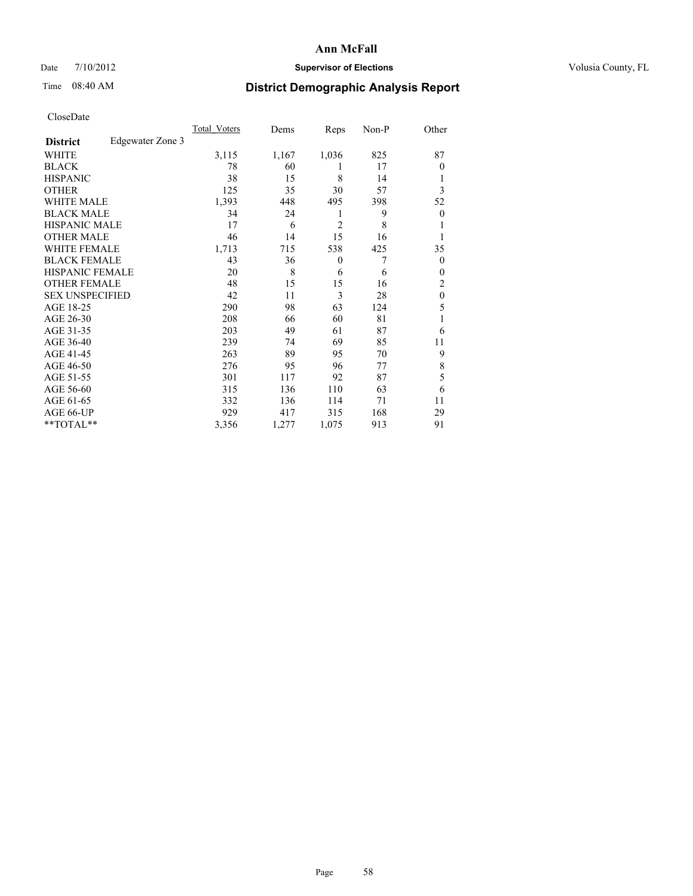## Date  $7/10/2012$  **Supervisor of Elections** Volusia County, FL

## Time 08:40 AM **District Demographic Analysis Report**

|                        |                  | <b>Total Voters</b> | Dems  | Reps           | Non-P | Other            |
|------------------------|------------------|---------------------|-------|----------------|-------|------------------|
| <b>District</b>        | Edgewater Zone 3 |                     |       |                |       |                  |
| WHITE                  |                  | 3,115               | 1,167 | 1,036          | 825   | 87               |
| <b>BLACK</b>           |                  | 78                  | 60    | 1              | 17    | $\theta$         |
| <b>HISPANIC</b>        |                  | 38                  | 15    | 8              | 14    | 1                |
| <b>OTHER</b>           |                  | 125                 | 35    | 30             | 57    | 3                |
| WHITE MALE             |                  | 1,393               | 448   | 495            | 398   | 52               |
| <b>BLACK MALE</b>      |                  | 34                  | 24    | 1              | 9     | $\boldsymbol{0}$ |
| <b>HISPANIC MALE</b>   |                  | 17                  | 6     | $\overline{2}$ | 8     | 1                |
| <b>OTHER MALE</b>      |                  | 46                  | 14    | 15             | 16    | 1                |
| WHITE FEMALE           |                  | 1,713               | 715   | 538            | 425   | 35               |
| <b>BLACK FEMALE</b>    |                  | 43                  | 36    | $\mathbf{0}$   | 7     | $\theta$         |
| <b>HISPANIC FEMALE</b> |                  | 20                  | 8     | 6              | 6     | $\theta$         |
| <b>OTHER FEMALE</b>    |                  | 48                  | 15    | 15             | 16    | 2                |
| <b>SEX UNSPECIFIED</b> |                  | 42                  | 11    | 3              | 28    | $\mathbf{0}$     |
| AGE 18-25              |                  | 290                 | 98    | 63             | 124   | 5                |
| AGE 26-30              |                  | 208                 | 66    | 60             | 81    | 1                |
| AGE 31-35              |                  | 203                 | 49    | 61             | 87    | 6                |
| AGE 36-40              |                  | 239                 | 74    | 69             | 85    | 11               |
| AGE 41-45              |                  | 263                 | 89    | 95             | 70    | 9                |
| AGE 46-50              |                  | 276                 | 95    | 96             | 77    | 8                |
| AGE 51-55              |                  | 301                 | 117   | 92             | 87    | 5                |
| AGE 56-60              |                  | 315                 | 136   | 110            | 63    | 6                |
| AGE 61-65              |                  | 332                 | 136   | 114            | 71    | 11               |
| AGE 66-UP              |                  | 929                 | 417   | 315            | 168   | 29               |
| **TOTAL**              |                  | 3,356               | 1,277 | 1,075          | 913   | 91               |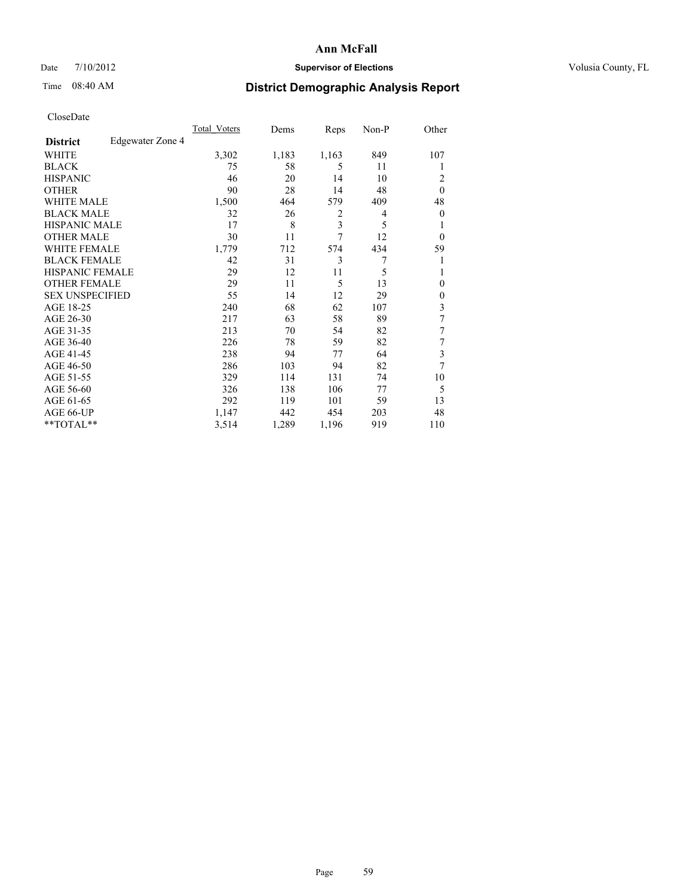### Date  $7/10/2012$  **Supervisor of Elections** Volusia County, FL

## Time 08:40 AM **District Demographic Analysis Report**

| Cioscivate             |                  |                     |       |                |       |                |
|------------------------|------------------|---------------------|-------|----------------|-------|----------------|
|                        |                  | <b>Total Voters</b> | Dems  | Reps           | Non-P | Other          |
| <b>District</b>        | Edgewater Zone 4 |                     |       |                |       |                |
| <b>WHITE</b>           |                  | 3,302               | 1,183 | 1,163          | 849   | 107            |
| <b>BLACK</b>           |                  | 75                  | 58    | 5              | 11    |                |
| <b>HISPANIC</b>        |                  | 46                  | 20    | 14             | 10    | $\overline{2}$ |
| <b>OTHER</b>           |                  | 90                  | 28    | 14             | 48    | $\theta$       |
| WHITE MALE             |                  | 1,500               | 464   | 579            | 409   | 48             |
| <b>BLACK MALE</b>      |                  | 32                  | 26    | $\overline{2}$ | 4     | $\theta$       |
| <b>HISPANIC MALE</b>   |                  | 17                  | 8     | 3              | 5     | 1              |
| <b>OTHER MALE</b>      |                  | 30                  | 11    | 7              | 12    | $\Omega$       |
| <b>WHITE FEMALE</b>    |                  | 1,779               | 712   | 574            | 434   | 59             |
| <b>BLACK FEMALE</b>    |                  | 42                  | 31    | 3              | 7     | 1              |
| <b>HISPANIC FEMALE</b> |                  | 29                  | 12    | 11             | 5     |                |
| <b>OTHER FEMALE</b>    |                  | 29                  | 11    | 5              | 13    | $\theta$       |
| <b>SEX UNSPECIFIED</b> |                  | 55                  | 14    | 12             | 29    | $\overline{0}$ |
| AGE 18-25              |                  | 240                 | 68    | 62             | 107   | 3              |
| AGE 26-30              |                  | 217                 | 63    | 58             | 89    | 7              |
| AGE 31-35              |                  | 213                 | 70    | 54             | 82    | 7              |
| AGE 36-40              |                  | 226                 | 78    | 59             | 82    | 7              |
| AGE 41-45              |                  | 238                 | 94    | 77             | 64    | 3              |
| AGE 46-50              |                  | 286                 | 103   | 94             | 82    | 7              |
| AGE 51-55              |                  | 329                 | 114   | 131            | 74    | 10             |
| AGE 56-60              |                  | 326                 | 138   | 106            | 77    | 5              |
| AGE 61-65              |                  | 292                 | 119   | 101            | 59    | 13             |
| AGE 66-UP              |                  | 1,147               | 442   | 454            | 203   | 48             |
| **TOTAL**              |                  | 3,514               | 1,289 | 1,196          | 919   | 110            |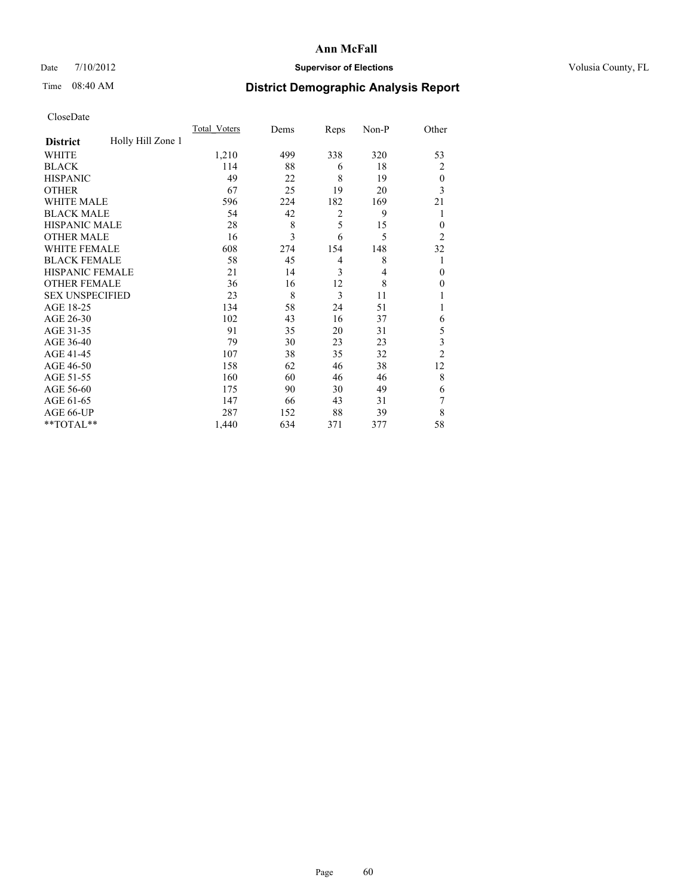## Date  $7/10/2012$  **Supervisor of Elections** Volusia County, FL

## Time 08:40 AM **District Demographic Analysis Report**

|                        |                   | <b>Total Voters</b> | Dems | Reps           | Non-P          | Other          |
|------------------------|-------------------|---------------------|------|----------------|----------------|----------------|
| <b>District</b>        | Holly Hill Zone 1 |                     |      |                |                |                |
| WHITE                  |                   | 1,210               | 499  | 338            | 320            | 53             |
| <b>BLACK</b>           |                   | 114                 | 88   | 6              | 18             | $\overline{2}$ |
| <b>HISPANIC</b>        |                   | 49                  | 22   | 8              | 19             | $\theta$       |
| <b>OTHER</b>           |                   | 67                  | 25   | 19             | 20             | 3              |
| WHITE MALE             |                   | 596                 | 224  | 182            | 169            | 21             |
| <b>BLACK MALE</b>      |                   | 54                  | 42   | $\overline{c}$ | 9              | 1              |
| <b>HISPANIC MALE</b>   |                   | 28                  | 8    | 5              | 15             | $\overline{0}$ |
| <b>OTHER MALE</b>      |                   | 16                  | 3    | 6              | 5              | $\overline{2}$ |
| WHITE FEMALE           |                   | 608                 | 274  | 154            | 148            | 32             |
| <b>BLACK FEMALE</b>    |                   | 58                  | 45   | $\overline{4}$ | 8              | 1              |
| <b>HISPANIC FEMALE</b> |                   | 21                  | 14   | 3              | $\overline{4}$ | $\theta$       |
| <b>OTHER FEMALE</b>    |                   | 36                  | 16   | 12             | 8              | $\Omega$       |
| <b>SEX UNSPECIFIED</b> |                   | 23                  | 8    | 3              | 11             |                |
| AGE 18-25              |                   | 134                 | 58   | 24             | 51             |                |
| AGE 26-30              |                   | 102                 | 43   | 16             | 37             | 6              |
| AGE 31-35              |                   | 91                  | 35   | 20             | 31             | 5              |
| AGE 36-40              |                   | 79                  | 30   | 23             | 23             | 3              |
| AGE 41-45              |                   | 107                 | 38   | 35             | 32             | $\overline{2}$ |
| AGE 46-50              |                   | 158                 | 62   | 46             | 38             | 12             |
| AGE 51-55              |                   | 160                 | 60   | 46             | 46             | 8              |
| AGE 56-60              |                   | 175                 | 90   | 30             | 49             | 6              |
| AGE 61-65              |                   | 147                 | 66   | 43             | 31             | 7              |
| AGE 66-UP              |                   | 287                 | 152  | 88             | 39             | 8              |
| **TOTAL**              |                   | 1,440               | 634  | 371            | 377            | 58             |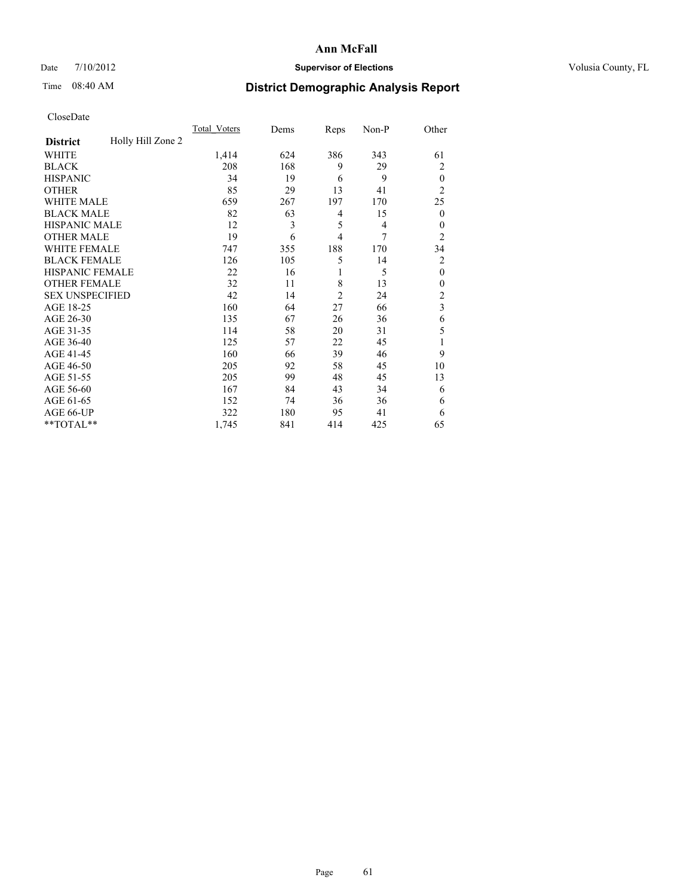## Date  $7/10/2012$  **Supervisor of Elections** Volusia County, FL

## Time 08:40 AM **District Demographic Analysis Report**

|                        |                   | <b>Total Voters</b> | Dems | Reps           | Non-P          | Other          |
|------------------------|-------------------|---------------------|------|----------------|----------------|----------------|
| <b>District</b>        | Holly Hill Zone 2 |                     |      |                |                |                |
| WHITE                  |                   | 1,414               | 624  | 386            | 343            | 61             |
| <b>BLACK</b>           |                   | 208                 | 168  | 9              | 29             | 2              |
| <b>HISPANIC</b>        |                   | 34                  | 19   | 6              | 9              | $\theta$       |
| <b>OTHER</b>           |                   | 85                  | 29   | 13             | 41             | $\overline{2}$ |
| WHITE MALE             |                   | 659                 | 267  | 197            | 170            | 25             |
| <b>BLACK MALE</b>      |                   | 82                  | 63   | 4              | 15             | $\mathbf{0}$   |
| <b>HISPANIC MALE</b>   |                   | 12                  | 3    | 5              | $\overline{4}$ | $\theta$       |
| <b>OTHER MALE</b>      |                   | 19                  | 6    | $\overline{4}$ | 7              | $\overline{2}$ |
| WHITE FEMALE           |                   | 747                 | 355  | 188            | 170            | 34             |
| <b>BLACK FEMALE</b>    |                   | 126                 | 105  | 5              | 14             | 2              |
| <b>HISPANIC FEMALE</b> |                   | 22                  | 16   | 1              | 5              | $\theta$       |
| <b>OTHER FEMALE</b>    |                   | 32                  | 11   | 8              | 13             | $\theta$       |
| <b>SEX UNSPECIFIED</b> |                   | 42                  | 14   | $\overline{2}$ | 24             | $\overline{c}$ |
| AGE 18-25              |                   | 160                 | 64   | 27             | 66             | $\overline{3}$ |
| AGE 26-30              |                   | 135                 | 67   | 26             | 36             | 6              |
| AGE 31-35              |                   | 114                 | 58   | 20             | 31             | 5              |
| AGE 36-40              |                   | 125                 | 57   | 22             | 45             | 1              |
| AGE 41-45              |                   | 160                 | 66   | 39             | 46             | 9              |
| AGE 46-50              |                   | 205                 | 92   | 58             | 45             | 10             |
| AGE 51-55              |                   | 205                 | 99   | 48             | 45             | 13             |
| AGE 56-60              |                   | 167                 | 84   | 43             | 34             | 6              |
| AGE 61-65              |                   | 152                 | 74   | 36             | 36             | 6              |
| AGE 66-UP              |                   | 322                 | 180  | 95             | 41             | 6              |
| **TOTAL**              |                   | 1,745               | 841  | 414            | 425            | 65             |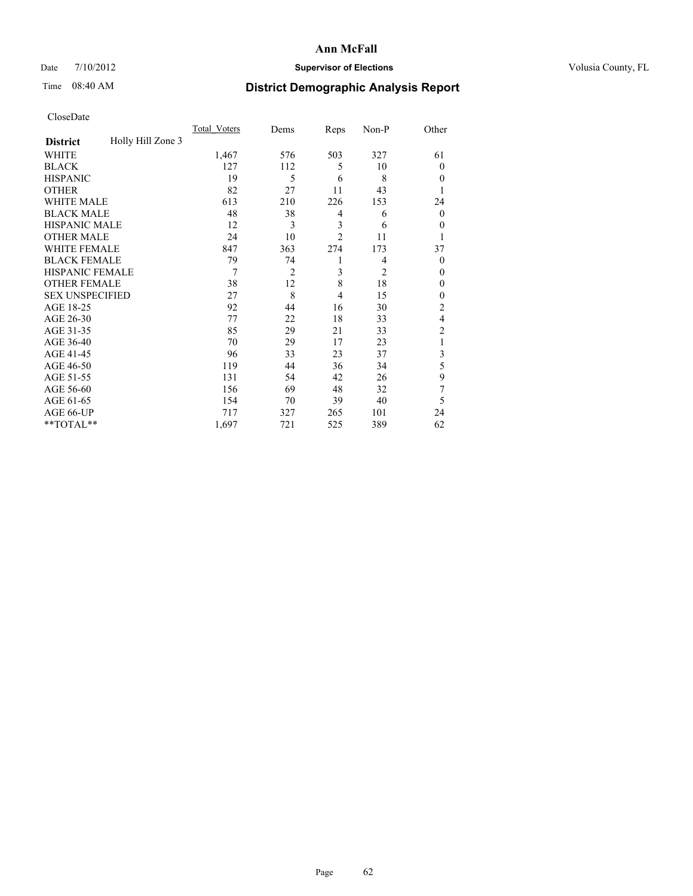## Date  $7/10/2012$  **Supervisor of Elections** Volusia County, FL

## Time 08:40 AM **District Demographic Analysis Report**

|                        |                   | <b>Total Voters</b> | Dems           | Reps           | Non-P          | Other          |
|------------------------|-------------------|---------------------|----------------|----------------|----------------|----------------|
| <b>District</b>        | Holly Hill Zone 3 |                     |                |                |                |                |
| WHITE                  |                   | 1,467               | 576            | 503            | 327            | 61             |
| <b>BLACK</b>           |                   | 127                 | 112            | 5              | 10             | $\Omega$       |
| <b>HISPANIC</b>        |                   | 19                  | 5              | 6              | 8              | $\Omega$       |
| <b>OTHER</b>           |                   | 82                  | 27             | 11             | 43             |                |
| WHITE MALE             |                   | 613                 | 210            | 226            | 153            | 24             |
| <b>BLACK MALE</b>      |                   | 48                  | 38             | 4              | 6              | $\overline{0}$ |
| <b>HISPANIC MALE</b>   |                   | 12                  | 3              | 3              | 6              | $\overline{0}$ |
| <b>OTHER MALE</b>      |                   | 24                  | 10             | $\overline{2}$ | 11             | 1              |
| WHITE FEMALE           |                   | 847                 | 363            | 274            | 173            | 37             |
| <b>BLACK FEMALE</b>    |                   | 79                  | 74             | 1              | 4              | $\overline{0}$ |
| <b>HISPANIC FEMALE</b> |                   | 7                   | $\overline{2}$ | 3              | $\overline{2}$ | $\Omega$       |
| <b>OTHER FEMALE</b>    |                   | 38                  | 12             | 8              | 18             | $\Omega$       |
| <b>SEX UNSPECIFIED</b> |                   | 27                  | 8              | 4              | 15             | $\overline{0}$ |
| AGE 18-25              |                   | 92                  | 44             | 16             | 30             | $\overline{c}$ |
| AGE 26-30              |                   | 77                  | 22             | 18             | 33             | 4              |
| AGE 31-35              |                   | 85                  | 29             | 21             | 33             | $\overline{c}$ |
| AGE 36-40              |                   | 70                  | 29             | 17             | 23             | 1              |
| AGE 41-45              |                   | 96                  | 33             | 23             | 37             | 3              |
| AGE 46-50              |                   | 119                 | 44             | 36             | 34             | 5              |
| AGE 51-55              |                   | 131                 | 54             | 42             | 26             | 9              |
| AGE 56-60              |                   | 156                 | 69             | 48             | 32             | 7              |
| AGE 61-65              |                   | 154                 | 70             | 39             | 40             | 5              |
| AGE 66-UP              |                   | 717                 | 327            | 265            | 101            | 24             |
| **TOTAL**              |                   | 1,697               | 721            | 525            | 389            | 62             |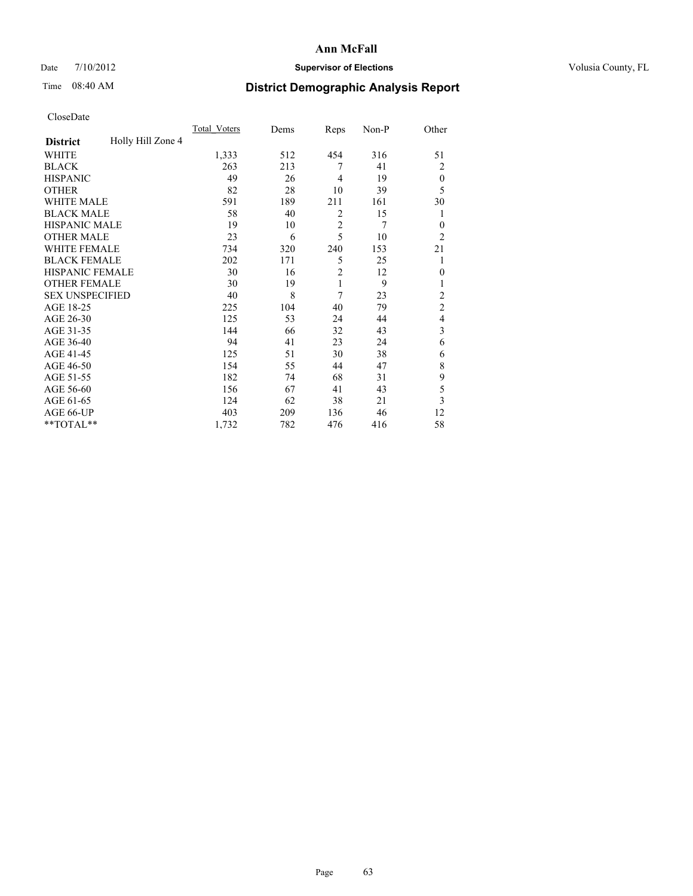## Date  $7/10/2012$  **Supervisor of Elections** Volusia County, FL

## Time 08:40 AM **District Demographic Analysis Report**

|                        |                   | Total Voters | Dems | Reps           | Non-P          | Other          |
|------------------------|-------------------|--------------|------|----------------|----------------|----------------|
| <b>District</b>        | Holly Hill Zone 4 |              |      |                |                |                |
| WHITE                  |                   | 1,333        | 512  | 454            | 316            | 51             |
| <b>BLACK</b>           |                   | 263          | 213  | 7              | 41             | $\overline{2}$ |
| <b>HISPANIC</b>        |                   | 49           | 26   | $\overline{4}$ | 19             | $\theta$       |
| <b>OTHER</b>           |                   | 82           | 28   | 10             | 39             | 5              |
| WHITE MALE             |                   | 591          | 189  | 211            | 161            | 30             |
| <b>BLACK MALE</b>      |                   | 58           | 40   | 2              | 15             | 1              |
| <b>HISPANIC MALE</b>   |                   | 19           | 10   | $\overline{2}$ | $\overline{7}$ | $\overline{0}$ |
| <b>OTHER MALE</b>      |                   | 23           | 6    | 5              | 10             | $\overline{2}$ |
| <b>WHITE FEMALE</b>    |                   | 734          | 320  | 240            | 153            | 21             |
| <b>BLACK FEMALE</b>    |                   | 202          | 171  | 5              | 25             | 1              |
| <b>HISPANIC FEMALE</b> |                   | 30           | 16   | $\overline{2}$ | 12             | $\theta$       |
| <b>OTHER FEMALE</b>    |                   | 30           | 19   | $\mathbf{1}$   | 9              |                |
| <b>SEX UNSPECIFIED</b> |                   | 40           | 8    | 7              | 23             | $\overline{c}$ |
| AGE 18-25              |                   | 225          | 104  | 40             | 79             | $\overline{c}$ |
| AGE 26-30              |                   | 125          | 53   | 24             | 44             | $\overline{4}$ |
| AGE 31-35              |                   | 144          | 66   | 32             | 43             | 3              |
| AGE 36-40              |                   | 94           | 41   | 23             | 24             | 6              |
| AGE 41-45              |                   | 125          | 51   | 30             | 38             | 6              |
| AGE 46-50              |                   | 154          | 55   | 44             | 47             | 8              |
| AGE 51-55              |                   | 182          | 74   | 68             | 31             | 9              |
| AGE 56-60              |                   | 156          | 67   | 41             | 43             | 5              |
| AGE 61-65              |                   | 124          | 62   | 38             | 21             | 3              |
| AGE 66-UP              |                   | 403          | 209  | 136            | 46             | 12             |
| **TOTAL**              |                   | 1,732        | 782  | 476            | 416            | 58             |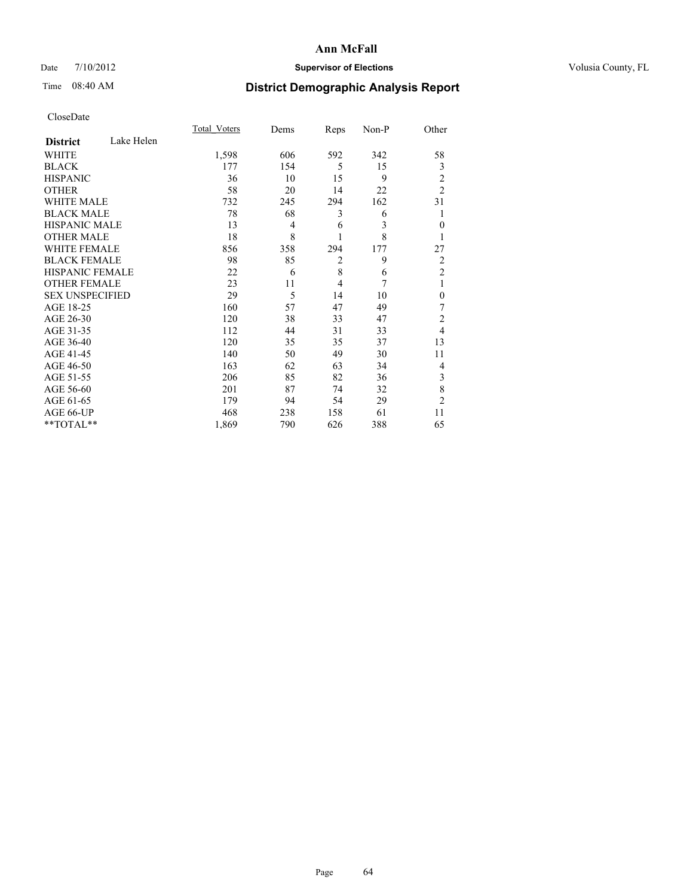## Date  $7/10/2012$  **Supervisor of Elections** Volusia County, FL

## Time 08:40 AM **District Demographic Analysis Report**

|                        |            | Total Voters | Dems           | Reps           | Non-P | Other          |
|------------------------|------------|--------------|----------------|----------------|-------|----------------|
| <b>District</b>        | Lake Helen |              |                |                |       |                |
| <b>WHITE</b>           |            | 1,598        | 606            | 592            | 342   | 58             |
| <b>BLACK</b>           |            | 177          | 154            | 5              | 15    | 3              |
| <b>HISPANIC</b>        |            | 36           | 10             | 15             | 9     | 2              |
| <b>OTHER</b>           |            | 58           | 20             | 14             | 22    | $\overline{2}$ |
| WHITE MALE             |            | 732          | 245            | 294            | 162   | 31             |
| <b>BLACK MALE</b>      |            | 78           | 68             | 3              | 6     | 1              |
| <b>HISPANIC MALE</b>   |            | 13           | $\overline{4}$ | 6              | 3     | $\theta$       |
| <b>OTHER MALE</b>      |            | 18           | 8              | 1              | 8     | 1              |
| <b>WHITE FEMALE</b>    |            | 856          | 358            | 294            | 177   | 27             |
| <b>BLACK FEMALE</b>    |            | 98           | 85             | $\overline{2}$ | 9     | $\overline{2}$ |
| HISPANIC FEMALE        |            | 22           | 6              | 8              | 6     | $\overline{2}$ |
| <b>OTHER FEMALE</b>    |            | 23           | 11             | $\overline{4}$ | 7     | 1              |
| <b>SEX UNSPECIFIED</b> |            | 29           | 5              | 14             | 10    | $\mathbf{0}$   |
| AGE 18-25              |            | 160          | 57             | 47             | 49    | 7              |
| AGE 26-30              |            | 120          | 38             | 33             | 47    | $\overline{c}$ |
| AGE 31-35              |            | 112          | 44             | 31             | 33    | $\overline{4}$ |
| AGE 36-40              |            | 120          | 35             | 35             | 37    | 13             |
| AGE 41-45              |            | 140          | 50             | 49             | 30    | 11             |
| AGE 46-50              |            | 163          | 62             | 63             | 34    | $\overline{4}$ |
| AGE 51-55              |            | 206          | 85             | 82             | 36    | 3              |
| AGE 56-60              |            | 201          | 87             | 74             | 32    | 8              |
| AGE 61-65              |            | 179          | 94             | 54             | 29    | $\overline{2}$ |
| AGE 66-UP              |            | 468          | 238            | 158            | 61    | 11             |
| **TOTAL**              |            | 1,869        | 790            | 626            | 388   | 65             |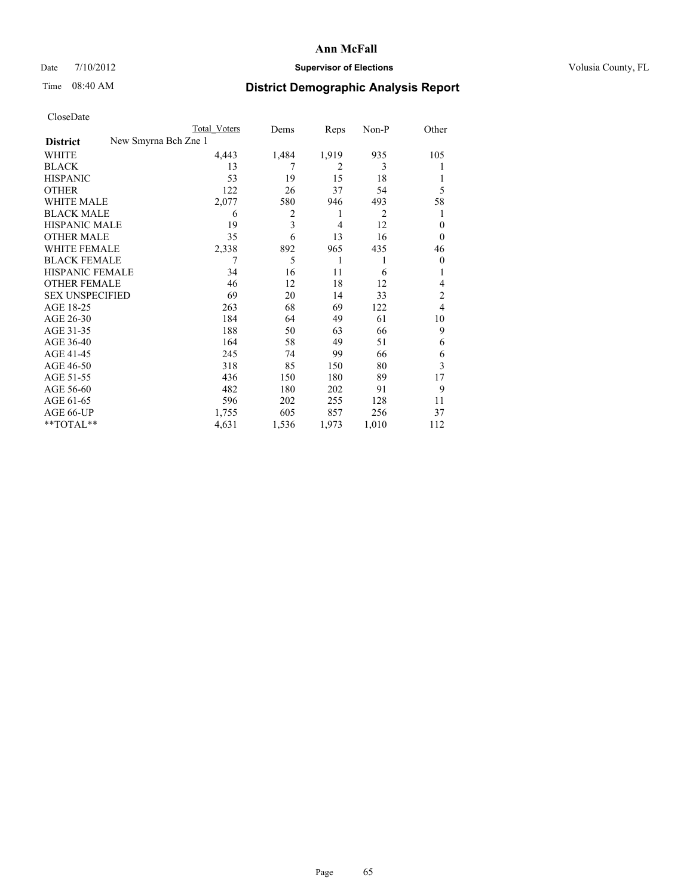## Date  $7/10/2012$  **Supervisor of Elections** Volusia County, FL

# Time 08:40 AM **District Demographic Analysis Report**

|                        | Total Voters         | Dems  | Reps           | Non-P | Other          |
|------------------------|----------------------|-------|----------------|-------|----------------|
| <b>District</b>        | New Smyrna Bch Zne 1 |       |                |       |                |
| WHITE                  | 4,443                | 1,484 | 1,919          | 935   | 105            |
| <b>BLACK</b>           | 13                   | 7     | $\overline{c}$ | 3     |                |
| <b>HISPANIC</b>        | 53                   | 19    | 15             | 18    |                |
| <b>OTHER</b>           | 122                  | 26    | 37             | 54    | 5              |
| WHITE MALE             | 2,077                | 580   | 946            | 493   | 58             |
| <b>BLACK MALE</b>      | 6                    | 2     | 1              | 2     |                |
| <b>HISPANIC MALE</b>   | 19                   | 3     | 4              | 12    | $\theta$       |
| <b>OTHER MALE</b>      | 35                   | 6     | 13             | 16    | $\theta$       |
| <b>WHITE FEMALE</b>    | 2,338                | 892   | 965            | 435   | 46             |
| <b>BLACK FEMALE</b>    | 7                    | 5     | 1              | 1     | $\overline{0}$ |
| <b>HISPANIC FEMALE</b> | 34                   | 16    | 11             | 6     |                |
| <b>OTHER FEMALE</b>    | 46                   | 12    | 18             | 12    | 4              |
| <b>SEX UNSPECIFIED</b> | 69                   | 20    | 14             | 33    | $\overline{c}$ |
| AGE 18-25              | 263                  | 68    | 69             | 122   | 4              |
| AGE 26-30              | 184                  | 64    | 49             | 61    | 10             |
| AGE 31-35              | 188                  | 50    | 63             | 66    | 9              |
| AGE 36-40              | 164                  | 58    | 49             | 51    | 6              |
| AGE 41-45              | 245                  | 74    | 99             | 66    | 6              |
| AGE 46-50              | 318                  | 85    | 150            | 80    | 3              |
| AGE 51-55              | 436                  | 150   | 180            | 89    | 17             |
| AGE 56-60              | 482                  | 180   | 202            | 91    | 9              |
| AGE 61-65              | 596                  | 202   | 255            | 128   | 11             |
| AGE 66-UP              | 1,755                | 605   | 857            | 256   | 37             |
| **TOTAL**              | 4,631                | 1,536 | 1,973          | 1,010 | 112            |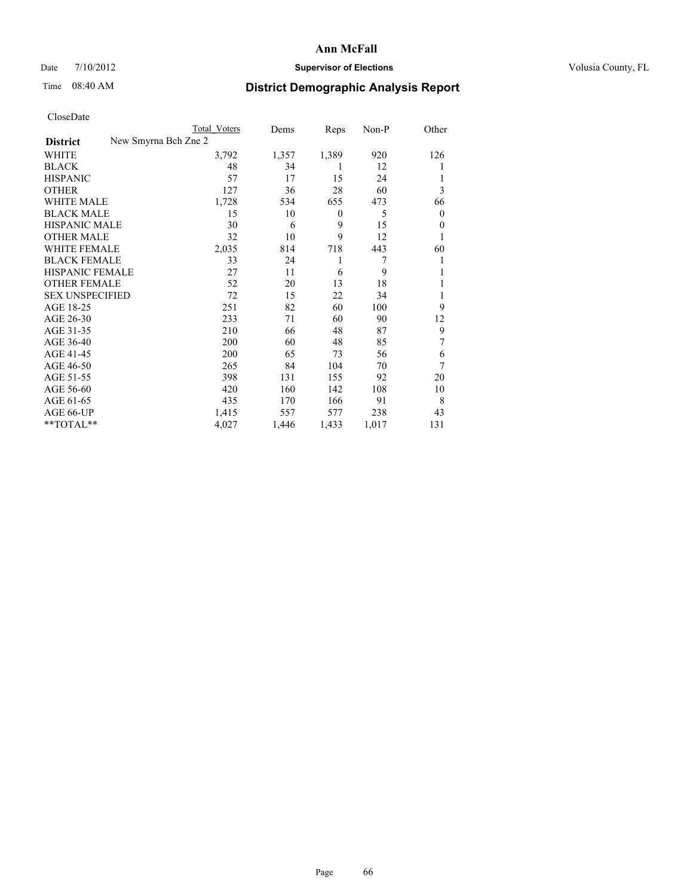## Date  $7/10/2012$  **Supervisor of Elections** Volusia County, FL

## Time 08:40 AM **District Demographic Analysis Report**

|                        | <b>Total Voters</b>  | Dems  | Reps             | Non-P | Other          |
|------------------------|----------------------|-------|------------------|-------|----------------|
| <b>District</b>        | New Smyrna Bch Zne 2 |       |                  |       |                |
| WHITE                  | 3,792                | 1,357 | 1,389            | 920   | 126            |
| <b>BLACK</b>           | 48                   | 34    | 1                | 12    |                |
| <b>HISPANIC</b>        | 57                   | 17    | 15               | 24    |                |
| <b>OTHER</b>           | 127                  | 36    | 28               | 60    | 3              |
| <b>WHITE MALE</b>      | 1,728                | 534   | 655              | 473   | 66             |
| <b>BLACK MALE</b>      | 15                   | 10    | $\boldsymbol{0}$ | 5     | $\overline{0}$ |
| <b>HISPANIC MALE</b>   | 30                   | 6     | 9                | 15    | $\overline{0}$ |
| <b>OTHER MALE</b>      | 32                   | 10    | 9                | 12    |                |
| <b>WHITE FEMALE</b>    | 2,035                | 814   | 718              | 443   | 60             |
| <b>BLACK FEMALE</b>    | 33                   | 24    | 1                | 7     |                |
| <b>HISPANIC FEMALE</b> | 27                   | 11    | 6                | 9     |                |
| <b>OTHER FEMALE</b>    | 52                   | 20    | 13               | 18    |                |
| <b>SEX UNSPECIFIED</b> | 72                   | 15    | 22               | 34    |                |
| AGE 18-25              | 251                  | 82    | 60               | 100   | 9              |
| AGE 26-30              | 233                  | 71    | 60               | 90    | 12             |
| AGE 31-35              | 210                  | 66    | 48               | 87    | 9              |
| AGE 36-40              | 200                  | 60    | 48               | 85    | 7              |
| AGE 41-45              | 200                  | 65    | 73               | 56    | 6              |
| AGE 46-50              | 265                  | 84    | 104              | 70    | 7              |
| AGE 51-55              | 398                  | 131   | 155              | 92    | 20             |
| AGE 56-60              | 420                  | 160   | 142              | 108   | 10             |
| AGE 61-65              | 435                  | 170   | 166              | 91    | 8              |
| AGE 66-UP              | 1,415                | 557   | 577              | 238   | 43             |
| $*$ TOTAL $**$         | 4,027                | 1,446 | 1,433            | 1,017 | 131            |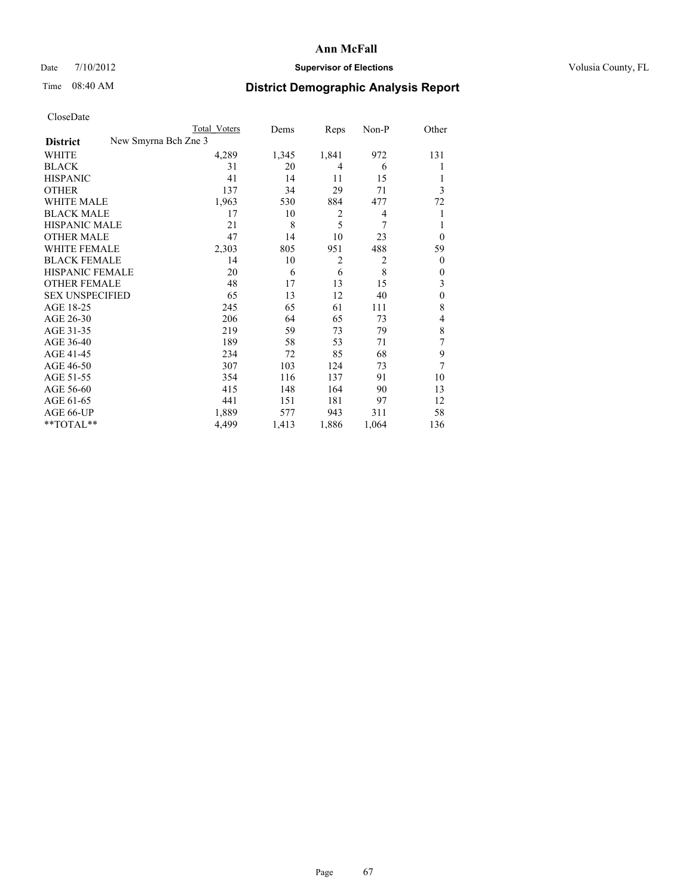## Date  $7/10/2012$  **Supervisor of Elections** Volusia County, FL

# Time 08:40 AM **District Demographic Analysis Report**

|                                         | Total Voters | Dems  | Reps           | Non-P          | Other          |
|-----------------------------------------|--------------|-------|----------------|----------------|----------------|
| New Smyrna Bch Zne 3<br><b>District</b> |              |       |                |                |                |
| WHITE                                   | 4,289        | 1,345 | 1,841          | 972            | 131            |
| <b>BLACK</b>                            | 31           | 20    | 4              | 6              | 1              |
| <b>HISPANIC</b>                         | 41           | 14    | 11             | 15             | 1              |
| <b>OTHER</b>                            | 137          | 34    | 29             | 71             | 3              |
| WHITE MALE                              | 1,963        | 530   | 884            | 477            | 72             |
| <b>BLACK MALE</b>                       | 17           | 10    | 2              | 4              | 1              |
| <b>HISPANIC MALE</b>                    | 21           | 8     | 5              | 7              | 1              |
| <b>OTHER MALE</b>                       | 47           | 14    | 10             | 23             | $\Omega$       |
| <b>WHITE FEMALE</b>                     | 2,303        | 805   | 951            | 488            | 59             |
| <b>BLACK FEMALE</b>                     | 14           | 10    | $\overline{2}$ | $\overline{2}$ | $\overline{0}$ |
| <b>HISPANIC FEMALE</b>                  | 20           | 6     | 6              | 8              | $\theta$       |
| <b>OTHER FEMALE</b>                     | 48           | 17    | 13             | 15             | 3              |
| <b>SEX UNSPECIFIED</b>                  | 65           | 13    | 12             | 40             | $\mathbf{0}$   |
| AGE 18-25                               | 245          | 65    | 61             | 111            | 8              |
| AGE 26-30                               | 206          | 64    | 65             | 73             | 4              |
| AGE 31-35                               | 219          | 59    | 73             | 79             | 8              |
| AGE 36-40                               | 189          | 58    | 53             | 71             | 7              |
| AGE 41-45                               | 234          | 72    | 85             | 68             | 9              |
| AGE 46-50                               | 307          | 103   | 124            | 73             | 7              |
| AGE 51-55                               | 354          | 116   | 137            | 91             | 10             |
| AGE 56-60                               | 415          | 148   | 164            | 90             | 13             |
| AGE 61-65                               | 441          | 151   | 181            | 97             | 12             |
| AGE 66-UP                               | 1,889        | 577   | 943            | 311            | 58             |
| **TOTAL**                               | 4,499        | 1,413 | 1,886          | 1,064          | 136            |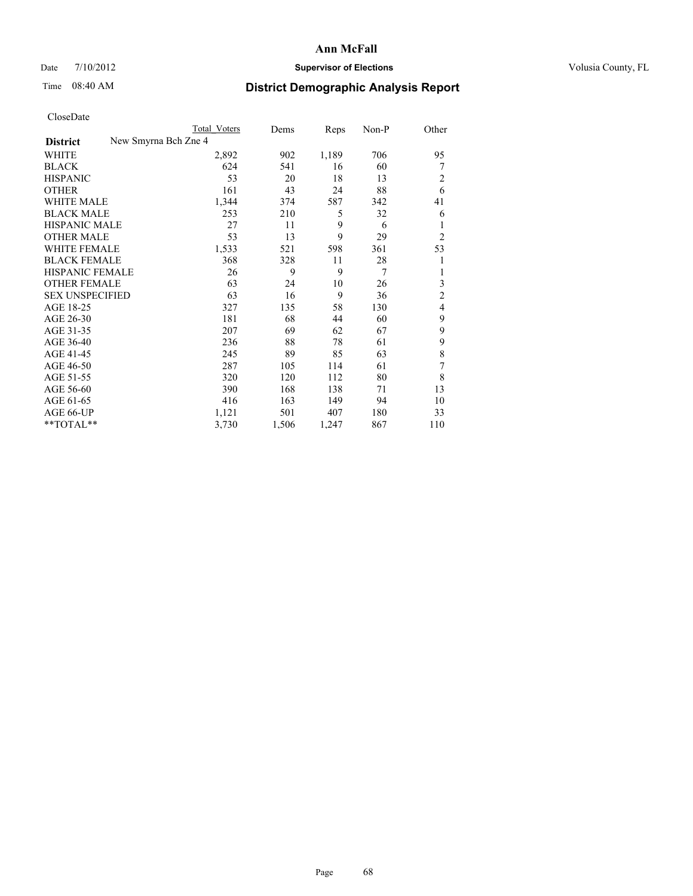### Date  $7/10/2012$  **Supervisor of Elections** Volusia County, FL

## Time 08:40 AM **District Demographic Analysis Report**

| Cioscivate             |                      |              |       |       |       |                |
|------------------------|----------------------|--------------|-------|-------|-------|----------------|
|                        |                      | Total Voters | Dems  | Reps  | Non-P | Other          |
| <b>District</b>        | New Smyrna Bch Zne 4 |              |       |       |       |                |
| <b>WHITE</b>           |                      | 2,892        | 902   | 1,189 | 706   | 95             |
| <b>BLACK</b>           |                      | 624          | 541   | 16    | 60    | 7              |
| <b>HISPANIC</b>        |                      | 53           | 20    | 18    | 13    | $\overline{2}$ |
| <b>OTHER</b>           |                      | 161          | 43    | 24    | 88    | 6              |
| WHITE MALE             |                      | 1,344        | 374   | 587   | 342   | 41             |
| <b>BLACK MALE</b>      |                      | 253          | 210   | 5     | 32    | 6              |
| <b>HISPANIC MALE</b>   |                      | 27           | 11    | 9     | 6     | 1              |
| <b>OTHER MALE</b>      |                      | 53           | 13    | 9     | 29    | $\overline{2}$ |
| WHITE FEMALE           |                      | 1,533        | 521   | 598   | 361   | 53             |
| <b>BLACK FEMALE</b>    |                      | 368          | 328   | 11    | 28    | 1              |
| <b>HISPANIC FEMALE</b> |                      | 26           | 9     | 9     | 7     |                |
| <b>OTHER FEMALE</b>    |                      | 63           | 24    | 10    | 26    | 3              |
| <b>SEX UNSPECIFIED</b> |                      | 63           | 16    | 9     | 36    | $\overline{c}$ |
| AGE 18-25              |                      | 327          | 135   | 58    | 130   | $\overline{4}$ |
| AGE 26-30              |                      | 181          | 68    | 44    | 60    | 9              |
| AGE 31-35              |                      | 207          | 69    | 62    | 67    | 9              |
| AGE 36-40              |                      | 236          | 88    | 78    | 61    | 9              |
| AGE 41-45              |                      | 245          | 89    | 85    | 63    | 8              |
| AGE 46-50              |                      | 287          | 105   | 114   | 61    | 7              |
| AGE 51-55              |                      | 320          | 120   | 112   | 80    | 8              |
| AGE 56-60              |                      | 390          | 168   | 138   | 71    | 13             |
| AGE 61-65              |                      | 416          | 163   | 149   | 94    | 10             |
| AGE 66-UP              |                      | 1,121        | 501   | 407   | 180   | 33             |
| **TOTAL**              |                      | 3,730        | 1,506 | 1,247 | 867   | 110            |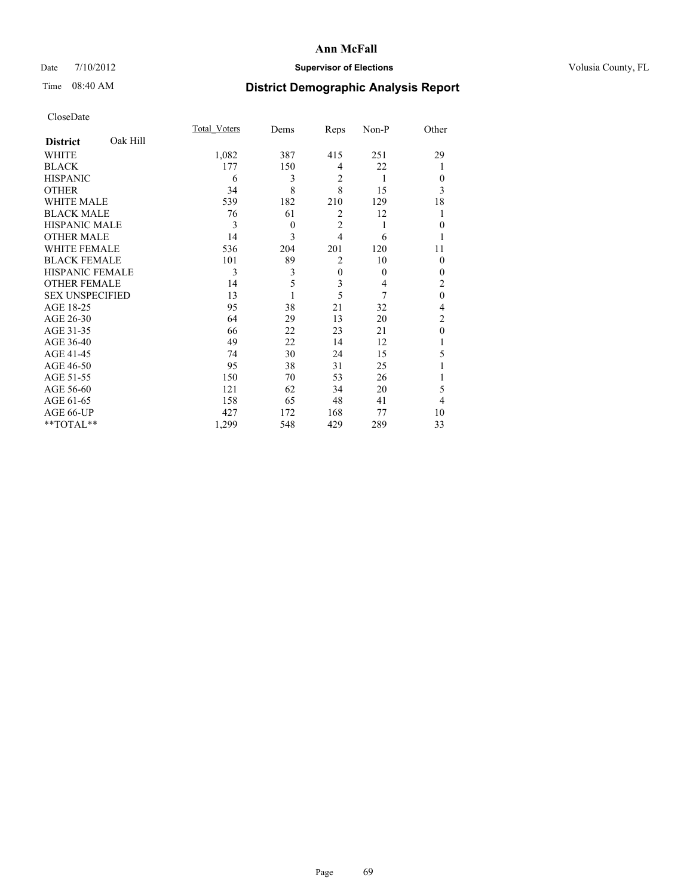## Date  $7/10/2012$  **Supervisor of Elections** Volusia County, FL

## Time 08:40 AM **District Demographic Analysis Report**

|                        |          | Total Voters | Dems     | Reps           | Non-P    | Other          |
|------------------------|----------|--------------|----------|----------------|----------|----------------|
| <b>District</b>        | Oak Hill |              |          |                |          |                |
| WHITE                  |          | 1,082        | 387      | 415            | 251      | 29             |
| <b>BLACK</b>           |          | 177          | 150      | 4              | 22       | 1              |
| <b>HISPANIC</b>        |          | 6            | 3        | $\overline{2}$ | 1        | $\Omega$       |
| <b>OTHER</b>           |          | 34           | 8        | 8              | 15       | 3              |
| WHITE MALE             |          | 539          | 182      | 210            | 129      | 18             |
| <b>BLACK MALE</b>      |          | 76           | 61       | $\overline{2}$ | 12       |                |
| <b>HISPANIC MALE</b>   |          | 3            | $\theta$ | $\overline{2}$ | 1        | $\Omega$       |
| <b>OTHER MALE</b>      |          | 14           | 3        | $\overline{4}$ | 6        |                |
| WHITE FEMALE           |          | 536          | 204      | 201            | 120      | 11             |
| <b>BLACK FEMALE</b>    |          | 101          | 89       | $\overline{2}$ | 10       | $\Omega$       |
| <b>HISPANIC FEMALE</b> |          | 3            | 3        | $\overline{0}$ | $\theta$ | $\Omega$       |
| <b>OTHER FEMALE</b>    |          | 14           | 5        | 3              | 4        | 2              |
| <b>SEX UNSPECIFIED</b> |          | 13           |          | 5              | 7        | $\mathbf{0}$   |
| AGE 18-25              |          | 95           | 38       | 21             | 32       | 4              |
| AGE 26-30              |          | 64           | 29       | 13             | 20       | $\overline{2}$ |
| AGE 31-35              |          | 66           | 22       | 23             | 21       | $\theta$       |
| AGE 36-40              |          | 49           | 22       | 14             | 12       |                |
| AGE 41-45              |          | 74           | 30       | 24             | 15       | 5              |
| AGE 46-50              |          | 95           | 38       | 31             | 25       |                |
| AGE 51-55              |          | 150          | 70       | 53             | 26       |                |
| AGE 56-60              |          | 121          | 62       | 34             | 20       | 5              |
| AGE 61-65              |          | 158          | 65       | 48             | 41       | 4              |
| AGE 66-UP              |          | 427          | 172      | 168            | 77       | 10             |
| **TOTAL**              |          | 1,299        | 548      | 429            | 289      | 33             |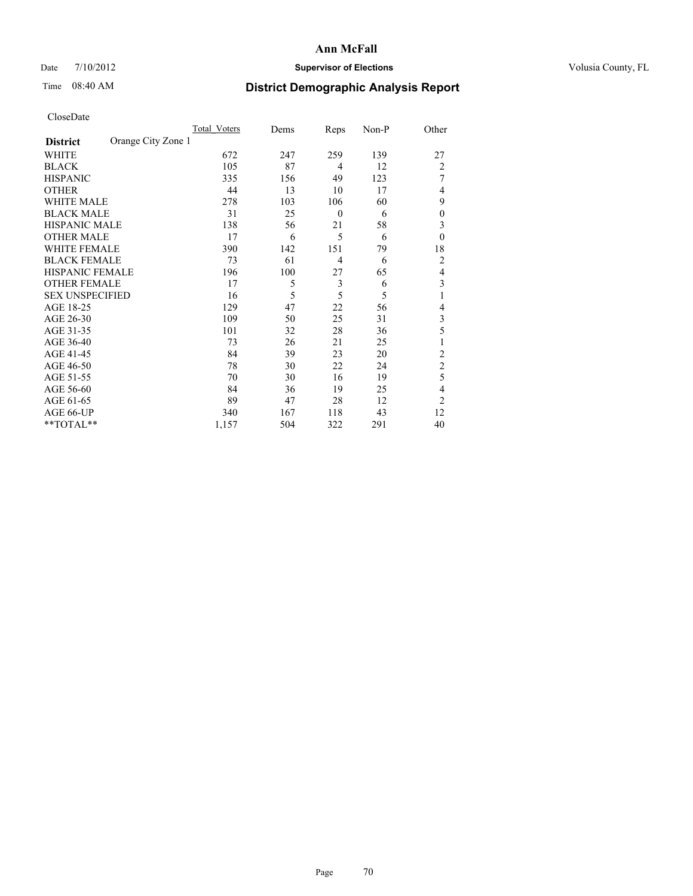## Date  $7/10/2012$  **Supervisor of Elections** Volusia County, FL

## Time 08:40 AM **District Demographic Analysis Report**

|                        |                    | Total Voters | Dems | Reps             | Non-P | Other            |
|------------------------|--------------------|--------------|------|------------------|-------|------------------|
| <b>District</b>        | Orange City Zone 1 |              |      |                  |       |                  |
| WHITE                  |                    | 672          | 247  | 259              | 139   | 27               |
| <b>BLACK</b>           |                    | 105          | 87   | $\overline{4}$   | 12    | $\overline{2}$   |
| <b>HISPANIC</b>        |                    | 335          | 156  | 49               | 123   | 7                |
| <b>OTHER</b>           |                    | 44           | 13   | 10               | 17    | 4                |
| WHITE MALE             |                    | 278          | 103  | 106              | 60    | 9                |
| <b>BLACK MALE</b>      |                    | 31           | 25   | $\boldsymbol{0}$ | 6     | $\boldsymbol{0}$ |
| <b>HISPANIC MALE</b>   |                    | 138          | 56   | 21               | 58    | 3                |
| <b>OTHER MALE</b>      |                    | 17           | 6    | 5                | 6     | $\theta$         |
| WHITE FEMALE           |                    | 390          | 142  | 151              | 79    | 18               |
| <b>BLACK FEMALE</b>    |                    | 73           | 61   | $\overline{4}$   | 6     | $\overline{2}$   |
| <b>HISPANIC FEMALE</b> |                    | 196          | 100  | 27               | 65    | $\overline{4}$   |
| <b>OTHER FEMALE</b>    |                    | 17           | 5    | 3                | 6     | 3                |
| <b>SEX UNSPECIFIED</b> |                    | 16           | 5    | 5                | 5     | 1                |
| AGE 18-25              |                    | 129          | 47   | 22               | 56    | 4                |
| AGE 26-30              |                    | 109          | 50   | 25               | 31    | 3                |
| AGE 31-35              |                    | 101          | 32   | 28               | 36    | 5                |
| AGE 36-40              |                    | 73           | 26   | 21               | 25    | 1                |
| AGE 41-45              |                    | 84           | 39   | 23               | 20    | $\overline{2}$   |
| AGE 46-50              |                    | 78           | 30   | 22               | 24    | $\overline{2}$   |
| AGE 51-55              |                    | 70           | 30   | 16               | 19    | 5                |
| AGE 56-60              |                    | 84           | 36   | 19               | 25    | 4                |
| AGE 61-65              |                    | 89           | 47   | 28               | 12    | $\overline{2}$   |
| AGE 66-UP              |                    | 340          | 167  | 118              | 43    | 12               |
| **TOTAL**              |                    | 1,157        | 504  | 322              | 291   | 40               |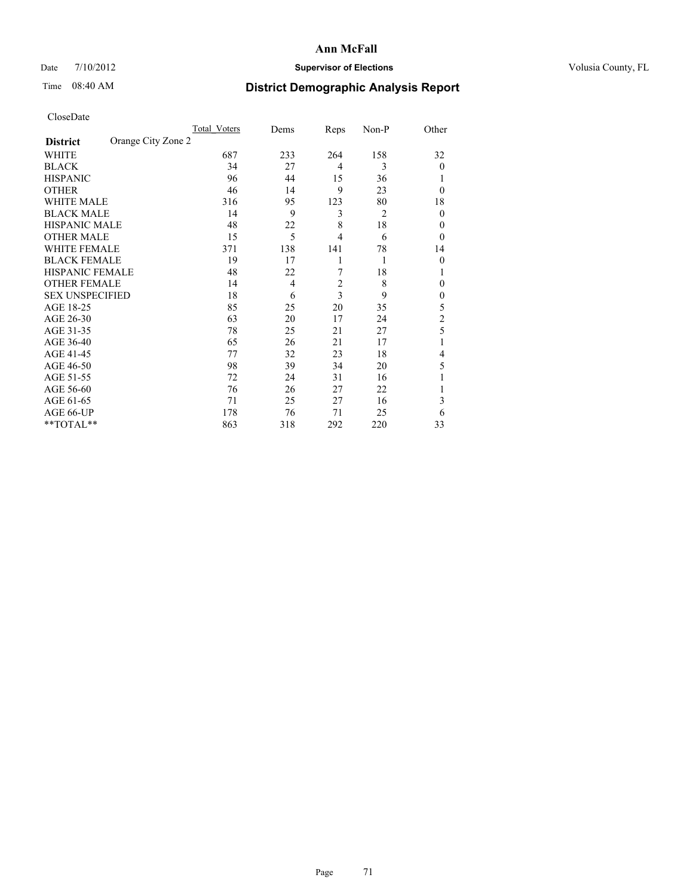## Date  $7/10/2012$  **Supervisor of Elections** Volusia County, FL

## Time 08:40 AM **District Demographic Analysis Report**

|                        |                    | Total Voters | Dems | Reps           | Non-P          | Other          |
|------------------------|--------------------|--------------|------|----------------|----------------|----------------|
| <b>District</b>        | Orange City Zone 2 |              |      |                |                |                |
| WHITE                  |                    | 687          | 233  | 264            | 158            | 32             |
| <b>BLACK</b>           |                    | 34           | 27   | $\overline{4}$ | 3              | $\theta$       |
| <b>HISPANIC</b>        |                    | 96           | 44   | 15             | 36             |                |
| <b>OTHER</b>           |                    | 46           | 14   | 9              | 23             | $\theta$       |
| WHITE MALE             |                    | 316          | 95   | 123            | 80             | 18             |
| <b>BLACK MALE</b>      |                    | 14           | 9    | 3              | $\overline{2}$ | $\theta$       |
| <b>HISPANIC MALE</b>   |                    | 48           | 22   | 8              | 18             | 0              |
| <b>OTHER MALE</b>      |                    | 15           | 5    | 4              | 6              | $\theta$       |
| WHITE FEMALE           |                    | 371          | 138  | 141            | 78             | 14             |
| <b>BLACK FEMALE</b>    |                    | 19           | 17   | 1              | 1              | $\theta$       |
| <b>HISPANIC FEMALE</b> |                    | 48           | 22   | 7              | 18             | 1              |
| <b>OTHER FEMALE</b>    |                    | 14           | 4    | $\overline{c}$ | 8              | 0              |
| <b>SEX UNSPECIFIED</b> |                    | 18           | 6    | 3              | 9              | $\mathbf{0}$   |
| AGE 18-25              |                    | 85           | 25   | 20             | 35             | 5              |
| AGE 26-30              |                    | 63           | 20   | 17             | 24             | $\overline{c}$ |
| AGE 31-35              |                    | 78           | 25   | 21             | 27             | 5              |
| AGE 36-40              |                    | 65           | 26   | 21             | 17             |                |
| AGE 41-45              |                    | 77           | 32   | 23             | 18             | 4              |
| AGE 46-50              |                    | 98           | 39   | 34             | 20             | 5              |
| AGE 51-55              |                    | 72           | 24   | 31             | 16             |                |
| AGE 56-60              |                    | 76           | 26   | 27             | 22             |                |
| AGE 61-65              |                    | 71           | 25   | 27             | 16             | 3              |
| AGE 66-UP              |                    | 178          | 76   | 71             | 25             | 6              |
| **TOTAL**              |                    | 863          | 318  | 292            | 220            | 33             |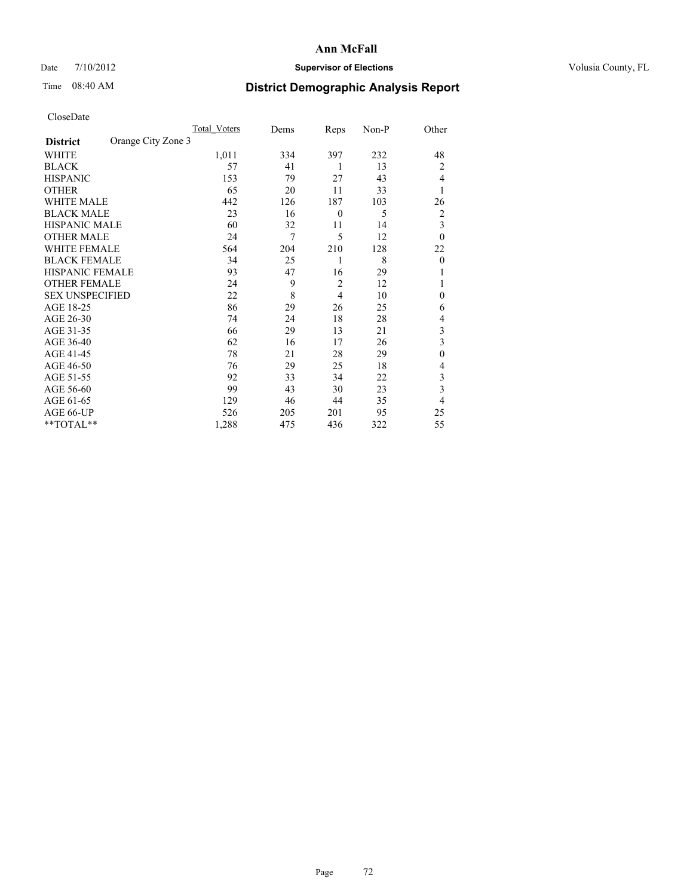## Date  $7/10/2012$  **Supervisor of Elections** Volusia County, FL

## Time 08:40 AM **District Demographic Analysis Report**

|                        |                    | <b>Total Voters</b> | Dems | Reps             | Non-P | Other        |
|------------------------|--------------------|---------------------|------|------------------|-------|--------------|
| <b>District</b>        | Orange City Zone 3 |                     |      |                  |       |              |
| WHITE                  |                    | 1,011               | 334  | 397              | 232   | 48           |
| <b>BLACK</b>           |                    | 57                  | 41   | 1                | 13    | 2            |
| <b>HISPANIC</b>        |                    | 153                 | 79   | 27               | 43    | 4            |
| <b>OTHER</b>           |                    | 65                  | 20   | 11               | 33    | 1            |
| WHITE MALE             |                    | 442                 | 126  | 187              | 103   | 26           |
| <b>BLACK MALE</b>      |                    | 23                  | 16   | $\boldsymbol{0}$ | 5     | 2            |
| <b>HISPANIC MALE</b>   |                    | 60                  | 32   | 11               | 14    | 3            |
| <b>OTHER MALE</b>      |                    | 24                  | 7    | 5                | 12    | $\theta$     |
| WHITE FEMALE           |                    | 564                 | 204  | 210              | 128   | 22           |
| <b>BLACK FEMALE</b>    |                    | 34                  | 25   | 1                | 8     | $\theta$     |
| <b>HISPANIC FEMALE</b> |                    | 93                  | 47   | 16               | 29    |              |
| <b>OTHER FEMALE</b>    |                    | 24                  | 9    | $\overline{c}$   | 12    |              |
| <b>SEX UNSPECIFIED</b> |                    | 22                  | 8    | 4                | 10    | $\mathbf{0}$ |
| AGE 18-25              |                    | 86                  | 29   | 26               | 25    | 6            |
| AGE 26-30              |                    | 74                  | 24   | 18               | 28    | 4            |
| AGE 31-35              |                    | 66                  | 29   | 13               | 21    | 3            |
| AGE 36-40              |                    | 62                  | 16   | 17               | 26    | 3            |
| AGE 41-45              |                    | 78                  | 21   | 28               | 29    | $\mathbf{0}$ |
| AGE 46-50              |                    | 76                  | 29   | 25               | 18    | 4            |
| AGE 51-55              |                    | 92                  | 33   | 34               | 22    | 3            |
| AGE 56-60              |                    | 99                  | 43   | 30               | 23    | 3            |
| AGE 61-65              |                    | 129                 | 46   | 44               | 35    | 4            |
| AGE 66-UP              |                    | 526                 | 205  | 201              | 95    | 25           |
| **TOTAL**              |                    | 1,288               | 475  | 436              | 322   | 55           |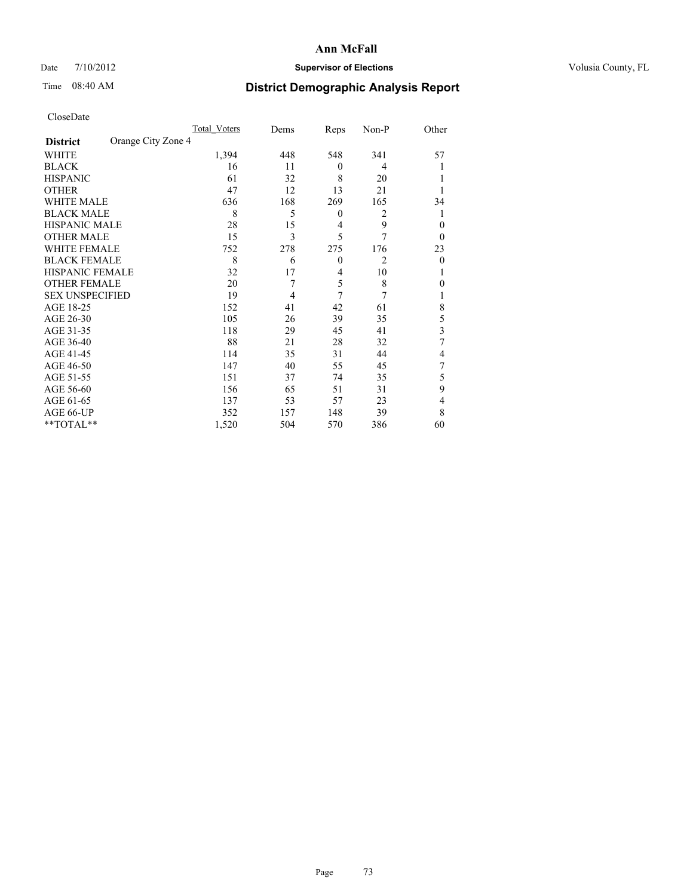### Date  $7/10/2012$  **Supervisor of Elections** Volusia County, FL

# Time 08:40 AM **District Demographic Analysis Report**

| <b>UIUSUDUI</b> U      |                    |              |      |                |                |          |
|------------------------|--------------------|--------------|------|----------------|----------------|----------|
|                        |                    | Total Voters | Dems | Reps           | Non-P          | Other    |
| <b>District</b>        | Orange City Zone 4 |              |      |                |                |          |
| WHITE                  |                    | 1,394        | 448  | 548            | 341            | 57       |
| <b>BLACK</b>           |                    | 16           | 11   | $\theta$       | 4              |          |
| <b>HISPANIC</b>        |                    | 61           | 32   | 8              | 20             |          |
| <b>OTHER</b>           |                    | 47           | 12   | 13             | 21             |          |
| WHITE MALE             |                    | 636          | 168  | 269            | 165            | 34       |
| <b>BLACK MALE</b>      |                    | 8            | 5    | $\theta$       | $\overline{2}$ |          |
| <b>HISPANIC MALE</b>   |                    | 28           | 15   | 4              | 9              | $\Omega$ |
| <b>OTHER MALE</b>      |                    | 15           | 3    | 5              | 7              | $\Omega$ |
| WHITE FEMALE           |                    | 752          | 278  | 275            | 176            | 23       |
| <b>BLACK FEMALE</b>    |                    | 8            | 6    | $\theta$       | $\overline{c}$ | $\Omega$ |
| HISPANIC FEMALE        |                    | 32           | 17   | $\overline{4}$ | 10             |          |
| <b>OTHER FEMALE</b>    |                    | 20           | 7    | 5              | 8              | $\Omega$ |
| <b>SEX UNSPECIFIED</b> |                    | 19           | 4    | 7              | 7              |          |
| AGE 18-25              |                    | 152          | 41   | 42             | 61             | 8        |
| AGE 26-30              |                    | 105          | 26   | 39             | 35             | 5        |
| AGE 31-35              |                    | 118          | 29   | 45             | 41             | 3        |
| AGE 36-40              |                    | 88           | 21   | 28             | 32             | 7        |
| AGE 41-45              |                    | 114          | 35   | 31             | 44             | 4        |
| AGE 46-50              |                    | 147          | 40   | 55             | 45             | 7        |
| AGE 51-55              |                    | 151          | 37   | 74             | 35             | 5        |
| AGE 56-60              |                    | 156          | 65   | 51             | 31             | 9        |
| AGE 61-65              |                    | 137          | 53   | 57             | 23             | 4        |
| AGE 66-UP              |                    | 352          | 157  | 148            | 39             | 8        |
| $*$ TOTAL $*$          |                    | 1,520        | 504  | 570            | 386            | 60       |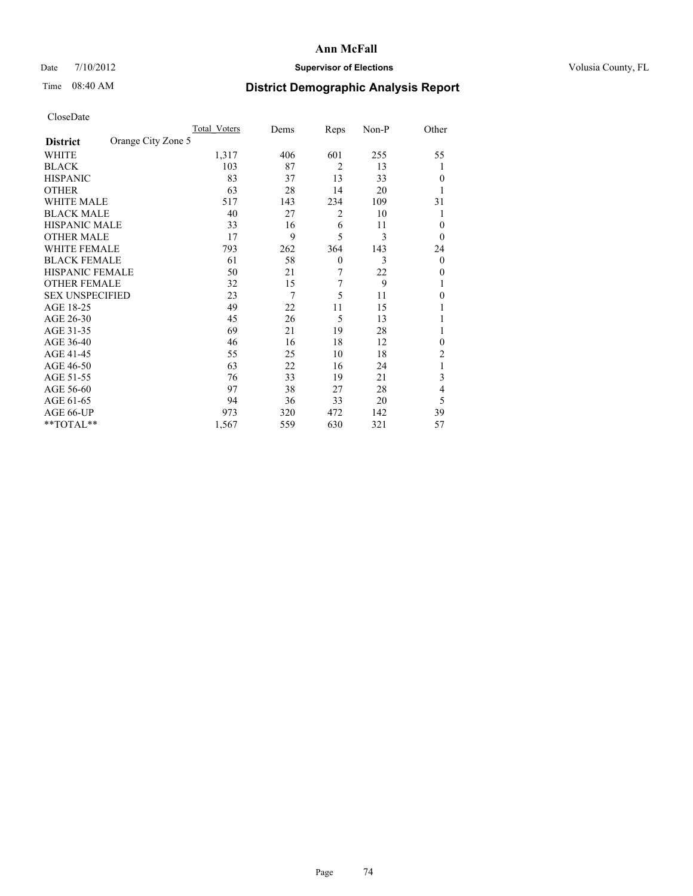### Date  $7/10/2012$  **Supervisor of Elections** Volusia County, FL

## Time 08:40 AM **District Demographic Analysis Report**

|                        |                    | <b>Total Voters</b> | Dems | Reps           | Non-P | Other          |
|------------------------|--------------------|---------------------|------|----------------|-------|----------------|
| <b>District</b>        | Orange City Zone 5 |                     |      |                |       |                |
| WHITE                  |                    | 1,317               | 406  | 601            | 255   | 55             |
| <b>BLACK</b>           |                    | 103                 | 87   | $\overline{2}$ | 13    | 1              |
| <b>HISPANIC</b>        |                    | 83                  | 37   | 13             | 33    | $\Omega$       |
| <b>OTHER</b>           |                    | 63                  | 28   | 14             | 20    |                |
| WHITE MALE             |                    | 517                 | 143  | 234            | 109   | 31             |
| <b>BLACK MALE</b>      |                    | 40                  | 27   | 2              | 10    | 1              |
| <b>HISPANIC MALE</b>   |                    | 33                  | 16   | 6              | 11    | 0              |
| <b>OTHER MALE</b>      |                    | 17                  | 9    | 5              | 3     | $\Omega$       |
| WHITE FEMALE           |                    | 793                 | 262  | 364            | 143   | 24             |
| <b>BLACK FEMALE</b>    |                    | 61                  | 58   | $\mathbf{0}$   | 3     | $\overline{0}$ |
| <b>HISPANIC FEMALE</b> |                    | 50                  | 21   | 7              | 22    | $\Omega$       |
| <b>OTHER FEMALE</b>    |                    | 32                  | 15   | 7              | 9     |                |
| <b>SEX UNSPECIFIED</b> |                    | 23                  | 7    | 5              | 11    | $\theta$       |
| AGE 18-25              |                    | 49                  | 22   | 11             | 15    |                |
| AGE 26-30              |                    | 45                  | 26   | 5              | 13    |                |
| AGE 31-35              |                    | 69                  | 21   | 19             | 28    |                |
| AGE 36-40              |                    | 46                  | 16   | 18             | 12    | $\Omega$       |
| AGE 41-45              |                    | 55                  | 25   | 10             | 18    | 2              |
| AGE 46-50              |                    | 63                  | 22   | 16             | 24    | 1              |
| AGE 51-55              |                    | 76                  | 33   | 19             | 21    | 3              |
| AGE 56-60              |                    | 97                  | 38   | 27             | 28    | 4              |
| AGE 61-65              |                    | 94                  | 36   | 33             | 20    | 5              |
| AGE 66-UP              |                    | 973                 | 320  | 472            | 142   | 39             |
| **TOTAL**              |                    | 1,567               | 559  | 630            | 321   | 57             |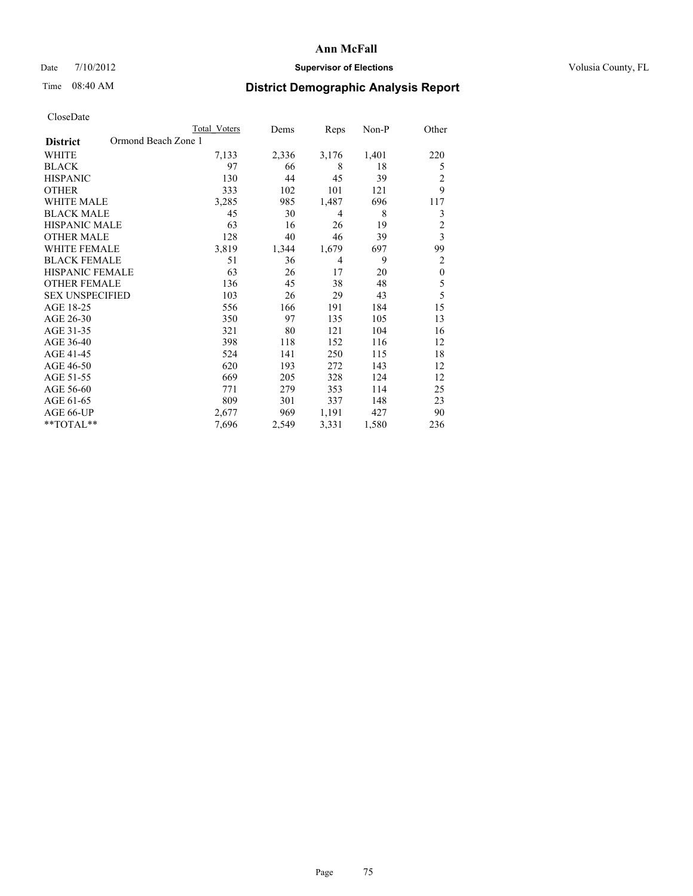### Date  $7/10/2012$  **Supervisor of Elections** Volusia County, FL

# Time 08:40 AM **District Demographic Analysis Report**

|                                        | <b>Total Voters</b> | Dems  | Reps  | Non-P | Other                   |
|----------------------------------------|---------------------|-------|-------|-------|-------------------------|
| Ormond Beach Zone 1<br><b>District</b> |                     |       |       |       |                         |
| WHITE                                  | 7,133               | 2,336 | 3,176 | 1,401 | 220                     |
| <b>BLACK</b>                           | 97                  | 66    | 8     | 18    | 5                       |
| <b>HISPANIC</b>                        | 130                 | 44    | 45    | 39    | $\overline{2}$          |
| <b>OTHER</b>                           | 333                 | 102   | 101   | 121   | 9                       |
| <b>WHITE MALE</b>                      | 3,285               | 985   | 1,487 | 696   | 117                     |
| <b>BLACK MALE</b>                      | 45                  | 30    | 4     | 8     | 3                       |
| <b>HISPANIC MALE</b>                   | 63                  | 16    | 26    | 19    | $\overline{c}$          |
| <b>OTHER MALE</b>                      | 128                 | 40    | 46    | 39    | $\overline{\mathbf{3}}$ |
| <b>WHITE FEMALE</b>                    | 3,819               | 1,344 | 1,679 | 697   | 99                      |
| <b>BLACK FEMALE</b>                    | 51                  | 36    | 4     | 9     | $\overline{c}$          |
| <b>HISPANIC FEMALE</b>                 | 63                  | 26    | 17    | 20    | $\boldsymbol{0}$        |
| <b>OTHER FEMALE</b>                    | 136                 | 45    | 38    | 48    | 5                       |
| <b>SEX UNSPECIFIED</b>                 | 103                 | 26    | 29    | 43    | 5                       |
| AGE 18-25                              | 556                 | 166   | 191   | 184   | 15                      |
| AGE 26-30                              | 350                 | 97    | 135   | 105   | 13                      |
| AGE 31-35                              | 321                 | 80    | 121   | 104   | 16                      |
| AGE 36-40                              | 398                 | 118   | 152   | 116   | 12                      |
| AGE 41-45                              | 524                 | 141   | 250   | 115   | 18                      |
| AGE 46-50                              | 620                 | 193   | 272   | 143   | 12                      |
| AGE 51-55                              | 669                 | 205   | 328   | 124   | 12                      |
| AGE 56-60                              | 771                 | 279   | 353   | 114   | 25                      |
| AGE 61-65                              | 809                 | 301   | 337   | 148   | 23                      |
| AGE 66-UP                              | 2,677               | 969   | 1,191 | 427   | 90                      |
| **TOTAL**                              | 7,696               | 2,549 | 3,331 | 1,580 | 236                     |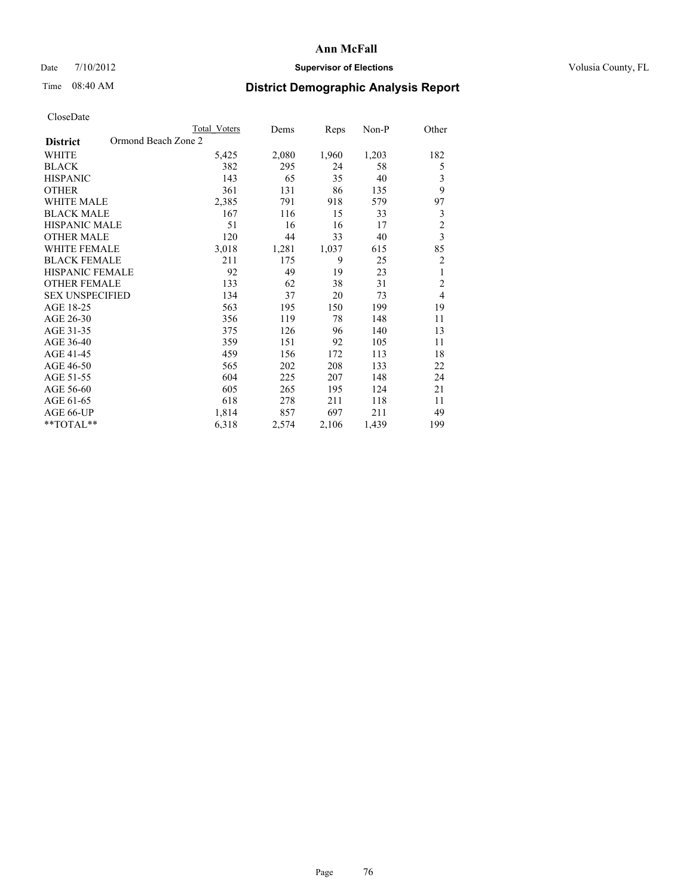### Date  $7/10/2012$  **Supervisor of Elections** Volusia County, FL

## Time 08:40 AM **District Demographic Analysis Report**

|                        | <b>Total Voters</b> | Dems  | Reps  | Non-P | Other          |
|------------------------|---------------------|-------|-------|-------|----------------|
| <b>District</b>        | Ormond Beach Zone 2 |       |       |       |                |
| WHITE                  | 5,425               | 2,080 | 1,960 | 1,203 | 182            |
| <b>BLACK</b>           | 382                 | 295   | 24    | 58    | 5              |
| <b>HISPANIC</b>        | 143                 | 65    | 35    | 40    | 3              |
| <b>OTHER</b>           | 361                 | 131   | 86    | 135   | 9              |
| WHITE MALE             | 2,385               | 791   | 918   | 579   | 97             |
| <b>BLACK MALE</b>      | 167                 | 116   | 15    | 33    | 3              |
| <b>HISPANIC MALE</b>   | 51                  | 16    | 16    | 17    | $\overline{2}$ |
| <b>OTHER MALE</b>      | 120                 | 44    | 33    | 40    | $\overline{3}$ |
| WHITE FEMALE           | 3,018               | 1,281 | 1,037 | 615   | 85             |
| <b>BLACK FEMALE</b>    | 211                 | 175   | 9     | 25    | $\overline{c}$ |
| <b>HISPANIC FEMALE</b> | 92                  | 49    | 19    | 23    | 1              |
| <b>OTHER FEMALE</b>    | 133                 | 62    | 38    | 31    | $\overline{c}$ |
| <b>SEX UNSPECIFIED</b> | 134                 | 37    | 20    | 73    | $\overline{4}$ |
| AGE 18-25              | 563                 | 195   | 150   | 199   | 19             |
| AGE 26-30              | 356                 | 119   | 78    | 148   | 11             |
| AGE 31-35              | 375                 | 126   | 96    | 140   | 13             |
| AGE 36-40              | 359                 | 151   | 92    | 105   | 11             |
| AGE 41-45              | 459                 | 156   | 172   | 113   | 18             |
| AGE 46-50              | 565                 | 202   | 208   | 133   | 22             |
| AGE 51-55              | 604                 | 225   | 207   | 148   | 24             |
| AGE 56-60              | 605                 | 265   | 195   | 124   | 21             |
| AGE 61-65              | 618                 | 278   | 211   | 118   | 11             |
| AGE 66-UP              | 1,814               | 857   | 697   | 211   | 49             |
| **TOTAL**              | 6,318               | 2,574 | 2,106 | 1,439 | 199            |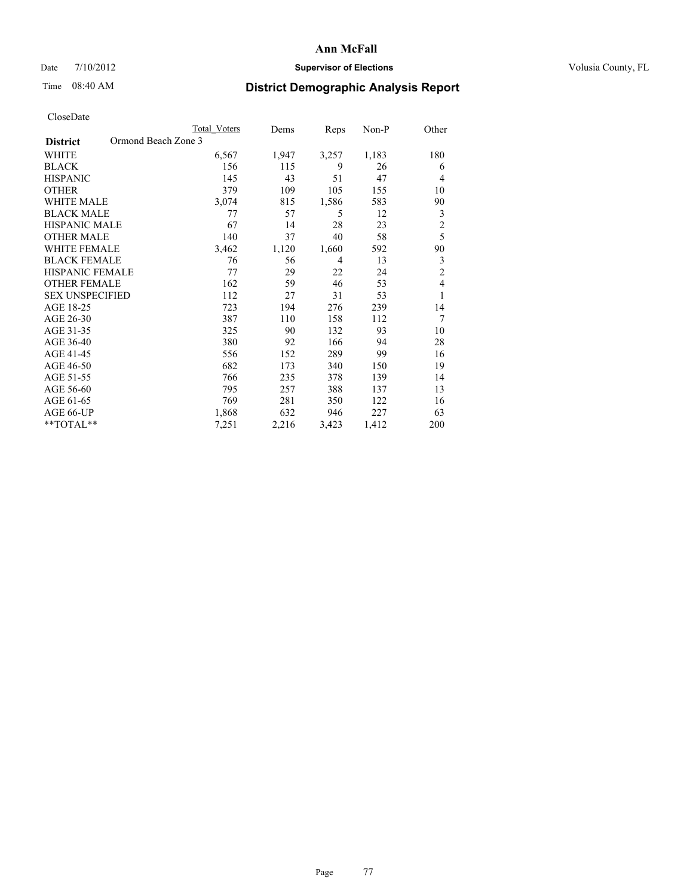### Date  $7/10/2012$  **Supervisor of Elections** Volusia County, FL

# Time 08:40 AM **District Demographic Analysis Report**

|                                        | <b>Total Voters</b> | Dems  | Reps           | Non-P | Other          |
|----------------------------------------|---------------------|-------|----------------|-------|----------------|
| Ormond Beach Zone 3<br><b>District</b> |                     |       |                |       |                |
| WHITE                                  | 6,567               | 1,947 | 3,257          | 1,183 | 180            |
| <b>BLACK</b>                           | 156                 | 115   | 9              | 26    | 6              |
| <b>HISPANIC</b>                        | 145                 | 43    | 51             | 47    | $\overline{4}$ |
| <b>OTHER</b>                           | 379                 | 109   | 105            | 155   | 10             |
| WHITE MALE                             | 3,074               | 815   | 1,586          | 583   | 90             |
| <b>BLACK MALE</b>                      | 77                  | 57    | 5              | 12    | 3              |
| <b>HISPANIC MALE</b>                   | 67                  | 14    | 28             | 23    | $\overline{c}$ |
| <b>OTHER MALE</b>                      | 140                 | 37    | 40             | 58    | 5              |
| WHITE FEMALE                           | 3,462               | 1,120 | 1,660          | 592   | 90             |
| <b>BLACK FEMALE</b>                    | 76                  | 56    | $\overline{4}$ | 13    | 3              |
| <b>HISPANIC FEMALE</b>                 | 77                  | 29    | 22             | 24    | $\overline{c}$ |
| <b>OTHER FEMALE</b>                    | 162                 | 59    | 46             | 53    | $\overline{4}$ |
| <b>SEX UNSPECIFIED</b>                 | 112                 | 27    | 31             | 53    | 1              |
| AGE 18-25                              | 723                 | 194   | 276            | 239   | 14             |
| AGE 26-30                              | 387                 | 110   | 158            | 112   | 7              |
| AGE 31-35                              | 325                 | 90    | 132            | 93    | 10             |
| AGE 36-40                              | 380                 | 92    | 166            | 94    | 28             |
| AGE 41-45                              | 556                 | 152   | 289            | 99    | 16             |
| AGE 46-50                              | 682                 | 173   | 340            | 150   | 19             |
| AGE 51-55                              | 766                 | 235   | 378            | 139   | 14             |
| AGE 56-60                              | 795                 | 257   | 388            | 137   | 13             |
| AGE 61-65                              | 769                 | 281   | 350            | 122   | 16             |
| AGE 66-UP                              | 1,868               | 632   | 946            | 227   | 63             |
| **TOTAL**                              | 7,251               | 2,216 | 3,423          | 1,412 | 200            |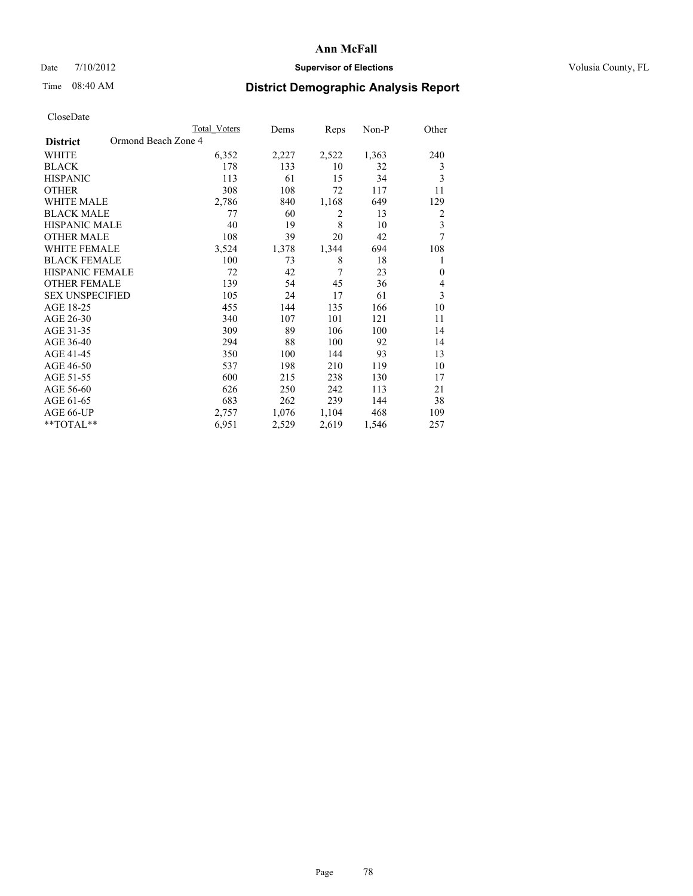### Date  $7/10/2012$  **Supervisor of Elections** Volusia County, FL

## Time 08:40 AM **District Demographic Analysis Report**

|                                        | <b>Total Voters</b> | Dems  | Reps  | Non-P | Other                   |
|----------------------------------------|---------------------|-------|-------|-------|-------------------------|
| Ormond Beach Zone 4<br><b>District</b> |                     |       |       |       |                         |
| WHITE                                  | 6,352               | 2,227 | 2,522 | 1,363 | 240                     |
| <b>BLACK</b>                           | 178                 | 133   | 10    | 32    | 3                       |
| <b>HISPANIC</b>                        | 113                 | 61    | 15    | 34    | 3                       |
| <b>OTHER</b>                           | 308                 | 108   | 72    | 117   | 11                      |
| <b>WHITE MALE</b>                      | 2,786               | 840   | 1,168 | 649   | 129                     |
| <b>BLACK MALE</b>                      | 77                  | 60    | 2     | 13    | $\overline{2}$          |
| HISPANIC MALE                          | 40                  | 19    | 8     | 10    | $\overline{\mathbf{3}}$ |
| <b>OTHER MALE</b>                      | 108                 | 39    | 20    | 42    | 7                       |
| <b>WHITE FEMALE</b>                    | 3,524               | 1,378 | 1,344 | 694   | 108                     |
| <b>BLACK FEMALE</b>                    | 100                 | 73    | 8     | 18    | 1                       |
| <b>HISPANIC FEMALE</b>                 | 72                  | 42    | 7     | 23    | $\mathbf{0}$            |
| <b>OTHER FEMALE</b>                    | 139                 | 54    | 45    | 36    | $\overline{4}$          |
| <b>SEX UNSPECIFIED</b>                 | 105                 | 24    | 17    | 61    | 3                       |
| AGE 18-25                              | 455                 | 144   | 135   | 166   | 10                      |
| AGE 26-30                              | 340                 | 107   | 101   | 121   | 11                      |
| AGE 31-35                              | 309                 | 89    | 106   | 100   | 14                      |
| AGE 36-40                              | 294                 | 88    | 100   | 92    | 14                      |
| AGE 41-45                              | 350                 | 100   | 144   | 93    | 13                      |
| AGE 46-50                              | 537                 | 198   | 210   | 119   | 10                      |
| AGE 51-55                              | 600                 | 215   | 238   | 130   | 17                      |
| AGE 56-60                              | 626                 | 250   | 242   | 113   | 21                      |
| AGE 61-65                              | 683                 | 262   | 239   | 144   | 38                      |
| AGE 66-UP                              | 2,757               | 1,076 | 1,104 | 468   | 109                     |
| **TOTAL**                              | 6,951               | 2,529 | 2,619 | 1,546 | 257                     |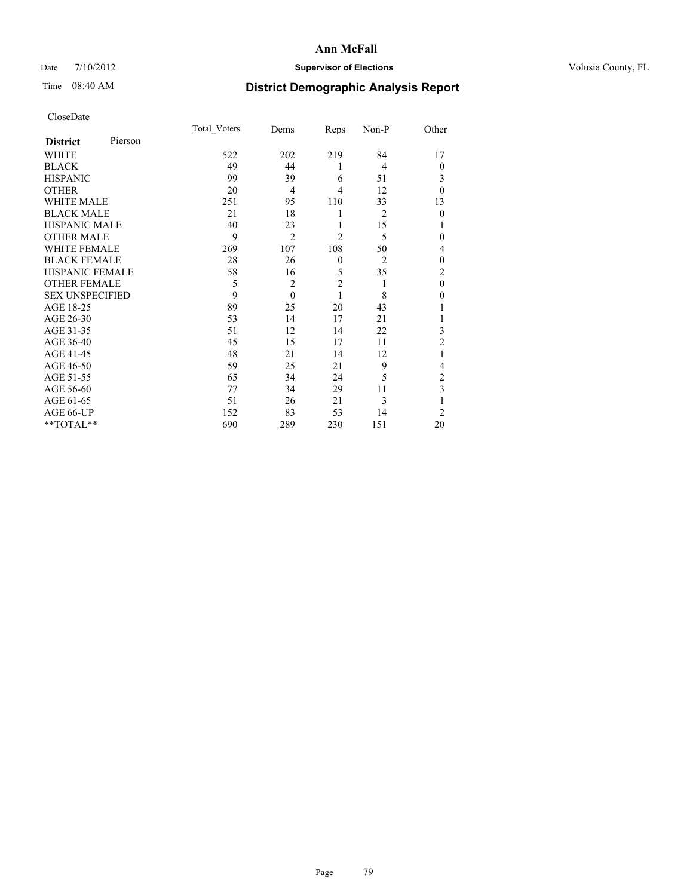### Date  $7/10/2012$  **Supervisor of Elections** Volusia County, FL

# Time 08:40 AM **District Demographic Analysis Report**

|                        |         | <b>Total Voters</b> | Dems           | Reps           | Non-P          | Other          |
|------------------------|---------|---------------------|----------------|----------------|----------------|----------------|
| <b>District</b>        | Pierson |                     |                |                |                |                |
| <b>WHITE</b>           |         | 522                 | 202            | 219            | 84             | 17             |
| <b>BLACK</b>           |         | 49                  | 44             | 1              | $\overline{4}$ | $\theta$       |
| <b>HISPANIC</b>        |         | 99                  | 39             | 6              | 51             | 3              |
| <b>OTHER</b>           |         | 20                  | $\overline{4}$ | 4              | 12             | $\theta$       |
| WHITE MALE             |         | 251                 | 95             | 110            | 33             | 13             |
| <b>BLACK MALE</b>      |         | 21                  | 18             | 1              | $\overline{2}$ | $\mathbf{0}$   |
| <b>HISPANIC MALE</b>   |         | 40                  | 23             | 1              | 15             |                |
| <b>OTHER MALE</b>      |         | 9                   | $\overline{2}$ | $\overline{2}$ | 5              | 0              |
| <b>WHITE FEMALE</b>    |         | 269                 | 107            | 108            | 50             | 4              |
| <b>BLACK FEMALE</b>    |         | 28                  | 26             | $\mathbf{0}$   | $\overline{2}$ | $\theta$       |
| <b>HISPANIC FEMALE</b> |         | 58                  | 16             | 5              | 35             | $\overline{c}$ |
| <b>OTHER FEMALE</b>    |         | 5                   | $\overline{c}$ | $\overline{c}$ | 1              | $\theta$       |
| <b>SEX UNSPECIFIED</b> |         | 9                   | $\theta$       | 1              | 8              | $\theta$       |
| AGE 18-25              |         | 89                  | 25             | 20             | 43             |                |
| AGE 26-30              |         | 53                  | 14             | 17             | 21             | 1              |
| AGE 31-35              |         | 51                  | 12             | 14             | 22             | 3              |
| AGE 36-40              |         | 45                  | 15             | 17             | 11             | $\overline{2}$ |
| AGE 41-45              |         | 48                  | 21             | 14             | 12             |                |
| AGE 46-50              |         | 59                  | 25             | 21             | 9              | 4              |
| AGE 51-55              |         | 65                  | 34             | 24             | 5              | 2              |
| AGE 56-60              |         | 77                  | 34             | 29             | 11             | 3              |
| AGE 61-65              |         | 51                  | 26             | 21             | 3              | 1              |
| AGE 66-UP              |         | 152                 | 83             | 53             | 14             | $\overline{2}$ |
| **TOTAL**              |         | 690                 | 289            | 230            | 151            | 20             |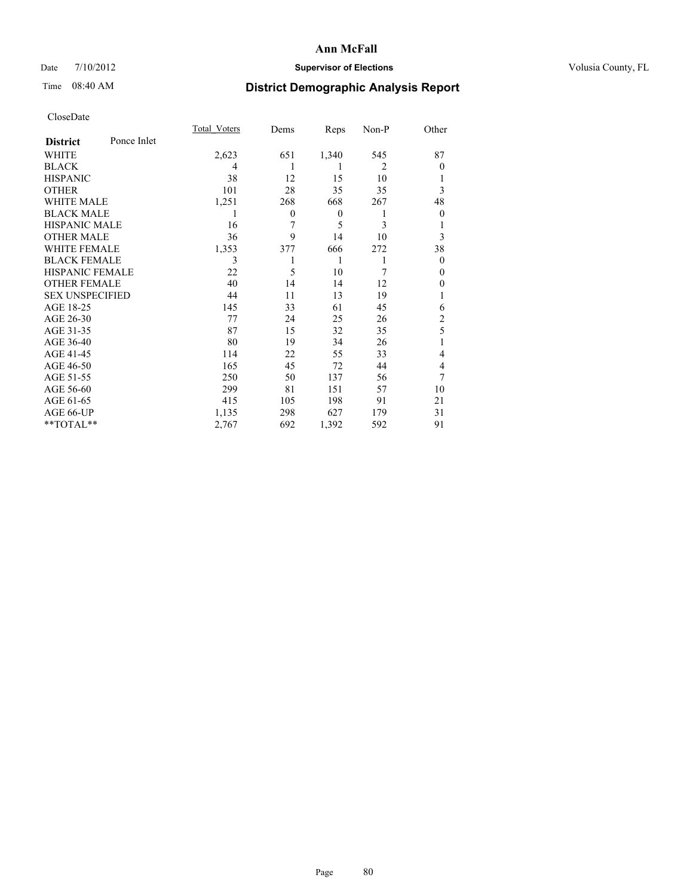### Date  $7/10/2012$  **Supervisor of Elections** Volusia County, FL

## Time 08:40 AM **District Demographic Analysis Report**

|                        |             | Total Voters | Dems     | Reps             | Non-P          | Other          |
|------------------------|-------------|--------------|----------|------------------|----------------|----------------|
| <b>District</b>        | Ponce Inlet |              |          |                  |                |                |
| WHITE                  |             | 2,623        | 651      | 1,340            | 545            | 87             |
| <b>BLACK</b>           |             | 4            |          | 1                | $\overline{2}$ | $\theta$       |
| <b>HISPANIC</b>        |             | 38           | 12       | 15               | 10             | 1              |
| <b>OTHER</b>           |             | 101          | 28       | 35               | 35             | 3              |
| WHITE MALE             |             | 1,251        | 268      | 668              | 267            | 48             |
| <b>BLACK MALE</b>      |             | 1            | $\theta$ | $\boldsymbol{0}$ | 1              | $\theta$       |
| <b>HISPANIC MALE</b>   |             | 16           | 7        | 5                | 3              | 1              |
| <b>OTHER MALE</b>      |             | 36           | 9        | 14               | 10             | 3              |
| <b>WHITE FEMALE</b>    |             | 1,353        | 377      | 666              | 272            | 38             |
| <b>BLACK FEMALE</b>    |             | 3            |          | 1                | 1              | $\theta$       |
| <b>HISPANIC FEMALE</b> |             | 22           | 5        | 10               | 7              | $\Omega$       |
| <b>OTHER FEMALE</b>    |             | 40           | 14       | 14               | 12             | $\theta$       |
| <b>SEX UNSPECIFIED</b> |             | 44           | 11       | 13               | 19             | 1              |
| AGE 18-25              |             | 145          | 33       | 61               | 45             | 6              |
| AGE 26-30              |             | 77           | 24       | 25               | 26             | $\overline{c}$ |
| AGE 31-35              |             | 87           | 15       | 32               | 35             | 5              |
| AGE 36-40              |             | 80           | 19       | 34               | 26             | 1              |
| AGE 41-45              |             | 114          | 22       | 55               | 33             | 4              |
| AGE 46-50              |             | 165          | 45       | 72               | 44             | 4              |
| AGE 51-55              |             | 250          | 50       | 137              | 56             | 7              |
| AGE 56-60              |             | 299          | 81       | 151              | 57             | 10             |
| AGE 61-65              |             | 415          | 105      | 198              | 91             | 21             |
| AGE 66-UP              |             | 1,135        | 298      | 627              | 179            | 31             |
| **TOTAL**              |             | 2,767        | 692      | 1,392            | 592            | 91             |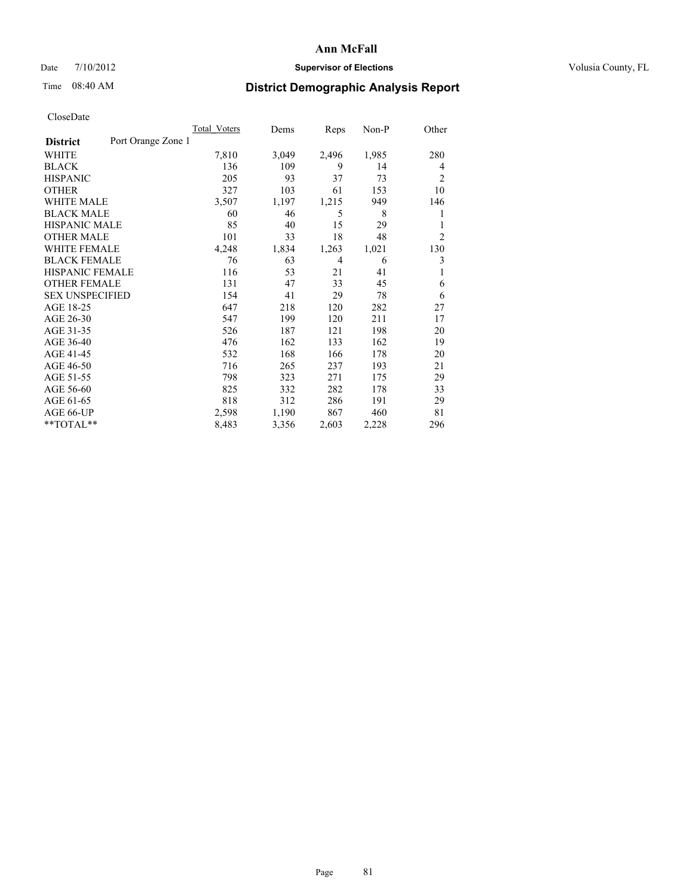### Date  $7/10/2012$  **Supervisor of Elections** Volusia County, FL

# Time 08:40 AM **District Demographic Analysis Report**

|                        | <b>Total Voters</b> | Dems  | Reps  | $Non-P$ | Other          |
|------------------------|---------------------|-------|-------|---------|----------------|
| <b>District</b>        | Port Orange Zone 1  |       |       |         |                |
| WHITE                  | 7,810               | 3,049 | 2,496 | 1,985   | 280            |
| <b>BLACK</b>           | 136                 | 109   | 9     | 14      | 4              |
| <b>HISPANIC</b>        | 205                 | 93    | 37    | 73      | 2              |
| <b>OTHER</b>           | 327                 | 103   | 61    | 153     | 10             |
| WHITE MALE             | 3,507               | 1,197 | 1,215 | 949     | 146            |
| <b>BLACK MALE</b>      | 60                  | 46    | 5     | 8       | 1              |
| <b>HISPANIC MALE</b>   | 85                  | 40    | 15    | 29      | 1              |
| <b>OTHER MALE</b>      | 101                 | 33    | 18    | 48      | $\overline{2}$ |
| <b>WHITE FEMALE</b>    | 4,248               | 1,834 | 1,263 | 1,021   | 130            |
| <b>BLACK FEMALE</b>    | 76                  | 63    | 4     | 6       | 3              |
| <b>HISPANIC FEMALE</b> | 116                 | 53    | 21    | 41      | 1              |
| <b>OTHER FEMALE</b>    | 131                 | 47    | 33    | 45      | 6              |
| <b>SEX UNSPECIFIED</b> | 154                 | 41    | 29    | 78      | 6              |
| AGE 18-25              | 647                 | 218   | 120   | 282     | 27             |
| AGE 26-30              | 547                 | 199   | 120   | 211     | 17             |
| AGE 31-35              | 526                 | 187   | 121   | 198     | 20             |
| AGE 36-40              | 476                 | 162   | 133   | 162     | 19             |
| AGE 41-45              | 532                 | 168   | 166   | 178     | 20             |
| AGE 46-50              | 716                 | 265   | 237   | 193     | 21             |
| AGE 51-55              | 798                 | 323   | 271   | 175     | 29             |
| AGE 56-60              | 825                 | 332   | 282   | 178     | 33             |
| AGE 61-65              | 818                 | 312   | 286   | 191     | 29             |
| AGE 66-UP              | 2,598               | 1,190 | 867   | 460     | 81             |
| **TOTAL**              | 8,483               | 3,356 | 2,603 | 2,228   | 296            |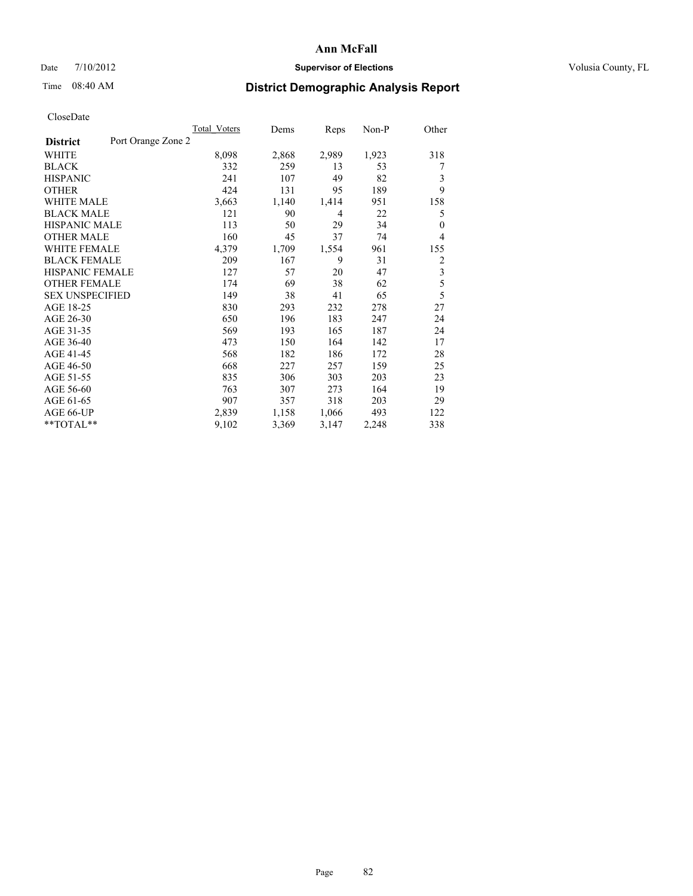### Date  $7/10/2012$  **Supervisor of Elections** Volusia County, FL

## Time 08:40 AM **District Demographic Analysis Report**

|                        |                    | Total Voters | Dems  | Reps  | $Non-P$ | Other          |
|------------------------|--------------------|--------------|-------|-------|---------|----------------|
| <b>District</b>        | Port Orange Zone 2 |              |       |       |         |                |
| WHITE                  |                    | 8,098        | 2,868 | 2,989 | 1,923   | 318            |
| <b>BLACK</b>           |                    | 332          | 259   | 13    | 53      | 7              |
| <b>HISPANIC</b>        |                    | 241          | 107   | 49    | 82      | 3              |
| <b>OTHER</b>           |                    | 424          | 131   | 95    | 189     | 9              |
| WHITE MALE             |                    | 3,663        | 1,140 | 1,414 | 951     | 158            |
| <b>BLACK MALE</b>      |                    | 121          | 90    | 4     | 22      | 5              |
| <b>HISPANIC MALE</b>   |                    | 113          | 50    | 29    | 34      | $\theta$       |
| <b>OTHER MALE</b>      |                    | 160          | 45    | 37    | 74      | $\overline{4}$ |
| WHITE FEMALE           |                    | 4,379        | 1,709 | 1,554 | 961     | 155            |
| <b>BLACK FEMALE</b>    |                    | 209          | 167   | 9     | 31      | 2              |
| <b>HISPANIC FEMALE</b> |                    | 127          | 57    | 20    | 47      | 3              |
| <b>OTHER FEMALE</b>    |                    | 174          | 69    | 38    | 62      | 5              |
| <b>SEX UNSPECIFIED</b> |                    | 149          | 38    | 41    | 65      | 5              |
| AGE 18-25              |                    | 830          | 293   | 232   | 278     | 27             |
| AGE 26-30              |                    | 650          | 196   | 183   | 247     | 24             |
| AGE 31-35              |                    | 569          | 193   | 165   | 187     | 24             |
| AGE 36-40              |                    | 473          | 150   | 164   | 142     | 17             |
| AGE 41-45              |                    | 568          | 182   | 186   | 172     | 28             |
| AGE 46-50              |                    | 668          | 227   | 257   | 159     | 25             |
| AGE 51-55              |                    | 835          | 306   | 303   | 203     | 23             |
| AGE 56-60              |                    | 763          | 307   | 273   | 164     | 19             |
| AGE 61-65              |                    | 907          | 357   | 318   | 203     | 29             |
| AGE 66-UP              |                    | 2,839        | 1,158 | 1,066 | 493     | 122            |
| **TOTAL**              |                    | 9,102        | 3,369 | 3,147 | 2,248   | 338            |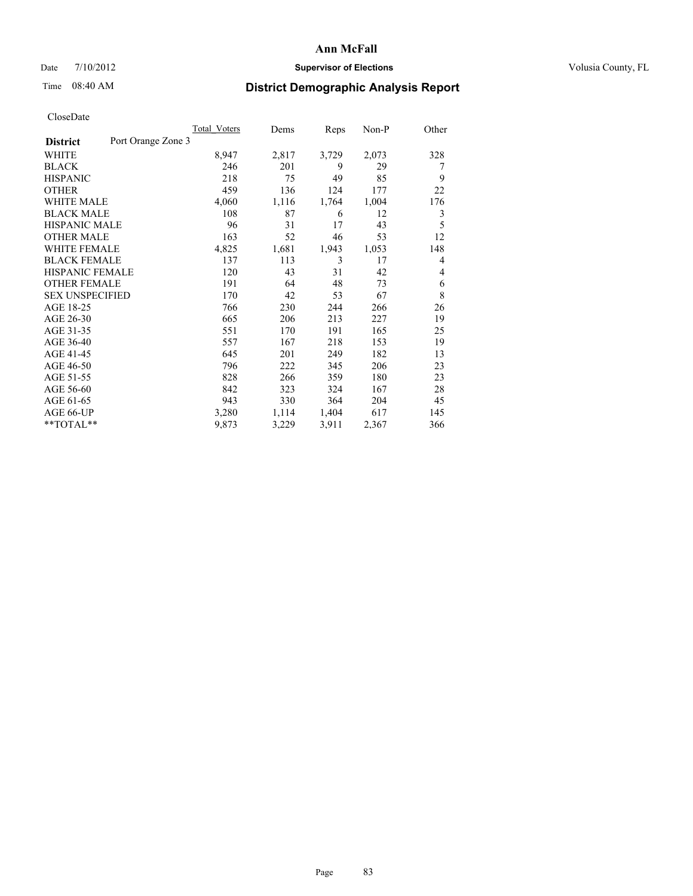### Date  $7/10/2012$  **Supervisor of Elections** Volusia County, FL

## Time 08:40 AM **District Demographic Analysis Report**

|                        |                    | Total Voters | Dems  | Reps  | $Non-P$ | Other |
|------------------------|--------------------|--------------|-------|-------|---------|-------|
| <b>District</b>        | Port Orange Zone 3 |              |       |       |         |       |
| WHITE                  |                    | 8,947        | 2,817 | 3,729 | 2,073   | 328   |
| <b>BLACK</b>           |                    | 246          | 201   | 9     | 29      | 7     |
| <b>HISPANIC</b>        |                    | 218          | 75    | 49    | 85      | 9     |
| <b>OTHER</b>           |                    | 459          | 136   | 124   | 177     | 22    |
| WHITE MALE             |                    | 4,060        | 1,116 | 1,764 | 1,004   | 176   |
| <b>BLACK MALE</b>      |                    | 108          | 87    | 6     | 12      | 3     |
| <b>HISPANIC MALE</b>   |                    | 96           | 31    | 17    | 43      | 5     |
| <b>OTHER MALE</b>      |                    | 163          | 52    | 46    | 53      | 12    |
| <b>WHITE FEMALE</b>    |                    | 4,825        | 1,681 | 1,943 | 1,053   | 148   |
| <b>BLACK FEMALE</b>    |                    | 137          | 113   | 3     | 17      | 4     |
| HISPANIC FEMALE        |                    | 120          | 43    | 31    | 42      | 4     |
| <b>OTHER FEMALE</b>    |                    | 191          | 64    | 48    | 73      | 6     |
| <b>SEX UNSPECIFIED</b> |                    | 170          | 42    | 53    | 67      | 8     |
| AGE 18-25              |                    | 766          | 230   | 244   | 266     | 26    |
| AGE 26-30              |                    | 665          | 206   | 213   | 227     | 19    |
| AGE 31-35              |                    | 551          | 170   | 191   | 165     | 25    |
| AGE 36-40              |                    | 557          | 167   | 218   | 153     | 19    |
| AGE 41-45              |                    | 645          | 201   | 249   | 182     | 13    |
| AGE 46-50              |                    | 796          | 222   | 345   | 206     | 23    |
| AGE 51-55              |                    | 828          | 266   | 359   | 180     | 23    |
| AGE 56-60              |                    | 842          | 323   | 324   | 167     | 28    |
| AGE 61-65              |                    | 943          | 330   | 364   | 204     | 45    |
| AGE 66-UP              |                    | 3,280        | 1,114 | 1,404 | 617     | 145   |
| **TOTAL**              |                    | 9,873        | 3,229 | 3,911 | 2,367   | 366   |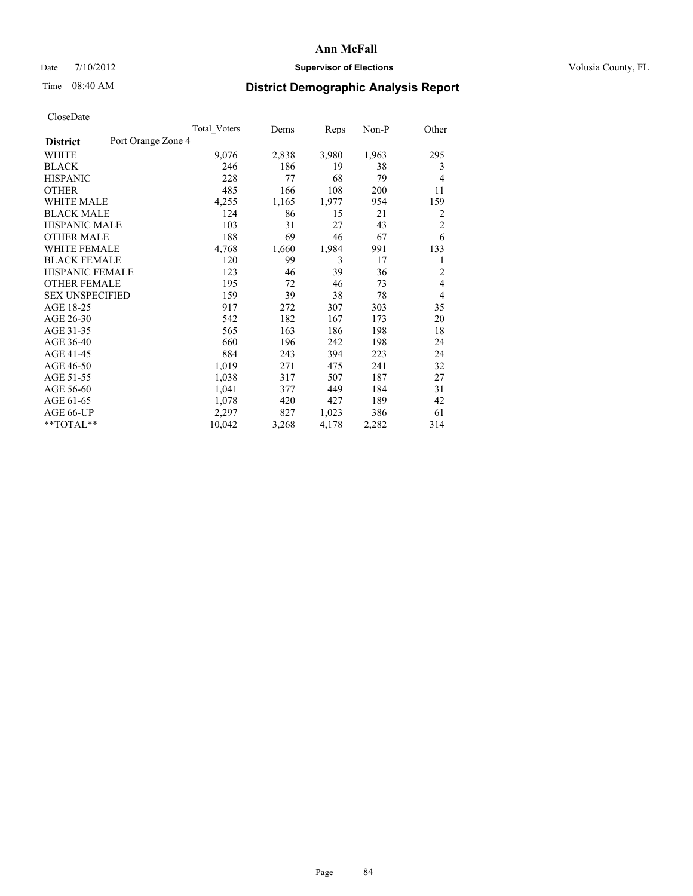### Date  $7/10/2012$  **Supervisor of Elections** Volusia County, FL

# Time 08:40 AM **District Demographic Analysis Report**

|                                       | <b>Total Voters</b> | Dems  | Reps  | Non-P | Other          |
|---------------------------------------|---------------------|-------|-------|-------|----------------|
| Port Orange Zone 4<br><b>District</b> |                     |       |       |       |                |
| WHITE                                 | 9,076               | 2,838 | 3,980 | 1,963 | 295            |
| <b>BLACK</b>                          | 246                 | 186   | 19    | 38    | 3              |
| <b>HISPANIC</b>                       | 228                 | 77    | 68    | 79    | $\overline{4}$ |
| <b>OTHER</b>                          | 485                 | 166   | 108   | 200   | 11             |
| WHITE MALE                            | 4,255               | 1,165 | 1,977 | 954   | 159            |
| <b>BLACK MALE</b>                     | 124                 | 86    | 15    | 21    | 2              |
| <b>HISPANIC MALE</b>                  | 103                 | 31    | 27    | 43    | $\overline{c}$ |
| <b>OTHER MALE</b>                     | 188                 | 69    | 46    | 67    | 6              |
| WHITE FEMALE                          | 4,768               | 1,660 | 1,984 | 991   | 133            |
| <b>BLACK FEMALE</b>                   | 120                 | 99    | 3     | 17    | 1              |
| <b>HISPANIC FEMALE</b>                | 123                 | 46    | 39    | 36    | $\overline{2}$ |
| <b>OTHER FEMALE</b>                   | 195                 | 72    | 46    | 73    | 4              |
| <b>SEX UNSPECIFIED</b>                | 159                 | 39    | 38    | 78    | $\overline{4}$ |
| AGE 18-25                             | 917                 | 272   | 307   | 303   | 35             |
| AGE 26-30                             | 542                 | 182   | 167   | 173   | 20             |
| AGE 31-35                             | 565                 | 163   | 186   | 198   | 18             |
| AGE 36-40                             | 660                 | 196   | 242   | 198   | 24             |
| AGE 41-45                             | 884                 | 243   | 394   | 223   | 24             |
| AGE 46-50                             | 1,019               | 271   | 475   | 241   | 32             |
| AGE 51-55                             | 1,038               | 317   | 507   | 187   | 27             |
| AGE 56-60                             | 1,041               | 377   | 449   | 184   | 31             |
| AGE 61-65                             | 1,078               | 420   | 427   | 189   | 42             |
| AGE 66-UP                             | 2,297               | 827   | 1,023 | 386   | 61             |
| **TOTAL**                             | 10,042              | 3,268 | 4,178 | 2,282 | 314            |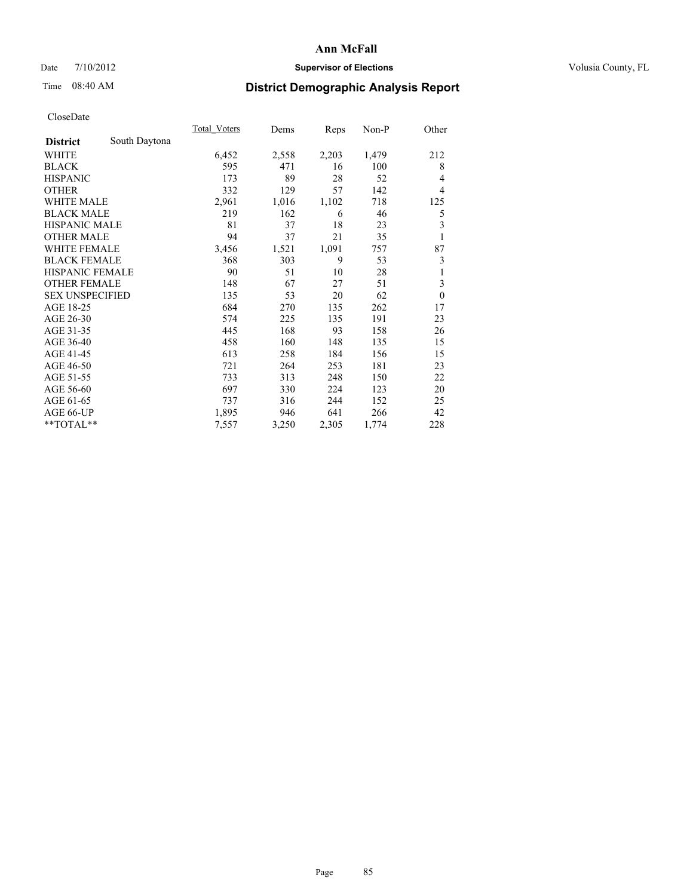### Date  $7/10/2012$  **Supervisor of Elections** Volusia County, FL

# Time 08:40 AM **District Demographic Analysis Report**

|                        |               | <b>Total Voters</b> | Dems  | Reps  | Non-P | Other                   |
|------------------------|---------------|---------------------|-------|-------|-------|-------------------------|
| <b>District</b>        | South Daytona |                     |       |       |       |                         |
| WHITE                  |               | 6,452               | 2,558 | 2,203 | 1,479 | 212                     |
| <b>BLACK</b>           |               | 595                 | 471   | 16    | 100   | 8                       |
| <b>HISPANIC</b>        |               | 173                 | 89    | 28    | 52    | $\overline{4}$          |
| <b>OTHER</b>           |               | 332                 | 129   | 57    | 142   | $\overline{4}$          |
| WHITE MALE             |               | 2,961               | 1,016 | 1,102 | 718   | 125                     |
| <b>BLACK MALE</b>      |               | 219                 | 162   | 6     | 46    | 5                       |
| <b>HISPANIC MALE</b>   |               | 81                  | 37    | 18    | 23    | $\overline{\mathbf{3}}$ |
| <b>OTHER MALE</b>      |               | 94                  | 37    | 21    | 35    | 1                       |
| <b>WHITE FEMALE</b>    |               | 3,456               | 1,521 | 1,091 | 757   | 87                      |
| <b>BLACK FEMALE</b>    |               | 368                 | 303   | 9     | 53    | 3                       |
| <b>HISPANIC FEMALE</b> |               | 90                  | 51    | 10    | 28    | 1                       |
| <b>OTHER FEMALE</b>    |               | 148                 | 67    | 27    | 51    | 3                       |
| <b>SEX UNSPECIFIED</b> |               | 135                 | 53    | 20    | 62    | $\theta$                |
| AGE 18-25              |               | 684                 | 270   | 135   | 262   | 17                      |
| AGE 26-30              |               | 574                 | 225   | 135   | 191   | 23                      |
| AGE 31-35              |               | 445                 | 168   | 93    | 158   | 26                      |
| AGE 36-40              |               | 458                 | 160   | 148   | 135   | 15                      |
| AGE 41-45              |               | 613                 | 258   | 184   | 156   | 15                      |
| AGE 46-50              |               | 721                 | 264   | 253   | 181   | 23                      |
| AGE 51-55              |               | 733                 | 313   | 248   | 150   | 22                      |
| AGE 56-60              |               | 697                 | 330   | 224   | 123   | 20                      |
| AGE 61-65              |               | 737                 | 316   | 244   | 152   | 25                      |
| AGE 66-UP              |               | 1,895               | 946   | 641   | 266   | 42                      |
| **TOTAL**              |               | 7,557               | 3,250 | 2,305 | 1,774 | 228                     |